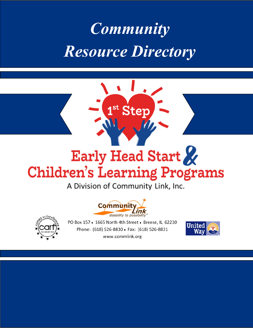### *Community Resource Directory*

# Ster

### Early Head Start **Children's Learning Programs**

A Division of Community Link, Inc.





PO Box 157 . 1665 North 4th Street . Breese, IL 62230 Phone: (618) 526-8830 · Fax: (618) 526-8831 www.commlink.org

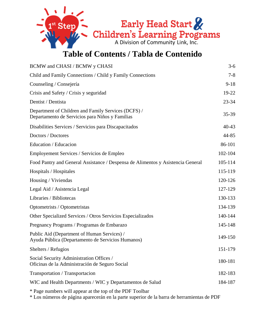

#### **Table of Contents / Tabla de Contenido**

| BCMW and CHASI / BCMW y CHASI                                                                          | $3-6$     |
|--------------------------------------------------------------------------------------------------------|-----------|
| Child and Family Connections / Child y Family Connections                                              | $7 - 8$   |
| Counseling / Consejería                                                                                | $9 - 18$  |
| Crisis and Safety / Crisis y seguridad                                                                 | 19-22     |
| Dentist / Dentista                                                                                     | $23 - 34$ |
| Department of Children and Family Services (DCFS) /<br>Departamento de Servicios para Niños y Familias | $35 - 39$ |
| Disabilities Services / Servicios para Discapacitados                                                  | $40 - 43$ |
| Doctors / Doctores                                                                                     | 44-85     |
| Education / Educacion                                                                                  | 86-101    |
| Employement Services / Servicios de Empleo                                                             | 102-104   |
| Food Pantry and General Assistance / Despensa de Alimentos y Asistencia General                        | 105-114   |
| Hospitals / Hospitales                                                                                 | 115-119   |
| Housing / Viviendas                                                                                    | 120-126   |
| Legal Aid / Asistencia Legal                                                                           | 127-129   |
| Libraries / Bibliotecas                                                                                | 130-133   |
| Optometrists / Optometristas                                                                           | 134-139   |
| Other Specialized Services / Otros Servicios Especializados                                            | 140-144   |
| Pregnancy Programs / Programas de Embarazo                                                             | 145-148   |
| Public Aid (Department of Human Services) /<br>Ayuda Pública (Departamento de Servicios Humanos)       | 149-150   |
| Shelters / Refugios                                                                                    | 151-179   |
| Social Security Administration Offices /<br>Oficinas de la Administración de Seguro Social             | 180-181   |
| Transportation / Transportacion                                                                        | 182-183   |
| WIC and Health Departments / WIC y Departamentos de Salud                                              | 184-187   |
| * Page numbers will appear at the top of the PDF Toolbar                                               |           |

\* Los números de página aparecerán en la parte superior de la barra de herramientas de PDF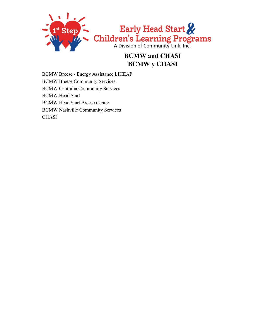

#### **BCMW and CHASI BCMW y CHASI**

BCMW Breese - Energy Assistance LIHEAP BCMW Breese Community Services BCMW Centralia Community Services BCMW Head Start BCMW Head Start Breese Center BCMW Nashville Community Services **CHASI**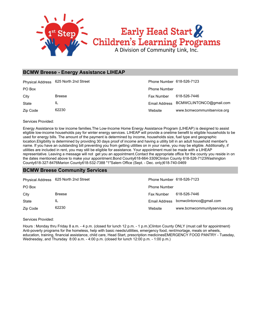

#### **BCMW Breese - Energy Assistance LIHEAP**

|          | Physical Address 625 North 2nd Street | Phone Number 618-526-7123 |                                       |
|----------|---------------------------------------|---------------------------|---------------------------------------|
| PO Box   |                                       | <b>Phone Number</b>       |                                       |
| City     | <b>Breese</b>                         | <b>Fax Number</b>         | 618-526-7446                          |
| State    | IL                                    |                           | Email Address BCMWCLINTONCO@gmail.com |
| Zip Code | 62230                                 | Website                   | www.bcmwcommunitservice.org           |

Services Provided:

Energy Assistance to low income families.The Low-Income Home Energy Assistance Program (LIHEAP) is designed to assist eligible low-income households pay for winter energy services. LIHEAP will provide a onetime benefit to eligible households to be used for energy bills. The amount of the payment is determined by income, households size, fuel type and geographic location.Eligibility is determined by providing 30 days proof of income and having a utility bill in an adult household member's name. If you have an outstanding bill preventing you from getting utilities on in your name, you may be eligible. Additionally, if utilities are included in rent, you may still be eligible for assistance. Your appointment must be made with a LIHEAP representative. Leaving a message will not get you an appointment.Contact the appropriate office for the county you reside in on the dates mentioned above to make your appointment.Bond County618-664-3309Clinton County 618-526-7123Washington County618-327-8476Marion County618-532-7388 "1"Salem Office (Sept. - Dec. only)618-740-0469

#### **BCMW Breese Community Services**

|          | Physical Address 625 North 2nd Street | Phone Number 618-526-7123 |                                       |
|----------|---------------------------------------|---------------------------|---------------------------------------|
| PO Box   |                                       | <b>Phone Number</b>       |                                       |
| City     | <b>Breese</b>                         | Fax Number                | 618-526-7446                          |
| State    | IL                                    |                           | Email Address bcmwclintonco@gmail.com |
| Zip Code | 62230                                 | Website                   | www.bcmwcommunityservices.org         |

Services Provided:

Hours : Monday thru Friday 8 a.m. - 4 p.m. (closed for lunch 12 p.m. - 1 p.m.)Clinton County ONLY (must call for appointment) Anti-poverty programs for the homeless, help with basic needs/utilities, emergency food, rent/mortage, meals on wheels, education, training, financial assistance, child care, Head Start, prescription medicinesEMERGENCY FOOD PANTRY - Tuesday, Wednesday, and Thursday 8:00 a.m. - 4:00 p.m. (closed for lunch 12:00 p.m. - 1:00 p.m.)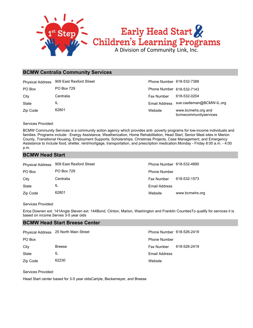

#### **BCMW Centralia Community Services**

| <b>Physical Address</b> | 909 East Rexford Street | Phone Number 618-532-7388 |                                             |
|-------------------------|-------------------------|---------------------------|---------------------------------------------|
| PO Box                  | <b>PO Box 729</b>       | Phone Number 618-532-7143 |                                             |
| City                    | Centralia               | Fax Number                | 618-532-0204                                |
| State                   | IL                      |                           | Email Address sue.castleman@BCMW-IL.org     |
| Zip Code                | 62801                   | Website                   | www.bcmwhs.org and<br>bcmwcommunityservices |

Services Provided:

BCMW Community Services is a community action agency which provides anti- poverty programs for low-income individuals and families. Programs include : Energy Assistance, Weatherization, Home Rehabilitation, Head Start, Senior Meal sites in Marion County, Transitional Housing, Employment Supports, Scholarships, Christmas Projects, Case Management, and Emergency Assistance to include food, shelter, rent/mortgage, transportation, and prescription medication.Monday - Friday 8:00 a.m. - 4:00 p.m.

#### **BCMW Head Start**

| <b>Physical Address</b> | 909 East Rexford Street | Phone Number 618-532-4890 |                |
|-------------------------|-------------------------|---------------------------|----------------|
| PO Box                  | <b>PO Box 729</b>       | <b>Phone Number</b>       |                |
| City                    | Centralia               | <b>Fax Number</b>         | 618-532-1573   |
| State                   | IL                      | Email Address             |                |
| Zip Code                | 62801                   | Website                   | www.bcmwhs.org |

#### Services Provided:

Erica Downen ext. 141Angie Steven ext. 144Bond, Clinton, Marion, Washington and Franklin CountiesTo qualify for services it is based on income.Serves 3-5 year olds

#### **BCMW Head Start Breese Center**

|          | Physical Address 25 North Main Street | Phone Number 618-526-2419 |              |
|----------|---------------------------------------|---------------------------|--------------|
| PO Box   |                                       | <b>Phone Number</b>       |              |
| City     | <b>Breese</b>                         | Fax Number                | 618-526-2419 |
| State    | ΙL                                    | Email Address             |              |
| Zip Code | 62230                                 | Website                   |              |

Services Provided:

Head Start center based for 3-5 year oldsCarlyle, Beckemeyer, and Breese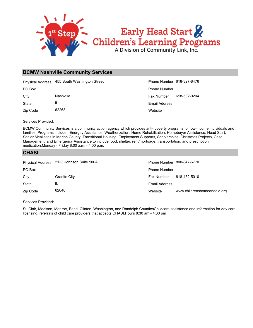

#### **BCMW Nashville Community Services**

|          | Physical Address 455 South Washington Street | Phone Number 618-327-8476 |              |
|----------|----------------------------------------------|---------------------------|--------------|
| PO Box   |                                              | <b>Phone Number</b>       |              |
| City     | Nashville                                    | <b>Fax Number</b>         | 618-532-0204 |
| State    | IL                                           | Email Address             |              |
| Zip Code | 62263                                        | Website                   |              |

Services Provided:

BCMW Community Services is a community action agency which provides anti- poverty programs for low-income individuals and families. Programs include : Energay Assistance, Weatherization, Home Rehabilitation, Homebuyer Assistance, Head Start, Senior Meal sites in Marion County, Transitional Housing, Employment Supports, Scholarships, Christmas Projects, Case Management, and Emergency Assistance to include food, shelter, rent/mortgage, transportation, and prescription medication.Monday - Friday 8:00 a.m. - 4:00 p.m.

#### **CHASI**

|          | Physical Address 2133 Johnson Suite 100A | Phone Number 800-847-6770 |                             |
|----------|------------------------------------------|---------------------------|-----------------------------|
| PO Box   |                                          | <b>Phone Number</b>       |                             |
| City     | <b>Granite City</b>                      | Fax Number                | 618-452-5010                |
| State    | IL                                       | Email Address             |                             |
| Zip Code | 62040                                    | Website                   | www.childrenshomeandaid.org |

Services Provided:

St. Clair, Madison, Monroe, Bond, Clinton, Washington, and Randolph CountiesChildcare assistance and information for day care licensing, referrals of child care providers that accepts CHASI.Hours 8:30 am - 4:30 pm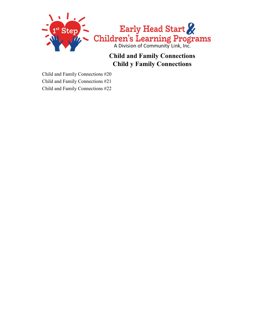

#### **Child and Family Connections Child y Family Connections**

Child and Family Connections #20 Child and Family Connections #21 Child and Family Connections #22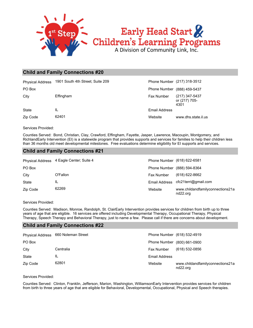

#### **Child and Family Connections #20**

| <b>Physical Address</b> | 1901 South 4th Street; Suite 209 | Phone Number (217) 318-3512 |                                         |
|-------------------------|----------------------------------|-----------------------------|-----------------------------------------|
| PO Box                  |                                  | Phone Number (888) 459-5437 |                                         |
| City                    | Effingham                        | <b>Fax Number</b>           | (217) 347-5437<br>or (217) 705-<br>4301 |
| <b>State</b>            | IL                               | Email Address               |                                         |
| Zip Code                | 62401                            | Website                     | www.dhs.state.il.us                     |

Services Provided:

Counties Served: Bond, Christian, Clay, Crawford, Effingham, Fayette, Jasper, Lawrence, Macoupin, Montgomery, and RichlandEarly Intervention (EI) is a statewide program that provides supports and services for families to help their children less than 36 months old meet developmental milestones. Free evaluations determine eligibility for EI supports and services.

#### **Child and Family Connections #21**

|          | Physical Address 4 Eagle Center; Suite 4 |                   | Phone Number (618) 622-6581                  |
|----------|------------------------------------------|-------------------|----------------------------------------------|
| PO Box   |                                          |                   | Phone Number (888) 594-8364                  |
| City     | O'Fallon                                 | <b>Fax Number</b> | $(618)$ 622-8662                             |
| State    | IL                                       |                   | Email Address cfc21terri@gmail.com           |
| Zip Code | 62269                                    | Website           | www.childandfamilyconnections21a<br>nd22.org |

#### Services Provided:

Counties Served: Madison, Monroe, Randolph, St. ClairEarly Intervention provides services for children from birth up to three years of age that are eligible. 16 services are offered including Developmental Therapy, Occupational Therapy, Physical Therapy, Speech Therapy and Behavioral Therapy, just to name a few. Please call if there are concerns about development.

#### **Child and Family Connections #22**

|          | Physical Address 660 Noleman Street |                      | Phone Number (618) 532-4919                  |
|----------|-------------------------------------|----------------------|----------------------------------------------|
| PO Box   |                                     |                      | Phone Number (800) 661-0900                  |
| City     | Centralia                           | Fax Number           | (618) 532-0856                               |
| State    | IL                                  | <b>Email Address</b> |                                              |
| Zip Code | 62801                               | Website              | www.childandfamilyconnections21a<br>nd22.org |

Services Provided:

Counties Served: Clinton, Franklin, Jefferson, Marion, Washington, WilliamsonEarly Intervention provides services for children from birth to three years of age that are eligible for Behavioral, Developmental, Occupational, Physical and Speech therapies.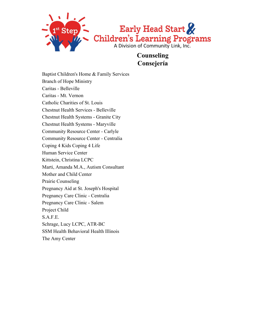

**Counseling Consejería**

Baptist Children's Home & Family Services Branch of Hope Ministry Caritas - Belleville Caritas - Mt. Vernon Catholic Charities of St. Louis Chestnut Health Services - Belleville Chestnut Health Systems - Granite City Chestnut Health Systems - Maryville Community Resource Center - Carlyle Community Resource Center - Centralia Coping 4 Kids Coping 4 Life Human Service Center Kittstein, Christina LCPC Marti, Amanda M.A., Autism Consultant Mother and Child Center Prairie Counseling Pregnancy Aid at St. Joseph's Hospital Pregnancy Care Clinic - Centralia Pregnancy Care Clinic - Salem Project Child S.A.F.E. Schrage, Lucy LCPC, ATR-BC SSM Health Behavioral Health Illinois The Amy Center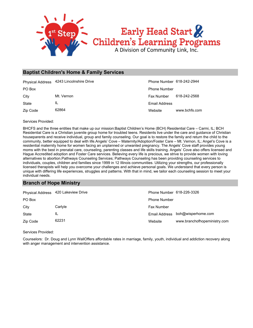

#### **Baptist Children's Home & Family Services**

|          | Physical Address 4243 Lincolnshire Drive | Phone Number 618-242-2944 |               |
|----------|------------------------------------------|---------------------------|---------------|
| PO Box   |                                          | <b>Phone Number</b>       |               |
| City     | Mt. Vernon                               | Fax Number                | 618-242-2568  |
| State    | IL                                       | Email Address             |               |
| Zip Code | 62864                                    | Website                   | www.bchfs.com |

Services Provided:

BHCFS and the three entities that make up our mission:Baptist Children's Home (BCH) Residential Care – Carmi, IL; BCH Residential Care is a Christian juvenile group home for troubled teens. Residents live under the care and guidance of Christian houseparents and receive individual, group and family counseling. Our goal is to restore the family and return the child to the community, better equipped to deal with life.Angels' Cove – Maternity/Adoption/Foster Care – Mt. Vernon, IL; Angel's Cove is a residential maternity home for women facing an unplanned or unwanted pregnancy. The Angels' Cove staff provides young moms with the best in prenatal care, counseling, parenting classes and life skills training. Angels' Cove also offers licensed and Hague Accredited adoption and Foster Care services. Believing every life is precious, we strive to provide women with loving alternatives to abortion.Pathways Counseling Services; Pathways Counseling has been providing counseling services to individuals, couples, children and families since 1999 in 12 Illinois communities. Utilizing your strengths, our professionally licensed therapists will help you overcome your challenges and achieve personal goals. We understand that every person is unique with differing life experiences, struggles and patterns. With that in mind, we tailor each counseling session to meet your individual needs.

#### **Branch of Hope Ministry**

|          | Physical Address 420 Lakeview Drive | Phone Number 618-226-3326 |                              |
|----------|-------------------------------------|---------------------------|------------------------------|
| PO Box   |                                     | <b>Phone Number</b>       |                              |
| City     | Carlyle                             | Fax Number                |                              |
| State    | IL                                  | Email Address             | boh@wisperhome.com           |
| Zip Code | 62231                               | Website                   | www.branchofhopeministry.com |

Services Provided:

Counselors: Dr. Doug and Lynn WallOffers affordable rates in marriage, family, youth, individual and addiction recovery along with anger management and intervention assistance.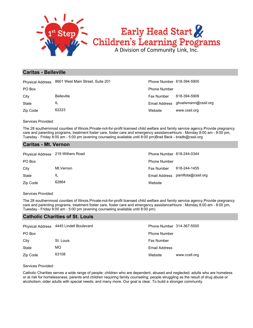

#### **Caritas - Belleville**

| <b>Physical Address</b> | 8601 West Main Street, Suite 201 | Phone Number 618-394-5900 |                                    |
|-------------------------|----------------------------------|---------------------------|------------------------------------|
| PO Box                  |                                  | <b>Phone Number</b>       |                                    |
| City                    | <b>Belleville</b>                | <b>Fax Number</b>         | 618-394-5909                       |
| State                   | IL                               |                           | Email Address ghuelsmann@cssil.org |
| Zip Code                | 62223                            | Website                   | www.cssil.org                      |

Services Provided:

The 28 southernmost counties of Illinois.Private-not-for-profit licensed child welfare and family service agency.Provide pregnancy care and parenting programs, treatment foster care, foster care and emergency assistanceHours : Monday 8:00 am - 8:00 pm, Tuesday - Friday 8:00 am - 5:00 pm (evening counseling available until 8:00 pm)Brad Beck - bradb@cssil.org

#### **Caritas - Mt. Vernon**

| Physical Address 219 Withers Road |           | Phone Number 618-244-0344 |                                  |
|-----------------------------------|-----------|---------------------------|----------------------------------|
| PO Box                            |           | <b>Phone Number</b>       |                                  |
| City                              | Mt.Vernon | <b>Fax Number</b>         | 618-244-1455                     |
| State                             | IL        |                           | Email Address pamflota@cssil.org |
| Zip Code                          | 62864     | Website                   |                                  |

#### Services Provided:

The 28 southernmost counties of Illinois.Private-not-for-profit licensed child welfare and family service agency.Provide pregnancy care and parenting programs, treatment foster care, foster care and emergency assistanceHours : Monday 8:00 am - 8:00 pm, Tuesday - Friday 8:00 am - 5:00 pm (evening counseling available until 8:00 pm)

#### **Catholic Charities of St. Louis**

| <b>Physical Address</b> | 4445 Lindell Boulevard | Phone Number 314-367-5500 |               |
|-------------------------|------------------------|---------------------------|---------------|
| PO Box                  |                        | <b>Phone Number</b>       |               |
| City                    | St. Louis              | <b>Fax Number</b>         |               |
| State                   | MO.                    | Email Address             |               |
| Zip Code                | 63108                  | Website                   | www.ccstl.org |

Services Provided:

Catholic Charities serves a wide range of people: children who are dependent, abused and neglected; adults who are homeless or at risk for homelessness; parents and children requiring family counseling; people struggling as the result of drug abuse or alcoholism; older adults with special needs; and many more. Our goal is clear. To build a stronger community.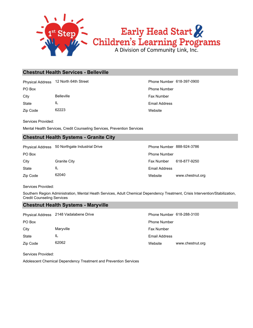

#### **Chestnut Health Services - Belleville**

Physical Address 12 North 64th Street Phone Number 618-397-0900

Zip Code 62223 State IL City Belleville **Belleville** Fax Number

**Website** Email Address PO Box Phone Number

Services Provided:

Mental Health Services, Credit Counseling Services, Prevention Services

#### **Chestnut Health Systems - Granite City**

Physical Address 50 Northgate Industrial Drive **Phone Number 888-924-3786** 

| PO Box   |                     |
|----------|---------------------|
| City     | <b>Granite City</b> |
| State    | Ш.                  |
| Zip Code | 62040               |

Website www.chestnut.org Email Address Fax Number 618-877-9250 Phone Number

Services Provided:

Southern Region Administration, Mental Heath Services, Adult Chemical Dependency Treatment, Crisis Intervention/Stabilization, Credit Counseling Services

#### **Chestnut Health Systems - Maryville**

|          | Physical Address 2148 Vadalabene Drive | Phone Number 618-288-3100 |                  |
|----------|----------------------------------------|---------------------------|------------------|
| PO Box   |                                        | <b>Phone Number</b>       |                  |
| City     | Maryville                              | <b>Fax Number</b>         |                  |
| State    | IL                                     | Email Address             |                  |
| Zip Code | 62062                                  | Website                   | www.chestnut.org |

Services Provided:

Adolescent Chemical Dependency Treatment and Prevention Services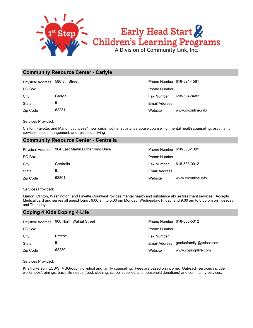

#### **Community Resource Center - Carlyle**

Physical Address 580 8th Street Phone Number 618-594-4581

Zip Code 62231 State IL

Website www.crconline.info Email Address City Carlyle Fax Number 618-594-8482 PO Box Phone Number

Services Provided:

Clinton, Fayette, and Marion counties24 hour crisis hotline, substance abuse counseling, mental health counseling, psychiatric services, case management, and residential living

#### **Community Resource Center - Centralia**

|          | Physical Address 904 East Martin Luther King Drive | Phone Number 618-533-1391 |                    |
|----------|----------------------------------------------------|---------------------------|--------------------|
| PO Box   |                                                    | <b>Phone Number</b>       |                    |
| City     | Centralia                                          | <b>Fax Number</b>         | 618-533-0012       |
| State    | IL                                                 | Email Address             |                    |
| Zip Code | 62801                                              | Website                   | www.crconline.info |

Services Provided:

Marion, Clinton, Washington, and Fayette CountiesProvides mental health and substance abuse treatment services. Accepts Medical card and serves all ages.Hours : 9:00 am to 5:00 pm Monday, Wednesday, Friday, and 9:00 am to 8:00 pm on Tuesday, and Thursday

#### **Coping 4 Kids Coping 4 Life**

|          | Physical Address 900 North Walnut Street | Phone Number 618-830-5312 |                                       |
|----------|------------------------------------------|---------------------------|---------------------------------------|
| PO Box   |                                          | <b>Phone Number</b>       |                                       |
| City     | <b>Breese</b>                            | <b>Fax Number</b>         |                                       |
| State    | IL                                       |                           | Email Address geniusfamilyl@yahoo.com |
| Zip Code | 62230                                    | Website                   | www.coping4life.com                   |

Services Provided:

Kris Fulkerson, LCSW, MSGroup, individual and family counseling. Fees are based on income. Outreach services include workshops/trainings, basic life needs (food, clothing, school supplies, and household donations) and community services.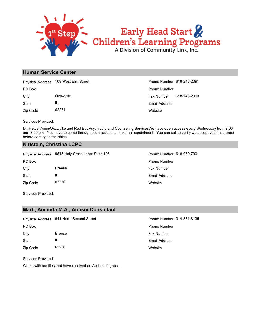

#### **Human Service Center**

|          | Physical Address 109 West Elm Street | Phone Number 618-243-2091 |              |
|----------|--------------------------------------|---------------------------|--------------|
| PO Box   |                                      | <b>Phone Number</b>       |              |
| City     | Okawville                            | Fax Number                | 618-243-2093 |
| State    | ΙL                                   | Email Address             |              |
| Zip Code | 62271                                | Website                   |              |

Services Provided:

Dr. Hetcel Amin/Okawville and Red BudPsychiatric and Counseling ServicesWe have open access every Wednesday from 9:00 am -3:00 pm. You have to come through open access to make an appointment. You can call to verify we accept your insurance before coming to the office.

#### **Kittstein, Christina LCPC**

|          | Physical Address 9515 Holy Cross Lane; Suite 105 |
|----------|--------------------------------------------------|
| PO Box   |                                                  |
| City     | <b>Breese</b>                                    |
| State    | IL                                               |
| Zip Code | 62230                                            |

**Website** Email Address Fax Number Phone Number Phone Number 618-979-7301

Services Provided:

#### **Marti, Amanda M.A., Autism Consultant**

|          | Physical Address 644 North Second Street | Phone Number 314-881-8135 |
|----------|------------------------------------------|---------------------------|
| PO Box   |                                          | <b>Phone Number</b>       |
| City     | <b>Breese</b>                            | <b>Fax Number</b>         |
| State    | ΙL                                       | Email Address             |
| Zip Code | 62230                                    | Website                   |

Services Provided:

Works with families that have received an Autism diagnosis.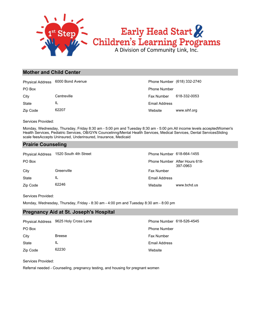

#### **Mother and Child Center**

|          | Physical Address 6000 Bond Avenue |                      | Phone Number (618) 332-2740 |
|----------|-----------------------------------|----------------------|-----------------------------|
| PO Box   |                                   | <b>Phone Number</b>  |                             |
| City     | Centreville                       | <b>Fax Number</b>    | 618-332-0053                |
| State    | IL                                | <b>Email Address</b> |                             |
| Zip Code | 62207                             | Website              | www.sihf.org                |

Services Provided:

Monday, Wednesday, Thursday, Friday 8:30 am - 5:00 pm and Tuesday 8:30 am - 5:00 pm.All income levels acceptedWomen's Health Services, Pediatric Services, OB/GYN Councelinng/Mental Health Services, Medical Services, Dental ServicesSliding scale feesAccepts Uninsured, Underinsured, Insurance, Medicaid

#### **Prairie Counseling**

| <b>Physical Address</b> | 1520 South 4th Street | Phone Number 618-664-1455 |                                           |
|-------------------------|-----------------------|---------------------------|-------------------------------------------|
| PO Box                  |                       |                           | Phone Number After Hours 618-<br>397-0963 |
| City                    | Greenville            | <b>Fax Number</b>         |                                           |
| <b>State</b>            | IL                    | Email Address             |                                           |
| Zip Code                | 62246                 | Website                   | www.bchd.us                               |

Services Provided:

Monday, Wednesday, Thursday, Friday - 8:30 am - 4:00 pm and Tuesday 8:30 am - 8:00 pm

#### **Pregnancy Aid at St. Joseph's Hospital**

|          | Physical Address 9625 Holy Cross Lane | Phone Number 618-526-4545 |  |
|----------|---------------------------------------|---------------------------|--|
| PO Box   |                                       | <b>Phone Number</b>       |  |
| City     | <b>Breese</b>                         | Fax Number                |  |
| State    | IL                                    | Email Address             |  |
| Zip Code | 62230                                 | Website                   |  |

Services Provided:

Referral needed - Counseling, pregnancy testing, and housing for pregnant women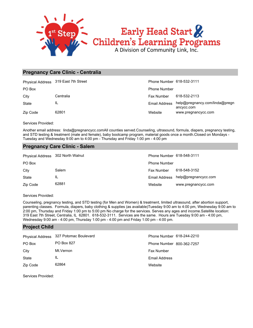

#### **Pregnancy Care Clinic - Centralia**

|          | Physical Address 319 East 7th Street | Phone Number 618-532-3111 |                                              |
|----------|--------------------------------------|---------------------------|----------------------------------------------|
| PO Box   |                                      | <b>Phone Number</b>       |                                              |
| City     | Centralia                            | Fax Number                | 618-532-2113                                 |
| State    | IL                                   | Email Address             | help@pregnancy.com/linda@pregn<br>ancycc.com |
| Zip Code | 62801                                | Website                   | www.pregnancycc.com                          |

Services Provided:

Another email address: linda@pregnancycc.comAll counties served.Counseling, ultrasound, formula, diapers, pregnancy testing, and STD testing & treatment (male and female), baby bootcamp program, material goods once a month.Closed on Mondays - Tuesday and Wednesday 9:00 am to 4:00 pm - Thursday and Friday 1:00 pm - 4:00 pm

#### **Pregnancy Care Clinic - Salem**

| Physical Address 302 North Walnut |       | Phone Number 618-548-3111 |                                    |
|-----------------------------------|-------|---------------------------|------------------------------------|
| PO Box                            |       | <b>Phone Number</b>       |                                    |
| City                              | Salem | Fax Number                | 618-548-3152                       |
| State                             | IL    |                           | Email Address help@pregnancycc.com |
| Zip Code                          | 62881 | Website                   | www.pregnancycc.com                |

Services Provided:

Counseling, pregnancy testing, and STD testing (for Men and Women) & treatment, limited ultrasound, after abortion support, parenting classes. Formula, diapers, baby clothing & supplies (as available)Tuesday 9:00 am to 4:00 pm, Wednesday 9:00 am to 2:00 pm, Thursday and Friday 1:00 pm to 5:00 pm No charge for the services. Serves any ages and income.Satellite location: 319 East 7th Street, Centralia, IL 62801. 618-532-3111. Services are the same. Hours are Tuesday 9:00 am - 4:00 pm, Wednesday 9:00 am - 4:00 pm, Thursday 1:00 pm - 4:00 pm and Friday 1:00 pm - 4:00 pm.

#### **Project Child**

|          | Physical Address 327 Potomac Boulevard | Phone Number 618-244-2210 |
|----------|----------------------------------------|---------------------------|
| PO Box   | PO Box 827                             | Phone Number 800-362-7257 |
| City     | Mt.Vernon                              | <b>Fax Number</b>         |
| State    | IL                                     | <b>Email Address</b>      |
| Zip Code | 62864                                  | Website                   |

Services Provided: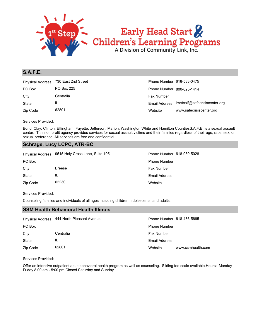

#### **S.A.F.E.**

| <b>Physical Address</b> | 730 East 2nd Street | Phone Number 618-533-0475 |                                             |
|-------------------------|---------------------|---------------------------|---------------------------------------------|
| PO Box                  | PO Box 225          | Phone Number 800-625-1414 |                                             |
| City                    | Centralia           | Fax Number                |                                             |
| State                   | IL                  |                           | Email Address Imetcalf@safecrisiscenter.org |
| Zip Code                | 62801               | Website                   | www.safecrisiscenter.org                    |

Services Provided:

Bond, Clay, Clinton, Effingham, Fayette, Jefferson, Marion, Washington White and Hamilton CountiesS.A.F.E. is a sexual assault center. This non profit agency provides services for sexual assault victims and their families regardless of their age, race, sex, or sexual preference. All services are free and confidential.

#### **Schrage, Lucy LCPC, ATR-BC**

|              | Physical Address 9515 Holy Cross Lane, Suite 105 | Phone Number 618-980-5028 |
|--------------|--------------------------------------------------|---------------------------|
| PO Box       |                                                  | <b>Phone Number</b>       |
| City         | <b>Breese</b>                                    | <b>Fax Number</b>         |
| <b>State</b> | IL                                               | Email Address             |
| Zip Code     | 62230                                            | Website                   |

#### Services Provided:

Counseling families and individuals of all ages including children, adolescents, and adults.

#### **SSM Health Behavioral Health Illinois**

|              | Physical Address 444 North Pleasant Avenue | Phone Number 618-436-5665 |                   |
|--------------|--------------------------------------------|---------------------------|-------------------|
| PO Box       |                                            | <b>Phone Number</b>       |                   |
| City         | Centralia                                  | <b>Fax Number</b>         |                   |
| <b>State</b> | IL                                         | Email Address             |                   |
| Zip Code     | 62801                                      | Website                   | www.ssmhealth.com |

#### Services Provided:

Offer an intensive outpatient adult behavioral health program as well as counseling. Sliding fee scale available.Hours: Monday - Friday 8:00 am - 5:00 pm Closed Saturday and Sunday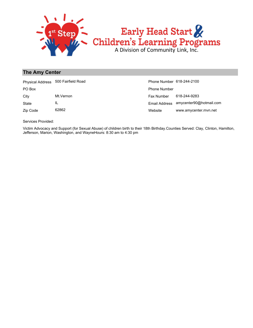

#### **The Amy Center**

|              | Physical Address 500 Fairfield Road | Phone Number 618-244-2100 |                         |
|--------------|-------------------------------------|---------------------------|-------------------------|
| PO Box       |                                     | <b>Phone Number</b>       |                         |
| City         | Mt.Vernon                           | Fax Number                | 618-244-9283            |
| <b>State</b> | IL                                  | Email Address             | amycenter90@hotmail.com |
| Zip Code     | 62862                               | Website                   | www.amycenter.mvn.net   |

Services Provided:

Victim Advocacy and Support (for Sexual Abuse) of children birth to their 18th Birthday.Counties Served: Clay, Clinton, Hamilton, Jefferson, Marion, Washington, and WayneHours: 8:30 am to 4:30 pm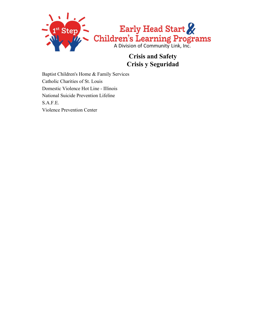

#### **Crisis and Safety Crisis y Seguridad**

Baptist Children's Home & Family Services Catholic Charities of St. Louis Domestic Violence Hot Line - Illinois National Suicide Prevention Lifeline S.A.F.E. Violence Prevention Center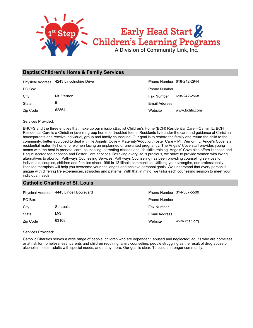

#### **Baptist Children's Home & Family Services**

|          | Physical Address 4243 Lincolnshire Drive | Phone Number 618-242-2944 |               |
|----------|------------------------------------------|---------------------------|---------------|
| PO Box   |                                          | <b>Phone Number</b>       |               |
| City     | Mt. Vernon                               | <b>Fax Number</b>         | 618-242-2568  |
| State    | IL                                       | Email Address             |               |
| Zip Code | 62864                                    | Website                   | www.bchfs.com |

Services Provided:

BHCFS and the three entities that make up our mission:Baptist Children's Home (BCH) Residential Care – Carmi, IL; BCH Residential Care is a Christian juvenile group home for troubled teens. Residents live under the care and guidance of Christian houseparents and receive individual, group and family counseling. Our goal is to restore the family and return the child to the community, better equipped to deal with life.Angels' Cove – Maternity/Adoption/Foster Care – Mt. Vernon, IL; Angel's Cove is a residential maternity home for women facing an unplanned or unwanted pregnancy. The Angels' Cove staff provides young moms with the best in prenatal care, counseling, parenting classes and life skills training. Angels' Cove also offers licensed and Hague Accredited adoption and Foster Care services. Believing every life is precious, we strive to provide women with loving alternatives to abortion.Pathways Counseling Services; Pathways Counseling has been providing counseling services to individuals, couples, children and families since 1999 in 12 Illinois communities. Utilizing your strengths, our professionally licensed therapists will help you overcome your challenges and achieve personal goals. We understand that every person is unique with differing life experiences, struggles and patterns. With that in mind, we tailor each counseling session to meet your individual needs.

#### **Catholic Charities of St. Louis**

|          | Physical Address 4445 Lindell Boulevard | Phone Number 314-367-5500 |               |
|----------|-----------------------------------------|---------------------------|---------------|
| PO Box   |                                         | <b>Phone Number</b>       |               |
| City     | St. Louis                               | <b>Fax Number</b>         |               |
| State    | МO                                      | Email Address             |               |
| Zip Code | 63108                                   | Website                   | www.ccstl.org |

Services Provided:

Catholic Charities serves a wide range of people: children who are dependent, abused and neglected; adults who are homeless or at risk for homelessness; parents and children requiring family counseling; people struggling as the result of drug abuse or alcoholism; older adults with special needs; and many more. Our goal is clear. To build a stronger community.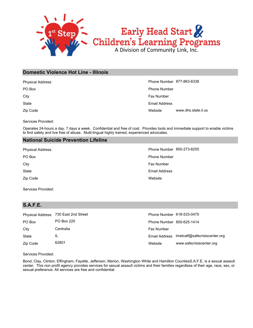

#### **Domestic Violence Hot Line - Illinois**

| <b>Physical Address</b> | Phone Number 877-863-6338 |                     |
|-------------------------|---------------------------|---------------------|
| PO Box                  | <b>Phone Number</b>       |                     |
| City                    | Fax Number                |                     |
| State                   | Email Address             |                     |
| Zip Code                | Website                   | www.dhs.state.il.us |

Services Provided:

Operates 24-hours a day, 7 days a week. Confidential and free of cost. Provides tools and immediate support to enable victims to find safety and live free of abuse. Multi-lingual highly trained, experienced advocates.

#### **National Suicide Prevention Lifeline**

| Phone Number 800-273-8255 |
|---------------------------|
| <b>Phone Number</b>       |
| Fax Number                |
| <b>Email Address</b>      |
| Website                   |
|                           |

Services Provided:

#### **S.A.F.E.**

| <b>Physical Address</b> | 730 East 2nd Street | Phone Number 618-533-0475 |                                             |
|-------------------------|---------------------|---------------------------|---------------------------------------------|
| PO Box                  | <b>PO Box 225</b>   | Phone Number 800-625-1414 |                                             |
| City                    | Centralia           | <b>Fax Number</b>         |                                             |
| State                   | IL                  |                           | Email Address Imetcalf@safecrisiscenter.org |
| Zip Code                | 62801               | Website                   | www.safecrisiscenter.org                    |

Services Provided:

Bond, Clay, Clinton, Effingham, Fayette, Jefferson, Marion, Washington White and Hamilton CountiesS.A.F.E. is a sexual assault center. This non profit agency provides services for sexual assault victims and their families regardless of their age, race, sex, or sexual preference. All services are free and confidential.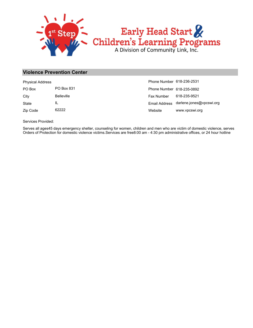

#### **Violence Prevention Center**

| <b>Physical Address</b> |                   | Phone Number 618-236-2531 |                                        |
|-------------------------|-------------------|---------------------------|----------------------------------------|
| PO Box                  | PO Box 831        | Phone Number 618-235-0892 |                                        |
| City                    | <b>Belleville</b> | <b>Fax Number</b>         | 618-235-9521                           |
| State                   | IL                |                           | Email Address darlene.jones@vpcswi.org |
| Zip Code                | 62222             | Website                   | www.vpcswi.org                         |

Services Provided:

Serves all ages45 days emergency shelter, counseling for women, children and men who are victim of domestic violence, serves Orders of Protection for domestic violence victims.Services are free8:00 am - 4:30 pm administrative offices, or 24 hour hotline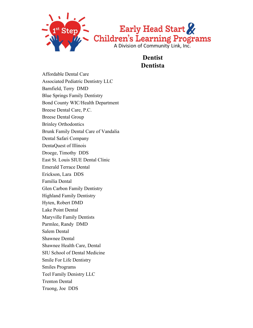

**Dentist Dentista**

Affordable Dental Care Associated Pediatric Dentistry LLC Barnfield, Terry DMD Blue Springs Family Dentistry Bond County WIC/Health Department Breese Dental Care, P.C. Breese Dental Group Brinley Orthodontics Brunk Family Dental Care of Vandalia Dental Safari Company DentaQuest of Illinois Droege, Timothy DDS East St. Louis SIUE Dental Clinic Emerald Terrace Dental Erickson, Lara DDS Familia Dental Glen Carbon Family Dentistry Highland Family Dentistry Hyten, Robert DMD Lake Point Dental Maryville Family Dentists Parmlee, Randy DMD Salem Dental Shawnee Dental Shawnee Health Care, Dental SIU School of Dental Medicine Smile For Life Dentistry Smiles Programs Teel Family Denistry LLC Trenton Dental Truong, Joe DDS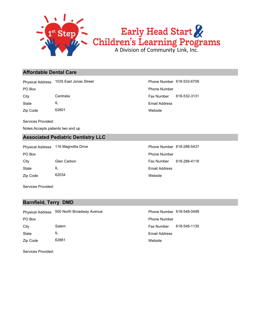

### Early Head Start Children's Learning Programs

#### **Affordable Dental Care**

Physical Address 1035 East Jonas Street **Phone Number 618-533-6709** 

State IL

Zip Code 62801

Services Provided:

Notes:Accepts patients two and up

#### **Associated Pediatric Dentistry LLC**

Zip Code 62034 State IL City Glen Carbon **Fax Number** 618-288-4118 PO Box **Phone Number** Po Box **Phone Number** Phone Number Physical Address 116 Magnollia Drive **Phone Number 618-288-5437** 

**Website** Email Address City Centralia Fax Number 618-532-3131 PO Box Phone Number

> Website Email Address

Services Provided:

#### **Barnfield, Terry DMD**

**Website** Email Address Zip Code 62881 State IL City Salem Salem Salem Fax Number 618-548-1135 PO Box **Phone Number** Po Box **Phone Number** Po Box **Phone Number** Physical Address 500 North Broadway Avenue **Phone Number 618-548-0499** 

Services Provided: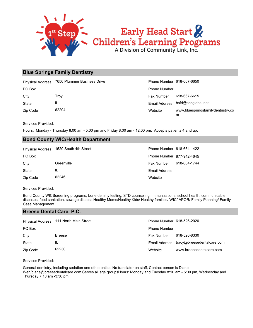

#### **Blue Springs Family Dentistry**

| <b>Physical Address</b> | 7656 Plummer Business Drive | Phone Number 618-667-6650 |                                         |
|-------------------------|-----------------------------|---------------------------|-----------------------------------------|
| PO Box                  |                             | <b>Phone Number</b>       |                                         |
| City                    | Trov                        | Fax Number                | 618-667-6615                            |
| State                   | IL                          | Email Address             | bsfd@sbcqlobal.net                      |
| Zip Code                | 62294                       | Website                   | www.bluespringsfamilydentristry.co<br>m |

Services Provided:

Hours: Monday - Thursday 8:00 am - 5:00 pm and Friday 8:00 am - 12:00 pm. Accepts patients 4 and up.

#### **Bond County WIC/Health Department**

|          | Physical Address 1520 South 4th Street | Phone Number 618-664-1422 |              |
|----------|----------------------------------------|---------------------------|--------------|
| PO Box   |                                        | Phone Number 877-942-4645 |              |
| City     | Greenville                             | Fax Number                | 618-664-1744 |
| State    | IL                                     | Email Address             |              |
| Zip Code | 62246                                  | Website                   |              |

Services Provided:

Bond County WICScreening programs, bone density testing, STD counseling, immunizations, school health, communicable diseases, food sanitation, sewage disposalHealthy Moms/Healthy Kids/ Healthy families/ WIC/ APOR/ Family Planning/ Family Case Management

#### **Breese Dental Care, P.C.**

|          | Physical Address 111 North Main Street | Phone Number 618-526-2020 |                                          |
|----------|----------------------------------------|---------------------------|------------------------------------------|
| PO Box   |                                        | <b>Phone Number</b>       |                                          |
| City     | <b>Breese</b>                          | <b>Fax Number</b>         | 618-526-8330                             |
| State    | IL                                     |                           | Email Address tracy@breesedentalcare.com |
| Zip Code | 62230                                  | Website                   | www.breesedentalcare.com                 |

Services Provided:

General dentistry, including sedation and othodontics. No translator on staff, Contact person is Diane Weh/diane@breesedentalcare.com.Serves all age groupsHours: Monday and Tuesday 8:10 am - 5:00 pm, Wednesday and Thursday 7:10 am -3:30 pm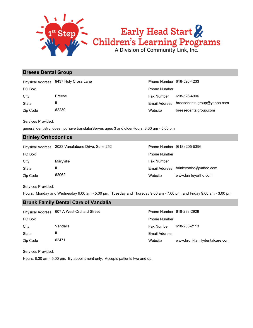

# Early Head Start<br>Children's Learning Programs<br>A Division of Community Link, Inc.

#### **Breese Dental Group**

City Breese Breese Fax Number 618-526-4906 PO Box Phone Number Physical Address 9437 Holy Cross Lane **Phone Number 618-526-4233** 

Zip Code 62230 State IL

Website breesedentalgroup.com Email Address breesedentalgroup@yahoo.com

Phone Number (618) 205-5396

Services Provided:

general dentistry, does not have translatorServes ages 3 and olderHours: 8:30 am - 5:00 pm

#### **Brinley Orthodontics**

| Physical Address 2023 Vanalabene Drive; Suite 252 |
|---------------------------------------------------|
|                                                   |

| $\ldots$ , $\ldots$ , $\ldots$ , $\ldots$ |           |                     |                        |
|-------------------------------------------|-----------|---------------------|------------------------|
| PO Box                                    |           | <b>Phone Number</b> |                        |
| City                                      | Maryville | Fax Number          |                        |
| State                                     | ΙL        | Email Address       | brinleyortho@yahoo.com |
| Zip Code                                  | 62062     | Website             | www.brinleyortho.com   |

Services Provided:

Hours: Monday and Wednesday 9:00 am - 5:00 pm. Tuesday and Thursday 9:00 am - 7:00 pm. and Friday 9:00 am - 3:00 pm.

#### **Brunk Family Dental Care of Vandalia**

|          | Physical Address 607 A West Orchard Street | Phone Number 618-283-2929 |                               |
|----------|--------------------------------------------|---------------------------|-------------------------------|
| PO Box   |                                            | <b>Phone Number</b>       |                               |
| City     | Vandalia                                   | Fax Number                | 618-283-2113                  |
| State    | IL                                         | <b>Email Address</b>      |                               |
| Zip Code | 62471                                      | Website                   | www.brunkfamilydentalcare.com |

Services Provided:

Hours: 8:30 am - 5:00 pm. By appointment only. Accepts patients two and up.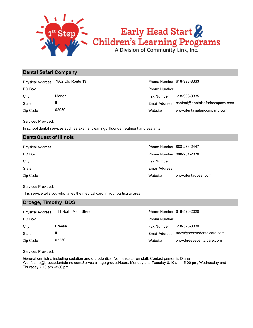

# Early Head Start & Children's Learning Programs

#### **Dental Safari Company**

Physical Address 7562 Old Route 13 Phone Number 618-993-8333

Zip Code 62959 State IL

Website www.dentalsafaricompany.com Email Address contact@dentalsafaricompany.com City **Marion** Marion **Fax Number 618-993-8335** PO Box Phone Number

Services Provided:

In school dental services such as exams, cleanings, fluoride treatment and sealants.

#### **DentaQuest of Illinois**

| <b>Physical Address</b> | Phone Number 888-286-2447 |                    |
|-------------------------|---------------------------|--------------------|
| PO Box                  | Phone Number 888-281-2076 |                    |
| City                    | <b>Fax Number</b>         |                    |
| State                   | Email Address             |                    |
| Zip Code                | Website                   | www.dentaquest.com |

Services Provided:

This service tells you who takes the medical card in your particular area.

#### **Droege, Timothy DDS**

|          | Physical Address 111 North Main Street | Phone Number 618-526-2020 |                                          |
|----------|----------------------------------------|---------------------------|------------------------------------------|
| PO Box   |                                        | <b>Phone Number</b>       |                                          |
| City     | <b>Breese</b>                          | <b>Fax Number</b>         | 618-526-8330                             |
| State    | ΙL                                     |                           | Email Address tracy@breesedentalcare.com |
| Zip Code | 62230                                  | Website                   | www.breesedentalcare.com                 |

Services Provided:

General dentistry, including sedation and orthodontics. No translator on staff, Contact person is Diane Weh/diane@breesedentalcare.com.Serves all age groupsHours: Monday and Tuesday 8:10 am - 5:00 pm, Wednesday and Thursday 7:10 am -3:30 pm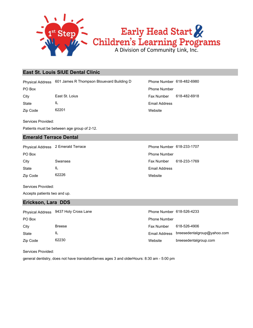

#### **East St. Louis SIUE Dental Clinic**

Physical Address 601 James R Thompson Blouevard Building D Phone Number 618-482-6980

State IL City East St. Loius Fax Number 618-482-6918

Zip Code 62201

Services Provided:

Patients must be between age group of 2-12.

#### **Emerald Terrace Dental**

PO Box **Phone Number** Po Box **Phone Number** Po Box **Phone Number** Po Box **Phone Number** Physical Address 2 Emerald Terrace **Phone Number 618-233-1707** 

Zip Code 62226 State IL

**Website** Email Address PO Box Phone Number

Website Email Address City Swansea Swansea Fax Number 618-233-1769

Services Provided:

Accepts patients two and up.

#### **Erickson, Lara DDS**

|          | Physical Address 9437 Holy Cross Lane | Phone Number 618-526-4233 |                             |
|----------|---------------------------------------|---------------------------|-----------------------------|
| PO Box   |                                       | <b>Phone Number</b>       |                             |
| City     | <b>Breese</b>                         | <b>Fax Number</b>         | 618-526-4906                |
| State    | IL                                    | Email Address             | breesedentalgroup@yahoo.com |
| Zip Code | 62230                                 | Website                   | breesedentalgroup.com       |

Services Provided:

general dentistry, does not have translatorServes ages 3 and olderHours: 8:30 am - 5:00 pm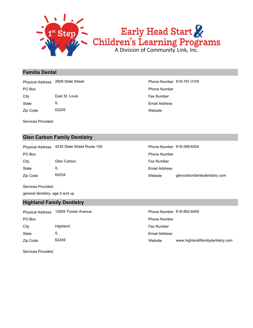

#### **Familia Dental**

Zip Code 62205 State IL City **East St. Louis Fax Number East St. Louis** Fax Number PO Box Phone Number Physical Address 2608 State Street Phone Number 618-791-3105

Services Provided:

#### **Glen Carbon Family Dentistry**

PO Box **Phone Number** Policy **Phone Number** Phone Number **Phone Number** Phone Number Physical Address 4235 State Street Route 159

Zip Code 62034 State IL City Glen Carbon **Website** Email Address

| Phone Number 618-288-6204 |                               |
|---------------------------|-------------------------------|
| <b>Phone Number</b>       |                               |
| <b>Fax Number</b>         |                               |
| <b>Email Address</b>      |                               |
| Website                   | glencarbonfamilydentistry.com |
|                           |                               |

Services Provided:

general dentistry, age 5 and up

#### **Highland Family Dentistry**

| <b>Physical Address</b> | 12605 Troxler Avenue | Phone Number 618-882-6405 |                                   |
|-------------------------|----------------------|---------------------------|-----------------------------------|
| PO Box                  |                      | <b>Phone Number</b>       |                                   |
| City                    | Highland             | <b>Fax Number</b>         |                                   |
| State                   | IL                   | Email Address             |                                   |
| Zip Code                | 62249                | Website                   | www.highlandilfamilydentistry.com |

Services Provided: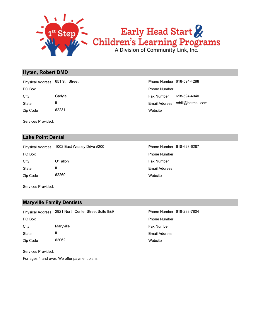

Early Head Start & Children's Learning Programs

#### **Hyten, Robert DMD**

Zip Code 62231 State IL City Carlyle Fax Number 618-594-4040 PO Box Phone Number Physical Address 651 9th Street Phone Number 618-594-4288

**Website** Email Address rshiii@hotmail.com

Services Provided:

#### **Lake Point Dental**

PO Box **Phone Number** Po Box **Phone Number** Phone Number Physical Address 1002 East Wealey Drive #200 Phone Number 618-628-6287

Zip Code 62269 State IL City **O'Fallon C'Execution C'Execution Fax Number** 

**Website** Email Address

Services Provided:

#### **Maryville Family Dentists**

Zip Code 62062 State IL City Maryville Maryon Maryon Maryon Maryon Maryon Maryon Maryon Maryon Maryon Maryon Maryon Maryon Maryon Maryon Maryon Maryon Maryon Maryon Maryon Maryon Maryon Maryon Maryon Maryon Maryon Maryon Maryon Maryon Maryon Mary PO Box Phone Number Physical Address 2921 North Center Street Suite 8&9 Phone Number 618-288-7804

**Website** Email Address

Services Provided:

For ages 4 and over. We offer payment plans.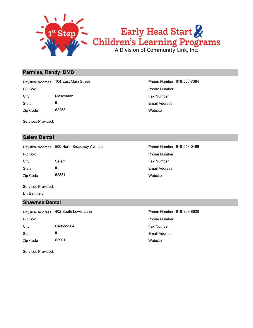

# Early Head Start<br>Children's Learning Programs<br>A Division of Community Link, Inc.

#### **Parmlee, Randy DMD**

Zip Code 62258 State IL City Mascoutah Mascoutah Fax Number PO Box Phone Number Physical Address 104 East Main Street **Phone Number 618-566-7384** 

Services Provided:

#### **Salem Dental**

Physical Address 500 North Broadway Avenue **Phone Number 618-548-0499** 

Zip Code 62881 State IL City Salem Salem Salem Salem Salem Salem Salem Salem Salem Salem Salem Salem Salem Salem Salem Salem Salem Salem Salem Salem Salem Salem Salem Salem Salem Salem Salem Salem Salem Salem Salem Salem Salem Salem Salem Salem S PO Box **Phone Number** Po Box **Phone Number** Po Box **Phone Number** 

Services Provided:

Dr. Barnfield

#### **Shawnee Dental**

Zip Code 62901 State IL City Carbondale **Fax Number** Carbondale PO Box Phone Number Physical Address 402 South Lewis Lane **Phone Number 618-969-8600** 

**Website** Email Address

Services Provided:

**Website** Email Address

**Website** Email Address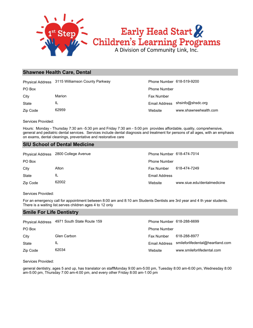

#### **Shawnee Health Care, Dental**

|          | Physical Address 3115 Williamson County Parkway | Phone Number 618-519-9200 |                                 |
|----------|-------------------------------------------------|---------------------------|---------------------------------|
| PO Box   |                                                 | <b>Phone Number</b>       |                                 |
| City     | Marion                                          | <b>Fax Number</b>         |                                 |
| State    | IL                                              |                           | Email Address shsinfo@shsdc.org |
| Zip Code | 62959                                           | Website                   | www.shawneehealth.com           |

Services Provided:

Hours: Monday - Thursday 7:30 am -5:30 pm and Friday 7:30 am - 5:00 pm provides affordable, quality, comprehensive, general and pediatric dental services. Services include dental diagnosis and treatment for persons of all ages, with an emphasis on exams, dental cleanings, preventative and restorative care

#### **SIU School of Dental Medicine**

|          | Physical Address 2800 College Avenue | Phone Number 618-474-7014 |                             |
|----------|--------------------------------------|---------------------------|-----------------------------|
| PO Box   |                                      | <b>Phone Number</b>       |                             |
| City     | Alton                                | Fax Number                | 618-474-7249                |
| State    | IL                                   | <b>Email Address</b>      |                             |
| Zip Code | 62002                                | Website                   | www.siue.edu/dentalmedicine |

Services Provided:

For an emergency call for appointment between 8:00 am and 8:10 am Students Dentists are 3rd year and 4 th year students. There is a waiting list.serves children ages 4 to 12 only

#### **Smile For Life Dentistry**

| <b>Physical Address</b> | 4971 South State Route 159 | Phone Number 618-288-6699 |                                  |
|-------------------------|----------------------------|---------------------------|----------------------------------|
| PO Box                  |                            | <b>Phone Number</b>       |                                  |
| City                    | Glen Carbon                | <b>Fax Number</b>         | 618-288-8977                     |
| State                   | IL                         | Email Address             | smileforlifedental@heartland.com |
| Zip Code                | 62034                      | Website                   | www.smileforlifedental.com       |

Services Provided:

general dentistry, ages 5 and up, has translator on staffMonday 9:00 am-5:00 pm, Tuesday 8:00 am-6:00 pm, Wednesday 8:00 am-5:00 pm, Thursday 7:00 am-4:00 pm, and every other Friday 8:00 am-1:00 pm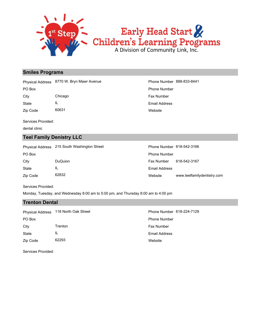

#### **Smiles Programs**

Physical Address 8770 W. Bryn Mawr Avenue **Phone Number 888-833-8441** 

Zip Code 60631 State IL City Chicago Chicago **Fax Number** Chicago **Fax Number** Chicago **Fax Number** Chicago **Fax Number** 

Services Provided:

dental clinic

#### **Teel Family Denistry LLC**

**Website** Email Address PO Box Phone Number

|                | Phone Number 618-542-3166                    |                             |
|----------------|----------------------------------------------|-----------------------------|
|                | <b>Phone Number</b>                          |                             |
| <b>DuQuion</b> | <b>Fax Number</b>                            | 618-542-3167                |
| IL             | Email Address                                |                             |
| 62832          | Website                                      | www.teelfamilydentistry.com |
|                | Physical Address 215 South Washington Street |                             |

Services Provided:

Monday, Tuesday, and Wednesday 8:00 am to 5:00 pm, and Thursday 8:00 am to 4:00 pm

#### **Trenton Dental**

State IL City **Trenton** Trenton **Fax Number** Fax Number PO Box Phone Number Physical Address 118 North Oak Street Phone Number 618-224-7129

**Website** Email Address

Services Provided:

Zip Code 62293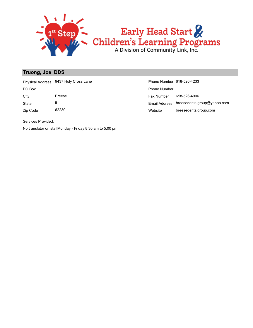

#### **Truong, Joe DDS**

Physical Address 9437 Holy Cross Lane **Phone Number 618-526-4233** 

State IL

Zip Code 62230

Website breesedentalgroup.com Email Address breesedentalgroup@yahoo.com City Breese Breese Fax Number 618-526-4906 PO Box Phone Number

Services Provided:

No translator on staffMonday - Friday 8:30 am to 5:00 pm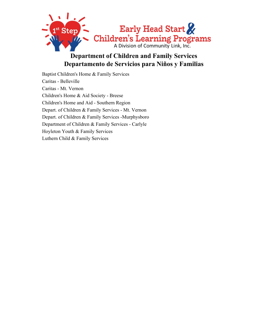

#### **Department of Children and Family Services Departamento de Servicios para Niños y Familias**

Baptist Children's Home & Family Services Caritas - Belleville Caritas - Mt. Vernon Children's Home & Aid Society - Breese Children's Home and Aid - Southern Region Depart. of Children & Family Services - Mt. Vernon Depart. of Children & Family Services -Murphysboro Department of Children & Family Services - Carlyle Hoyleton Youth & Family Services Luthern Child & Family Services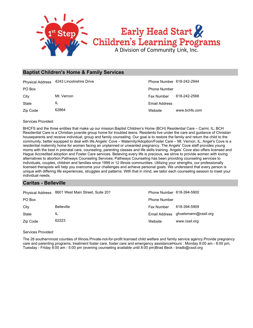

#### **Baptist Children's Home & Family Services**

|          | Physical Address 4243 Lincolnshire Drive | Phone Number 618-242-2944 |               |
|----------|------------------------------------------|---------------------------|---------------|
| PO Box   |                                          | <b>Phone Number</b>       |               |
| City     | Mt. Vernon                               | Fax Number                | 618-242-2568  |
| State    | IL                                       | Email Address             |               |
| Zip Code | 62864                                    | Website                   | www.bchfs.com |

Services Provided:

BHCFS and the three entities that make up our mission:Baptist Children's Home (BCH) Residential Care – Carmi, IL; BCH Residential Care is a Christian juvenile group home for troubled teens. Residents live under the care and guidance of Christian houseparents and receive individual, group and family counseling. Our goal is to restore the family and return the child to the community, better equipped to deal with life.Angels' Cove – Maternity/Adoption/Foster Care – Mt. Vernon, IL; Angel's Cove is a residential maternity home for women facing an unplanned or unwanted pregnancy. The Angels' Cove staff provides young moms with the best in prenatal care, counseling, parenting classes and life skills training. Angels' Cove also offers licensed and Hague Accredited adoption and Foster Care services. Believing every life is precious, we strive to provide women with loving alternatives to abortion.Pathways Counseling Services; Pathways Counseling has been providing counseling services to individuals, couples, children and families since 1999 in 12 Illinois communities. Utilizing your strengths, our professionally licensed therapists will help you overcome your challenges and achieve personal goals. We understand that every person is unique with differing life experiences, struggles and patterns. With that in mind, we tailor each counseling session to meet your individual needs.

#### **Caritas - Belleville**

|          | Physical Address 8601 West Main Street, Suite 201 | Phone Number 618-394-5900 |                                    |
|----------|---------------------------------------------------|---------------------------|------------------------------------|
| PO Box   |                                                   | <b>Phone Number</b>       |                                    |
| City     | <b>Belleville</b>                                 | <b>Fax Number</b>         | 618-394-5909                       |
| State    | IL                                                |                           | Email Address ghuelsmann@cssil.org |
| Zip Code | 62223                                             | Website                   | www.cssil.org                      |

Services Provided:

The 28 southernmost counties of Illinois.Private-not-for-profit licensed child welfare and family service agency.Provide pregnancy care and parenting programs, treatment foster care, foster care and emergency assistanceHours : Monday 8:00 am - 8:00 pm, Tuesday - Friday 8:00 am - 5:00 pm (evening counseling available until 8:00 pm)Brad Beck - bradb@cssil.org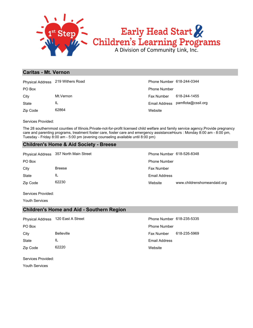

### **Caritas - Mt. Vernon**

|          | Physical Address 219 Withers Road | Phone Number 618-244-0344 |                                  |
|----------|-----------------------------------|---------------------------|----------------------------------|
| PO Box   |                                   | <b>Phone Number</b>       |                                  |
| City     | Mt.Vernon                         | Fax Number                | 618-244-1455                     |
| State    | IL                                |                           | Email Address pamflota@cssil.org |
| Zip Code | 62864                             | Website                   |                                  |

Services Provided:

The 28 southernmost counties of Illinois.Private-not-for-profit licensed child welfare and family service agency.Provide pregnancy care and parenting programs, treatment foster care, foster care and emergency assistanceHours : Monday 8:00 am - 8:00 pm, Tuesday - Friday 8:00 am - 5:00 pm (evening counseling available until 8:00 pm)

### **Children's Home & Aid Society - Breese**

Physical Address 357 North Main Street Phone Number 618-526-8348

State IL City Breese **Fax Number Fax Number** Fax Number PO Box Phone Number

Zip Code 62230

Website www.childrenshomeandaid.org Email Address

Services Provided:

Youth Services

### **Children's Home and Aid - Southern Region**

Physical Address 120 East A Street Phone Number 618-235-5335

State IL

Zip Code 62220

**Website** Email Address City Belleville Fax Number 618-235-5969 PO Box **Phone Number** Po Box **Phone Number** Phone Number

Services Provided:

Youth Services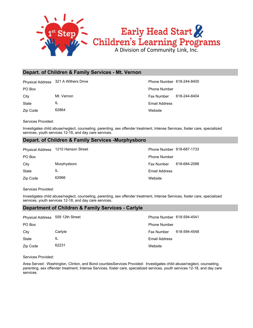

### **Depart. of Children & Family Services - Mt. Vernon**

Physical Address 321 A Withers Drive **Phone Number 618-244-8400** 

State IL

Zip Code 62864

**Website** Email Address City Mt. Vernon Mt. Vernon Fax Number 618-244-8404 PO Box Phone Number

Services Provided:

Investigates child abuse/neglect, counseling, parenting, sex offender treatment, Intense Services, foster care, specialized services, youth services 12-18, and day care services.

### **Depart. of Children & Family Services -Murphysboro**

|          | Physical Address 1210 Hanson Street | Phone Number 618-687-1733 |              |
|----------|-------------------------------------|---------------------------|--------------|
| PO Box   |                                     | <b>Phone Number</b>       |              |
| City     | Murphysboro                         | Fax Number                | 618-684-2088 |
| State    | IL                                  | Email Address             |              |
| Zip Code | 62966                               | Website                   |              |

Services Provided:

Investigates child abuse/neglect, counseling, parenting, sex offender treatment, Intense Services, foster care, specialized services, youth services 12-18, and day care services.

### **Department of Children & Family Services - Carlyle**

| Physical Address 559 12th Street |         | Phone Number 618-594-4541 |              |
|----------------------------------|---------|---------------------------|--------------|
| PO Box                           |         | <b>Phone Number</b>       |              |
| City                             | Carlyle | <b>Fax Number</b>         | 618-594-4548 |
| State                            | IL      | Email Address             |              |
| Zip Code                         | 62231   | Website                   |              |

Services Provided:

Area Served: Washington, Clinton, and Bond countiesServices Provided: Investigates child abuse/neglect, counseling, parenting, sex offender treatment, Intense Services, foster care, specialized services, youth services 12-18, and day care services.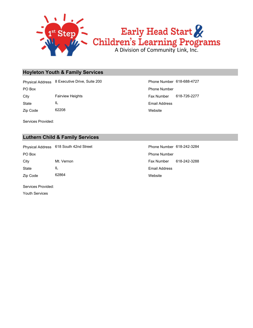

### **Hoyleton Youth & Family Services**

PO Box Phone Number Physical Address 8 Executive Drive, Suite 200 Phone Number 618-688-4727

City Fairview Heights Fax Number 618-726-2277

State IL

Zip Code 62208

Services Provided:

Website Email Address

### **Luthern Child & Family Services**

State IL City Mt. Vernon Michael Allen City Fax Number 618-242-3288 PO Box **Phone Number** Po Box **Phone Number** Po Box **Phone Number** Physical Address 618 South 42nd Street Phone Number 618-242-3284

Website Email Address

Services Provided:

Zip Code 62864

Youth Services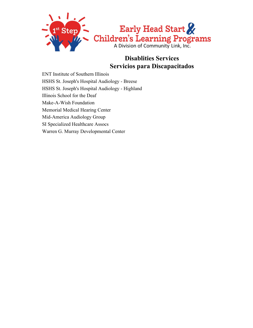

### **Disablities Services Servicios para Discapacitados**

ENT Institute of Southern Illinois HSHS St. Joseph's Hospital Audiology - Breese HSHS St. Joseph's Hospital Audiology - Highland Illinois School for the Deaf Make-A-Wish Foundation Memorial Medical Hearing Center Mid-America Audiology Group SI Specialized Healthcare Assocs Warren G. Murray Developmental Center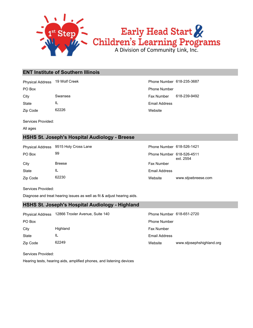

### **ENT Institute of Southern Illinois**

Physical Address 19 Wolf Creek Phone Number 618-235-3687

State IL

Zip Code 62226

**Website** Email Address City Swansea Swansea Fax Number 618-239-9492 PO Box Phone Number

Services Provided:

All ages

### **HSHS St. Joseph's Hospital Audiology - Breese**

|          | Physical Address 9515 Holy Cross Lane | Phone Number 618-526-1421 |                     |
|----------|---------------------------------------|---------------------------|---------------------|
| PO Box   | 99                                    | Phone Number 618-526-4511 | ext. 2554           |
| City     | <b>Breese</b>                         | <b>Fax Number</b>         |                     |
| State    | IL                                    | Email Address             |                     |
| Zip Code | 62230                                 | Website                   | www.stjoebreese.com |

Services Provided:

Diagnose and treat hearing issues as well as fit & adjust hearing aids.

### **HSHS St. Joseph's Hospital Audiology - Highland**

| <b>Physical Address</b> | 12866 Troxler Avenue, Suite 140 | Phone Number 618-651-2720 |                           |
|-------------------------|---------------------------------|---------------------------|---------------------------|
| PO Box                  |                                 | <b>Phone Number</b>       |                           |
| City                    | Highland                        | Fax Number                |                           |
| State                   | IL                              | Email Address             |                           |
| Zip Code                | 62249                           | Website                   | www.stjosephshighland.org |

Services Provided:

Hearing tests, hearing aids, amplified phones, and listening devices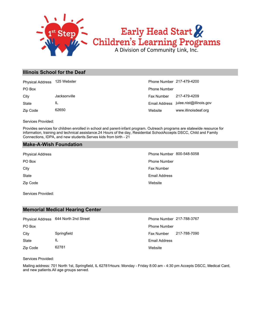

### **Illinois School for the Deaf**

| <b>Physical Address</b> | 125 Webster  | Phone Number 217-479-4200 |                                       |
|-------------------------|--------------|---------------------------|---------------------------------------|
| PO Box                  |              | <b>Phone Number</b>       |                                       |
| City                    | Jacksonville | Fax Number                | 217-479-4209                          |
| State                   | IL           |                           | Email Address julee.nist@illinois.gov |
| Zip Code                | 62650        | Website                   | www.illinoisdeaf.org                  |

Services Provided:

Provides services for children enrolled in school and parent-infant program. Outreach programs are statewide resource for information, training and technical assistance.24 Hours of the day, Residential SchoolAccepts DSCC, Child and Family Connections, IDPA, and new students.Serves kids from birth - 21

### **Make-A-Wish Foundation**

Zip Code State City **Fax Number** City PO Box Phone Number

Services Provided:

### **Memorial Medical Hearing Center**

|              | Physical Address 644 North 2nd Street | Phone Number 217-788-3767 |              |
|--------------|---------------------------------------|---------------------------|--------------|
| PO Box       |                                       | <b>Phone Number</b>       |              |
| City         | Springfield                           | Fax Number                | 217-788-7090 |
| <b>State</b> | IL                                    | Email Address             |              |
| Zip Code     | 62781                                 | Website                   |              |

### Services Provided:

Mailing address: 701 North 1st, Springfield, IL 62781Hours: Monday - Friday 8:00 am - 4:30 pm Accepts DSCC, Medical Card, and new patients.All age groups served.

**Website** Email Address Physical Address **Phone Number 800-548-5058**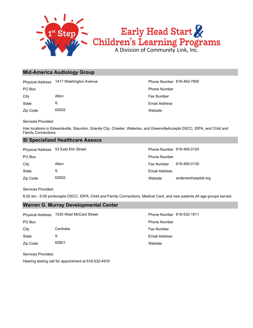

### **Mid-America Audiology Group**

Physical Address 1417 Washington Avenue **Phone Number 618-462-7900** 

Zip Code 62002 State IL City **Alton** Alton **Alton Alton Alton Alton Fax Number** 

**Website** Email Address PO Box Phone Number

Services Provided:

Has locations in Edwardsville, Staunton, Granite City, Chester, Waterloo, and GreenvilleAccepts DSCC, IDPA, and Child and Family Connections

### **SI Specialized Healthcare Assocs**

|          | Physical Address 53 East Elm Street | Phone Number 618-465-0124 |                      |
|----------|-------------------------------------|---------------------------|----------------------|
| PO Box   |                                     | <b>Phone Number</b>       |                      |
| City     | Alton                               | <b>Fax Number</b>         | 618-465-0130         |
| State    | IL                                  | Email Address             |                      |
| Zip Code | 62002                               | Website                   | andersonhospital.org |

Services Provided:

8:30 am - 5:00 pmAccepts DSCC, IDPA, Child and Family Connections, Medical Card, and new patients.All age groups served.

### **Warren G. Murray Developmental Center**

| Physical Address | 1535 West McCord Street | Phone Number 618-532-1811 |
|------------------|-------------------------|---------------------------|
| PO Box           |                         | <b>Phone Number</b>       |
| City             | Centralia               | <b>Fax Number</b>         |
| State            | IL                      | Email Address             |
| Zip Code         | 62801                   | Website                   |

Services Provided:

Hearing testing call for appointment at 618-532-4916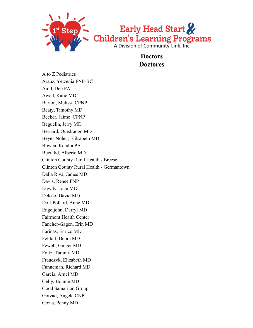

**Doctors Doctores**

A to Z Pediatrics Arauz, Yetzenia FNP-BC Auld, Deb PA Awad, Katie MD Barton, Melissa CPNP Beaty, Timothy MD Becker, Jaime CPNP Beguelin, Jerry MD Bernard, Ouedraogo MD Beyer-Nolen, Elilsabeth MD Bowen, Kendra PA Buetalid, Alberto MD Clinton County Rural Health - Breese Clinton County Rural Health - Germantown Dalla Riva, James MD Davis, Renee PNP Dawdy, John MD Deloso, David MD Doll-Pollard, Anne MD Engeljohn, Darryl MD Fairmont Health Center Fancher-Gagen, Erin MD Farinas, Enrico MD Feldott, Debra MD Fewell, Ginger MD Foltz, Tammy MD Franczyk, Elizabeth MD Funneman, Richard MD Garcia, Arnel MD Gelly, Bonnie MD Good Samaritan Group Gorzad, Angela CNP Gozia, Penny MD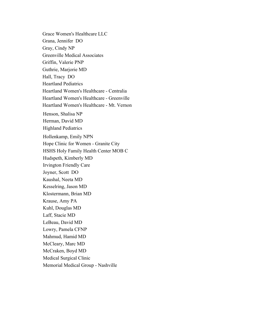Grace Women's Healthcare LLC Grana, Jennifer DO Gray, Cindy NP Greenville Medical Associates Griffin, Valerie PNP Guthrie, Marjorie MD Hall, Tracy DO Heartland Pediatrics Heartland Women's Healthcare - Centralia Heartland Women's Healthcare - Greenville Heartland Women's Healthcare - Mt. Vernon Henson, Shalisa NP Herman, David MD Highland Pediatrics Hollenkamp, Emily NPN Hope Clinic for Women - Granite City HSHS Holy Family Health Center MOB C Hudspeth, Kimberly MD Irvington Friendly Care Joyner, Scott DO Kaushal, Neeta MD Kesselring, Jason MD Klostermann, Brian MD Krause, Amy PA Kuhl, Douglas MD Laff, Stacie MD LeBeau, David MD Lowry, Pamela CFNP Mahmud, Hamid MD McCleary, Marc MD McCraken, Boyd MD Medical Surgical Clinic Memorial Medical Group - Nashville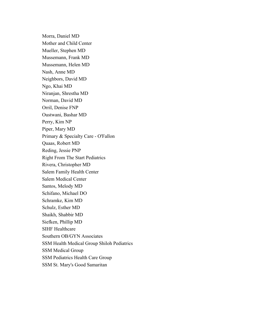Morra, Daniel MD Mother and Child Center Mueller, Stephen MD Mussemann, Frank MD Mussemann, Helen MD Nash, Anne MD Neighbors, David MD Ngo, Khai MD Niranjan, Shrestha MD Norman, David MD Orril, Denise FNP Oustwani, Bashar MD Perry, Kim NP Piper, Mary MD Primary & Specialty Care - O'Fallon Quaas, Robert MD Reding, Jessie PNP Right From The Start Pediatrics Rivera, Christopher MD Salem Family Health Center Salem Medical Center Santos, Melody MD Schifano, Michael DO Schramke, Kim MD Schulz, Esther MD Shaikh, Shabbir MD Siefken, Phillip MD SIHF Healthcare Southern OB/GYN Associates SSM Health Medical Group Shiloh Pediatrics SSM Medical Group SSM Pediatrics Health Care Group SSM St. Mary's Good Samaritan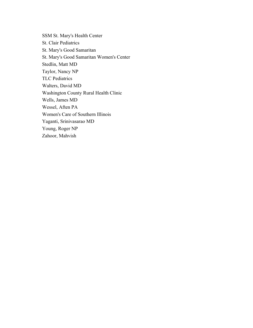SSM St. Mary's Health Center St. Clair Pediatrics St. Mary's Good Samaritan St. Mary's Good Samaritan Women's Center Stedlin, Matt MD Taylor, Nancy NP TLC Pediatrics Walters, David MD Washington County Rural Health Clinic Wells, James MD Wessel, Aften PA Women's Care of Southern Illinois Yaganti, Srinivasarao MD Young, Roger NP Zahoor, Mahvish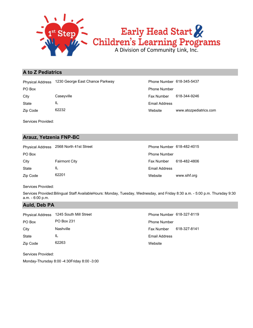

### **A to Z Pediatrics**

Physical Address 1230 George East Chance Parkway Phone Number 618-345-5437

State IL

Zip Code 62232

Website www.atozpediatrics.com Email Address City Caseyville Casewille Fax Number 618-344-9246 PO Box Phone Number

Services Provided:

### **Arauz, Yetzenia FNP-BC**

|          | Physical Address 2568 North 41st Street | Phone Number 618-482-4015 |              |
|----------|-----------------------------------------|---------------------------|--------------|
| PO Box   |                                         | <b>Phone Number</b>       |              |
| City     | <b>Fairmont City</b>                    | Fax Number                | 618-482-4806 |
| State    | IL                                      | Email Address             |              |
| Zip Code | 62201                                   | Website                   | www.sihf.org |

Services Provided:

Services Provided:Bilingual Staff AvailableHours: Monday, Tuesday, Wednesday, and Friday 8:30 a.m. - 5:00 p.m. Thursday 9:30 a.m. - 6:00 p.m.

### **Auld, Deb PA**

| <b>Physical Address</b> | 1245 South Mill Street | Phone Number 618-327-8119 |              |
|-------------------------|------------------------|---------------------------|--------------|
| PO Box                  | PO Box 231             | <b>Phone Number</b>       |              |
| City                    | Nashville              | <b>Fax Number</b>         | 618-327-8141 |
| State                   | IL                     | Email Address             |              |
| Zip Code                | 62263                  | Website                   |              |

Services Provided:

Monday-Thursday 8:00 -4:30Friday 8:00 -3:00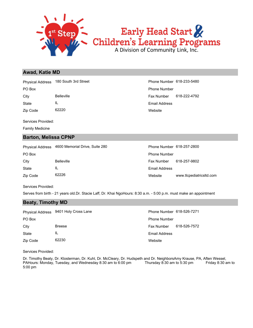

### **Awad, Katie MD**

Physical Address 180 South 3rd Street Phone Number 618-233-5480

State IL

Zip Code 62220

Services Provided:

Family Medicine

### **Barton, Melissa CPNP**

Zip Code 62226 State IL City Belleville Fax Number 618-257-9802 PO Box **Phone Number** Policy **Phone Number** Phone Number **Phone Number** Phone Number Physical Address 4600 Memorial Drive, Suite 280

**Website** Email Address City Belleville **Fax Number 618-222-4792** PO Box Phone Number

| Phone Number 618-257-2800 |                          |
|---------------------------|--------------------------|
| Phone Number              |                          |
| Fax Number 618-257-9802   |                          |
| Email Address             |                          |
| Website                   | www.tlcpediatricsltd.com |

Services Provided:

Serves from birth - 21 years old.Dr. Stacie Laff, Dr. Khai NgoHours: 8:30 a.m. - 5:00 p.m. must make an appointment

### **Beaty, Timothy MD**

|          | Physical Address 9401 Holy Cross Lane | Phone Number 618-526-7271 |              |
|----------|---------------------------------------|---------------------------|--------------|
| PO Box   |                                       | <b>Phone Number</b>       |              |
| City     | <b>Breese</b>                         | <b>Fax Number</b>         | 618-526-7572 |
| State    | IL                                    | Email Address             |              |
| Zip Code | 62230                                 | Website                   |              |

Services Provided:

Dr. Timothy Beaty, Dr. Klosterman, Dr. Kuhl, Dr. McCleary, Dr. Hudspeth and Dr. NeighborsAmy Krause, PA, Aften Wessel, PAHours: Monday, Tuesday, and Wednesday 8:30 am to 6:00 pm Thursday 8:30 am to 5:30 pm Friday 8:30 am to 5:00 pm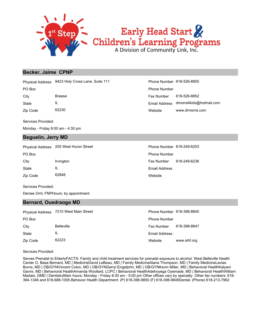

### Early Head Start<br>Children's Learning Programs<br>A Division of Community Link, Inc.

### **Becker, Jaime CPNP**

Physical Address 9423 Holy Cross Lane, Suite 111

Services Provided:

Monday - Friday 8:00 am - 4:30 pm

### **Beguelin, Jerry MD**

| <b>Physical Address</b> | 205 West Huron Street | Phone Number 618-249-6203 |              |
|-------------------------|-----------------------|---------------------------|--------------|
| PO Box                  |                       | <b>Phone Number</b>       |              |
| City                    | Irvington             | <b>Fax Number</b>         | 618-249-6236 |
| <b>State</b>            | IL                    | Email Address             |              |
| Zip Code                | 62848                 | Website                   |              |

Services Provided:

Denise Orril, FNPHours: by appointment

### **Bernard, Ouedraogo MD**

|          | Physical Address 7210 West Main Street | Phone Number 618-398-8840 |              |
|----------|----------------------------------------|---------------------------|--------------|
| PO Box   |                                        | <b>Phone Number</b>       |              |
| City     | <b>Belleville</b>                      | Fax Number                | 618-398-8847 |
| State    | ΙL                                     | Email Address             |              |
| Zip Code | 62223                                  | Website                   | www.sihf.org |

Services Provided:

Serves Prenatal to ElderlyFACTS- Family and child treatment services for prenatal exposure to alcohol. West Belleville Health Center O. Basa Bernard, MD | MedicineDavid LeBeau, MD | Family MedicineAlana Thompson, MD | Family MedicineLavias Burns, MD | OB/GYNVincent Colon, MD | OB/GYNDarryl Engeljohn, MD | OB/GYNKevin Miller, MD | Behavioral HealthKalyani Gavini, MD | Behavioral HealthAmanda Woollard, LCPC | Behavioral HealthAdehoyega Oyemade, MD | Behavioral HealthWilliam Madaio, DMD | DentistryMain hours: Monday - Friday 8:30 am - 5:00 pm Other offices vary by specialty. Other fax numbers: 618- 394-1346 and 618-688-1005.Behavior Health Department: (P) 618-398-9850 (F) 618-398-9849Dental: (Phone) 618-213-7962

|          | Physical Address 9423 Holy Cross Lane, Suite 111 | Phone Number 618-526-8850 |                                       |
|----------|--------------------------------------------------|---------------------------|---------------------------------------|
| PO Box   |                                                  | <b>Phone Number</b>       |                                       |
| Citv     | <b>Breese</b>                                    | Fax Number                | 618-526-8852                          |
| State    | -IL                                              |                           | Email Address dmorra4kids@hotmail.com |
| Zip Code | 62230                                            | Website                   | www.drmorra.com                       |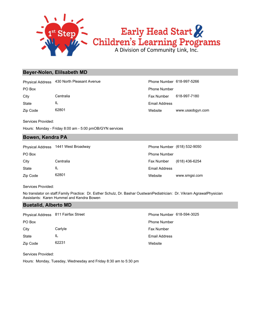

### **Beyer-Nolen, Elilsabeth MD**

Physical Address 430 North Pleasant Avenue **Phone Number 618-997-5266** 

Zip Code 62801 State IL

Website www.usaobgyn.com Email Address City Centralia Centralia Centralia Centralia Centralia Centralia Centralia Centralia Centralia Centralia Centralia PO Box Phone Number

Services Provided:

Hours: Monday - Friday 8:00 am - 5:00 pmOB/GYN services

### **Bowen, Kendra PA**

| <b>Physical Address</b> | 1441 West Broadway |                     | Phone Number (618) 532-9050 |
|-------------------------|--------------------|---------------------|-----------------------------|
| PO Box                  |                    | <b>Phone Number</b> |                             |
| City                    | Centralia          | Fax Number          | (618) 436-6254              |
| State                   | IL                 | Email Address       |                             |
| Zip Code                | 62801              | Website             | www.smgsi.com               |

Services Provided:

No translator on staff.Family Practice: Dr. Esther Schulz, Dr. Bashar OustwaniPediatrician: Dr. Vikram AgrawalPhysician Assistants: Karen Hummel and Kendra Bowen

### **Buetalid, Alberto MD**

| Physical Address 811 Fairfax Street |         | Phone Number 618-594-3025 |
|-------------------------------------|---------|---------------------------|
| PO Box                              |         | <b>Phone Number</b>       |
| City                                | Carlyle | Fax Number                |
| <b>State</b>                        | IL      | Email Address             |
| Zip Code                            | 62231   | Website                   |

Services Provided:

Hours: Monday, Tuesday, Wednesday and Friday 8:30 am to 5:30 pm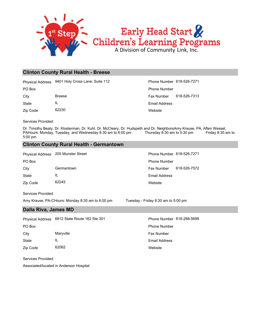

### **Clinton County Rural Health - Breese**

Physical Address 9401 Holy Cross Lane; Suite 112 Phone Number 618-526-7271

Zip Code 62230 State IL

**Website** Email Address City Breese Breese Fax Number 618-526-7313 PO Box Phone Number

Services Provided:

Dr. Timothy Beaty, Dr. Klosterman, Dr. Kuhl, Dr. McCleary, Dr. Hudspeth and Dr. NeighborsAmy Krause, PA, Aften Wessel, PAHours: Monday, Tuesday, and Wednesday 8:30 am to 6:00 pm Thursday 8:30 am to 5:30 pm Friday 8:30 am to 5:00 pm

### **Clinton County Rural Health - Germantown**

Physical Address 205 Munster Street Phone Number 618-526-7271

Zip Code 62245 State IL City Germantown Fax Number 618-526-7572 PO Box Phone Number

**Website** Email Address

Services Provided: Amy Krause, PA-CHours: Monday 8:30 am to 6:00 pm Tuesday - Friday 8:30 am to 5:00 pm

**Dalla Riva, James MD**

State IL City Maryville Maryon Maryon Maryon Maryon Maryon Maryon Maryon Maryon Maryon Maryon Maryon Maryon Maryon Maryon Maryon Maryon Maryon Maryon Maryon Maryon Maryon Maryon Maryon Maryon Maryon Maryon Maryon Maryon Maryon Mary PO Box **Phone Number** Po Box **Phone Number** Phone Number Physical Address 6812 State Route 162 Ste 301 Phone Number 618-288-5699

Zip Code 62062

Services Provided:

Associated/located in Anderson Hospital

**Website** Email Address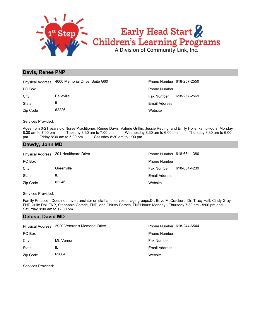

### **Davis, Renee PNP**

|              | Physical Address 4600 Memorial Drive; Suite G60 | <b>Phone Number</b> |
|--------------|-------------------------------------------------|---------------------|
| PO Box       |                                                 | <b>Phone Number</b> |
| City         | <b>Belleville</b>                               | <b>Fax Number</b>   |
| <b>State</b> | IL                                              | Email Address       |
| Zip Code     | 62226                                           | Website             |

bsite ail Address Number 618-257-2569 ne Number 618-257-2550

Services Provided:

Ages from 0-21 years old.Nurse Practitioner: Renee Davis, Valerie Griffin, Jessie Reding, and Emily HollenkampHours: Monday 8:30 am to 7:00 pm Tuesday 8:30 am to 7:00 pm Wednesday 8:30 am to 6:00 pm Thursday 8:30 am to 6:00 pm Friday 8:30 am to 5:00 pm Saturday 8:30 am to 1:00 pm

### **Dawdy, John MD**

|          | Physical Address 201 Healthcare Drive | Phone Number 618-664-1380 |              |
|----------|---------------------------------------|---------------------------|--------------|
| PO Box   |                                       | <b>Phone Number</b>       |              |
| City     | Greenville                            | <b>Fax Number</b>         | 618-664-4239 |
| State    | IL                                    | <b>Email Address</b>      |              |
| Zip Code | 62246                                 | Website                   |              |

Services Provided:

Family Practice - Does not have translator on staff and serves all age groups.Dr. Boyd McCracken, Dr. Tracy Hall, Cindy Gray FNP, Julie Doll FNP, Stephanie Comrie, FNP, and Chirsty Forbes, FNPHours: Monday - Thursday 7:30 am - 5:00 pm and Saturday 8:00 am to 12:00 pm

### **Deloso, David MD**

|          | Physical Address 2920 Veteran's Memorial Drive | Phone Number 618-244-6544 |
|----------|------------------------------------------------|---------------------------|
| PO Box   |                                                | <b>Phone Number</b>       |
| City     | Mt. Vernon                                     | <b>Fax Number</b>         |
| State    | IL                                             | Email Address             |
| Zip Code | 62864                                          | Website                   |

Services Provided: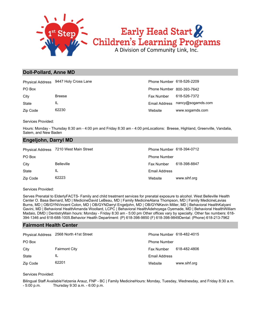

### **Doll-Pollard, Anne MD**

|          | Physical Address 9447 Holy Cross Lane | Phone Number 618-526-2209 |                                 |
|----------|---------------------------------------|---------------------------|---------------------------------|
| PO Box   |                                       | Phone Number 800-393-7642 |                                 |
| City     | <b>Breese</b>                         | Fax Number                | 618-526-7372                    |
| State    | IL                                    |                           | Email Address nancy@sogamds.com |
| Zip Code | 62230                                 | Website                   | www.sogamds.com                 |

Services Provided:

Hours: Monday - Thursday 8:30 am - 4:00 pm and Friday 8:30 am - 4:00 pmLocations: Breese, Highland, Greenville, Vandalia, Salem, and New Baden

### **Engeljohn, Darryl MD**

|          | Physical Address 7210 West Main Street | Phone Number 618-394-0712 |              |
|----------|----------------------------------------|---------------------------|--------------|
| PO Box   |                                        | <b>Phone Number</b>       |              |
| City     | <b>Belleville</b>                      | Fax Number                | 618-398-8847 |
| State    | ΙL                                     | Email Address             |              |
| Zip Code | 62223                                  | Website                   | www.sihf.org |

### Services Provided:

Serves Prenatal to ElderlyFACTS- Family and child treatment services for prenatal exposure to alcohol. West Belleville Health Center O. Basa Bernard, MD | MedicineDavid LeBeau, MD | Family MedicineAlana Thompson, MD | Family MedicineLavias Burns, MD | OB/GYNVincent Colon, MD | OB/GYNDarryl Engeljohn, MD | OB/GYNKevin Miller, MD | Behavioral HealthKalyani Gavini, MD | Behavioral HealthAmanda Woollard, LCPC | Behavioral HealthAdehoyega Oyemade, MD | Behavioral HealthWilliam Madaio, DMD | DentistryMain hours: Monday - Friday 8:30 am - 5:00 pm Other offices vary by specialty. Other fax numbers: 618-394-1346 and 618-688-1005.Behavior Health Department: (P) 618-398-9850 (F) 618-398-9849Dental: (Phone) 618-213-7962

### **Fairmont Health Center**

|          | Physical Address 2568 North 41st Street | Phone Number 618-482-4015 |              |
|----------|-----------------------------------------|---------------------------|--------------|
| PO Box   |                                         | <b>Phone Number</b>       |              |
| City     | <b>Fairmont City</b>                    | Fax Number                | 618-482-4806 |
| State    | IL                                      | Email Address             |              |
| Zip Code | 62201                                   | Website                   | www.sihf.org |

Services Provided:

Bilingual Staff AvailableYetzenia Arauz, FNP - BC | Family MedicineHours: Monday, Tuesday, Wednesday, and Friday 8:30 a.m. - 5:00 p.m. Thursday 9:30 a.m. - 6:00 p.m.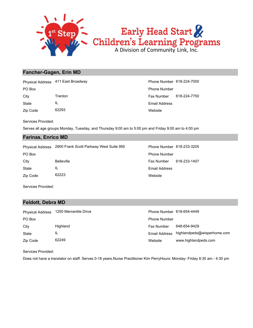

### **Fancher-Gagen, Erin MD**

State IL City **Trenton** Trenton **Fax Number 618-224-7750** PO Box Phone Number Physical Address 411 East Broadway **Phone Number 618-224-7000** 

Zip Code 62293

**Website** Email Address

Services Provided:

Serves all age groups Monday, Tuesday, and Thursday 9:00 am to 5:00 pm and Friday 9:00 am to 4:00 pm

### **Farinas, Enrico MD**

Physical Address 2900 Frank Scott Parkway West Suite 950 Phone Number 618-233-3205

Zip Code 62223 State IL

Website Email Address City Belleville Fax Number 618-233-1407 PO Box **Phone Number** Po Box **Phone Number** Po Box **Phone Number** 

Services Provided:

### **Feldott, Debra MD**

| <b>Physical Address</b> | 1250 Mercentile Drive | Phone Number 618-654-4449 |                             |
|-------------------------|-----------------------|---------------------------|-----------------------------|
| PO Box                  |                       | <b>Phone Number</b>       |                             |
| City                    | Highland              | <b>Fax Number</b>         | 648-654-9429                |
| State                   | IL                    | Email Address             | highlandpeds@wisperhome.com |
| Zip Code                | 62249                 | Website                   | www.highlandpeds.com        |

Services Provided:

Does not have a translator on staff. Serves 0-18 years.Nurse Practitioner Kim PerryHours: Monday- Friday 8:30 am - 4:30 pm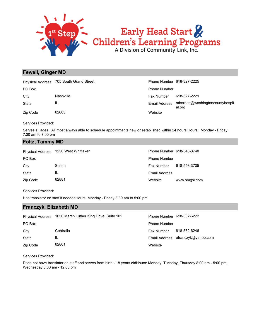

### **Fewell, Ginger MD**

|          | Physical Address 705 South Grand Street | Phone Number 618-327-2225 |                                           |
|----------|-----------------------------------------|---------------------------|-------------------------------------------|
| PO Box   |                                         | <b>Phone Number</b>       |                                           |
| City     | Nashville                               | Fax Number                | 618-327-2229                              |
| State    | IL                                      | Email Address             | mbarnett@washingtoncountyhospit<br>al.org |
| Zip Code | 62663                                   | Website                   |                                           |

Services Provided:

Serves all ages. All most always able to schedule appointments new or established within 24 hours.Hours: Monday - Friday 7:30 am to 7:00 pm

### **Foltz, Tammy MD**

| <b>Physical Address</b> | 1250 West Whittaker | Phone Number 618-548-3740 |               |
|-------------------------|---------------------|---------------------------|---------------|
| PO Box                  |                     | <b>Phone Number</b>       |               |
| City                    | Salem               | <b>Fax Number</b>         | 618-548-3705  |
| State                   | IL                  | <b>Email Address</b>      |               |
| Zip Code                | 62881               | Website                   | www.smgsi.com |

Services Provided:

Has translator on staff if neededHours: Monday - Friday 8:30 am to 5:00 pm

### **Franczyk, Elizabeth MD**

| <b>Physical Address</b> | 1050 Martin Luther King Drive, Suite 102 | Phone Number 618-532-6222 |                                   |
|-------------------------|------------------------------------------|---------------------------|-----------------------------------|
| PO Box                  |                                          | <b>Phone Number</b>       |                                   |
| City                    | Centralia                                | <b>Fax Number</b>         | 618-532-6246                      |
| <b>State</b>            | IL                                       |                           | Email Address efranczyk@yahoo.com |
| Zip Code                | 62801                                    | Website                   |                                   |

Services Provided:

Does not have translator on staff and serves from birth - 18 years oldHours: Monday, Tuesday, Thursday 8:00 am - 5:00 pm, Wednesday 8:00 am - 12:00 pm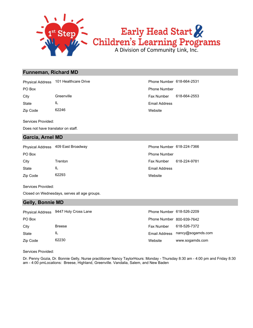

### **Funneman, Richard MD**

Physical Address 101 Healthcare Drive **Phone Number 618-664-2531** 

State IL

Zip Code 62246

Services Provided:

Does not have translator on staff.

### **Garcia, Arnel MD**

|              | Physical Address 409 East Broadway | Phone Number 618-224-7366 |              |
|--------------|------------------------------------|---------------------------|--------------|
| PO Box       |                                    | <b>Phone Number</b>       |              |
| City         | Trenton                            | Fax Number                | 618-224-9781 |
| <b>State</b> | IL                                 | <b>Email Address</b>      |              |
| Zip Code     | 62293                              | Website                   |              |

Services Provided:

Closed on Wednesdays, serves all age groups.

### **Gelly, Bonnie MD**

|          | Physical Address 9447 Holy Cross Lane | Phone Number 618-526-2209 |                                 |
|----------|---------------------------------------|---------------------------|---------------------------------|
| PO Box   |                                       | Phone Number 800-939-7642 |                                 |
| City     | <b>Breese</b>                         | <b>Fax Number</b>         | 618-526-7372                    |
| State    | IL                                    |                           | Email Address nancy@sogamds.com |
| Zip Code | 62230                                 | Website                   | www.sogamds.com                 |

Services Provided:

Dr. Penny Gozia, Dr. Bonnie Gelly, Nurse practitioner Nancy TaylorHours: Monday - Thursday 8:30 am - 4:00 pm and Friday 8:30 am - 4:00 pmLocations: Breese, Highland, Greenville. Vandalia, Salem, and New Baden

**Website** Email Address City Greenville Fax Number 618-664-2553 PO Box Phone Number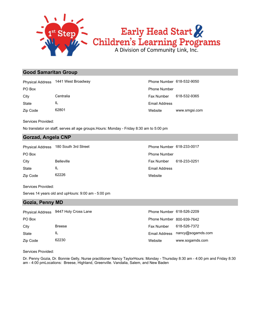

# Early Head Start &<br>Children's Learning Programs

### **Good Samaritan Group**

Zip Code 62801 State IL City Centralia Centralia Centralia Centralia Centralia Centralia Centralia Centralia Centralia Centralia Centralia PO Box Phone Number Physical Address 1441 West Broadway **Phone Number 618-532-9050** Phone Number 618-532-9050

Website www.smgsi.com Email Address

Services Provided:

No translator on staff, serves all age groups.Hours: Monday - Friday 8:30 am to 5:00 pm

### **Gorzad, Angela CNP**

Physical Address 180 South 3rd Street Phone Number 618-233-0017

| PO Box   |                   |
|----------|-------------------|
| City     | <b>Belleville</b> |
| State    | Ш.                |
| Zip Code | 62226             |

Website Email Address Fax Number 618-233-0251 Phone Number

Services Provided:

Serves 14 years old and upHours: 9:00 am - 5:00 pm

### **Gozia, Penny MD**

|          | Physical Address 9447 Holy Cross Lane | Phone Number 618-526-2209 |                                 |
|----------|---------------------------------------|---------------------------|---------------------------------|
| PO Box   |                                       | Phone Number 800-939-7642 |                                 |
| City     | <b>Breese</b>                         | Fax Number                | 618-526-7372                    |
| State    | IL                                    |                           | Email Address nancy@sogamds.com |
| Zip Code | 62230                                 | Website                   | www.sogamds.com                 |

Services Provided:

Dr. Penny Gozia, Dr. Bonnie Gelly, Nurse practitioner Nancy TaylorHours: Monday - Thursday 8:30 am - 4:00 pm and Friday 8:30 am - 4:00 pmLocations: Breese, Highland, Greenville. Vandalia, Salem, and New Baden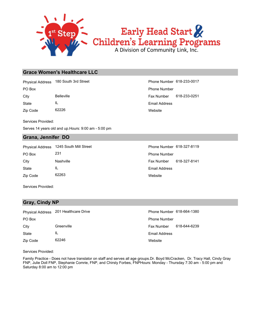

### **Grace Women's Healthcare LLC**

Physical Address 180 South 3rd Street Phone Number 618-233-0017

Zip Code 62226 State IL

**Website** Email Address City Belleville Fax Number 618-233-0251 PO Box Phone Number

Services Provided:

Serves 14 years old and up.Hours: 9:00 am - 5:00 pm

### **Grana, Jennifer DO**

| <b>Physical Address</b> | 1245 South Mill Street | Phone Number 618-327-8119 |              |
|-------------------------|------------------------|---------------------------|--------------|
| PO Box                  | 231                    | <b>Phone Number</b>       |              |
| City                    | Nashville              | <b>Fax Number</b>         | 618-327-8141 |
| <b>State</b>            | ΙL                     | Email Address             |              |
| Zip Code                | 62263                  | Website                   |              |

Services Provided:

### **Gray, Cindy NP**

|          | Physical Address 201 Healthcare Drive | Phone Number 618-664-1380 |              |
|----------|---------------------------------------|---------------------------|--------------|
| PO Box   |                                       | <b>Phone Number</b>       |              |
| City     | Greenville                            | <b>Fax Number</b>         | 618-644-6239 |
| State    | IL                                    | <b>Email Address</b>      |              |
| Zip Code | 62246                                 | Website                   |              |

Services Provided:

Family Practice - Does not have translator on staff and serves all age groups.Dr. Boyd McCracken, Dr. Tracy Hall, Cindy Gray FNP, Julie Doll FNP, Stephanie Comrie, FNP, and Chirsty Forbes, FNPHours: Monday - Thursday 7:30 am - 5:00 pm and Saturday 8:00 am to 12:00 pm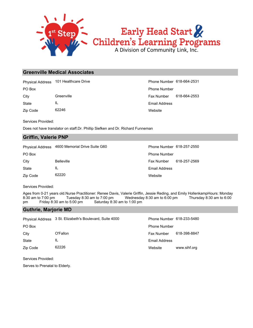

### **Greenville Medical Associates**

Physical Address 101 Healthcare Drive **Phone Number 618-664-2531** 

Zip Code 62246 State IL

Website Email Address City Greenville Greenville Fax Number 618-664-2553 PO Box Phone Number

Services Provided:

Does not have translator on staff.Dr. Phillip Siefken and Dr. Richard Funneman

### **Griffin, Valerie PNP**

Physical Address 4600 Memorial Drive Suite G60 Phone Number 618-257-2550

| PO Box   |                   | <b>Phone Number</b>        |
|----------|-------------------|----------------------------|
| City     | <b>Belleville</b> | 618-257-2569<br>Fax Number |
| State    | ΙL                | Email Address              |
| Zip Code | 62220             | Website                    |

Services Provided:

Ages from 0-21 years old.Nurse Practitioner: Renee Davis, Valerie Griffin, Jessie Reding, and Emily HollenkampHours: Monday 8:30 am to 7:00 pm Tuesday 8:30 am to 7:00 pm Wednesday 8:30 am to 6:00 pm Thursday 8:30 am to 6:00 pm Friday 8:30 am to 5:00 pm Saturday 8:30 am to 1:00 pm

### **Guthrie, Marjorie MD**

|              | Physical Address 3 St. Elizabeth's Boulevard, Suite 4000 | Phone Number 618-233-5480 |              |
|--------------|----------------------------------------------------------|---------------------------|--------------|
| PO Box       |                                                          | <b>Phone Number</b>       |              |
| City         | O'Fallon                                                 | Fax Number                | 618-398-8847 |
| <b>State</b> | IL                                                       | <b>Email Address</b>      |              |
| Zip Code     | 62226                                                    | Website                   | www.sihf.org |

Services Provided:

Serves to Prenatal to Elderly.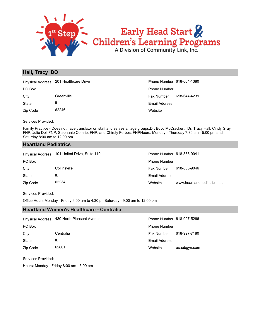

### **Hall, Tracy DO**

|          | Physical Address 201 Healthcare Drive | Phone Number 618-664-1380 |              |
|----------|---------------------------------------|---------------------------|--------------|
| PO Box   |                                       | <b>Phone Number</b>       |              |
| City     | Greenville                            | Fax Number                | 618-644-4239 |
| State    | IL                                    | Email Address             |              |
| Zip Code | 62246                                 | Website                   |              |

Services Provided:

Family Practice - Does not have translator on staff and serves all age groups.Dr. Boyd McCracken, Dr. Tracy Hall, Cindy Gray FNP, Julie Doll FNP, Stephanie Comrie, FNP, and Chirsty Forbes, FNPHours: Monday - Thursday 7:30 am - 5:00 pm and Saturday 8:00 am to 12:00 pm

### **Heartland Pediatrics**

| <b>Physical Address</b> | 101 United Drive, Suite 110 | Phone Number 618-855-9041 |                             |
|-------------------------|-----------------------------|---------------------------|-----------------------------|
| PO Box                  |                             | <b>Phone Number</b>       |                             |
| City                    | Collinsville                | <b>Fax Number</b>         | 618-855-9046                |
| State                   | IL                          | <b>Email Address</b>      |                             |
| Zip Code                | 62234                       | Website                   | www.heartlandpediatrics.net |

Services Provided:

Office Hours:Monday - Friday 9:00 am to 4:30 pmSaturday - 9:00 am to 12:00 pm

### **Heartland Women's Healthcare - Centralia**

|          | Physical Address 430 North Pleasent Avenue | Phone Number 618-997-5266 |              |
|----------|--------------------------------------------|---------------------------|--------------|
| PO Box   |                                            | <b>Phone Number</b>       |              |
| City     | Centralia                                  | <b>Fax Number</b>         | 618-997-7180 |
| State    | ΙL                                         | Email Address             |              |
| Zip Code | 62801                                      | Website                   | usaobgyn.com |

Services Provided:

Hours: Monday - Friday 8:00 am - 5:00 pm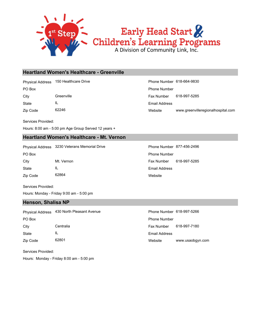

### **Heartland Women's Healthcare - Greenville**

Physical Address 150 Healthcare Drive **Phone Number 618-664-9830** 

State IL

Zip Code 62246

Website www.greenvilleregionalhospital.com Email Address City Greenville Fax Number 618-997-5285 PO Box Phone Number

Services Provided:

Hours: 8:00 am - 5:00 pm Age Group Served 12 years +

### **Heartland Women's Healthcare - Mt. Vernon**

Physical Address 3230 Veterans Memorial Drive **Phone Number 877-456-2496** 

Zip Code 62864 State IL City Mt. Vernon Fax Number 618-997-5285 PO Box **Phone Number** Po Box **Phone Number** Po Box **Phone Number** Po Box **Phone Number** 

Website Email Address

Services Provided:

Hours: Monday - Friday 9:00 am - 5:00 pm

### **Henson, Shalisa NP**

| <b>Physical Address</b> | 430 North Pleasant Avenue | Phone Number 618-997-5266 |                  |
|-------------------------|---------------------------|---------------------------|------------------|
| PO Box                  |                           | <b>Phone Number</b>       |                  |
| City                    | Centralia                 | <b>Fax Number</b>         | 618-997-7180     |
| State                   | IL                        | Email Address             |                  |
| Zip Code                | 62801                     | Website                   | www.usaobgyn.com |

Services Provided:

Hours: Monday - Friday 8:00 am - 5:00 pm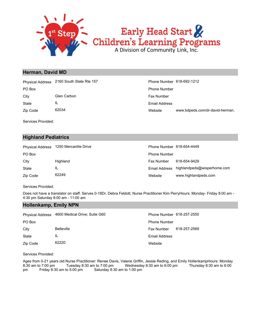

### **Herman, David MD**

PO Box Phone Number Physical Address 2160 South State Rte 157 **Phone Number 618-692-1212** 

State IL City Glen Carbon **Fax Number** City Glen Carbon **Fax Number** 

Zip Code 62034

Services Provided:

### **Highland Pediatrics**

| <b>Physical Address</b> | 1250 Mercantile Drive | Phone Number 618-654-4449 |                             |
|-------------------------|-----------------------|---------------------------|-----------------------------|
| PO Box                  |                       | <b>Phone Number</b>       |                             |
| City                    | Highland              | <b>Fax Number</b>         | 618-654-9429                |
| <b>State</b>            | IL                    | Email Address             | highlandpeds@wisperhome.com |
| Zip Code                | 62249                 | Website                   | www.highlandpeds.com        |

Services Provided:

Does not have a translator on staff. Serves 0-18Dr. Debra Feldott, Nurse Practitioner Kim PerryHours: Monday- Friday 8:00 am - 4:30 pm Saturday 8:00 am - 11:00 am

### **Hollenkamp, Emily NPN**

| <b>Physical Address</b> | 4600 Medical Drive; Suite G60 | Phone Number 618-257-2550 |              |
|-------------------------|-------------------------------|---------------------------|--------------|
| PO Box                  |                               | <b>Phone Number</b>       |              |
| City                    | <b>Belleville</b>             | <b>Fax Number</b>         | 618-257-2569 |
| State                   | IL                            | <b>Email Address</b>      |              |
| Zip Code                | 62220                         | Website                   |              |

### Services Provided:

Ages from 0-21 years old.Nurse Practitioner: Renee Davis, Valerie Griffin, Jessie Reding, and Emily HollenkampHours: Monday 8:30 am to 7:00 pm Tuesday 8:30 am to 7:00 pm Wednesday 8:30 am to 6:00 pm Thursday 8:30 am to 6:00 pm Friday 8:30 am to 5:00 pm Saturday 8:30 am to 1:00 pm

Website www.bdpeds.com/dr-david-herman. Email Address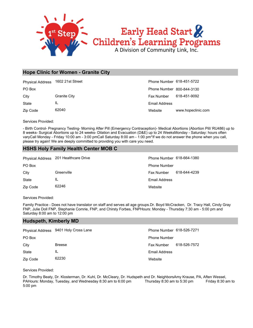

### **Hope Clinic for Women - Granite City**

| <b>Physical Address</b> | 1602 21st Street | Phone Number 618-451-5722 |                    |
|-------------------------|------------------|---------------------------|--------------------|
| PO Box                  |                  | Phone Number 800-844-3130 |                    |
| City                    | Granite City     | <b>Fax Number</b>         | 618-451-9092       |
| State                   | IL               | <b>Email Address</b>      |                    |
| Zip Code                | 62040            | Website                   | www.hopeclinic.com |

Services Provided:

- Birth Control- Pregnancy Testing- Morning After Pill (Emergency Contraception)- Medical Abortions (Abortion Pill/ RU486) up to 8 weeks- Surgical Abortions up to 24 weeks- Dilation and Evacuation (D&E) up to 24 WeeksMonday - Saturday: hours often varyCall Monday - Friday 10:00 am - 3:00 pmCall Saturday 8:00 am - 1:00 pm\*If we do not answer the phone when you call, please try again! We are deeply committed to providing you with care you need.

### **HSHS Holy Family Health Center MOB C**

|          | Physical Address 201 Healthcare Drive | Phone Number 618-664-1380 |              |
|----------|---------------------------------------|---------------------------|--------------|
| PO Box   |                                       | <b>Phone Number</b>       |              |
| City     | Greenville                            | <b>Fax Number</b>         | 618-644-4239 |
| State    | IL                                    | Email Address             |              |
| Zip Code | 62246                                 | Website                   |              |

Services Provided:

Family Practice - Does not have translator on staff and serves all age groups.Dr. Boyd McCracken, Dr. Tracy Hall, Cindy Gray FNP, Julie Doll FNP, Stephanie Comrie, FNP, and Chirsty Forbes, FNPHours: Monday - Thursday 7:30 am - 5:00 pm and Saturday 8:00 am to 12:00 pm

### **Hudspeth, Kimberly MD**

|          | Physical Address 9401 Holy Cross Lane | Phone Number 618-526-7271 |              |
|----------|---------------------------------------|---------------------------|--------------|
| PO Box   |                                       | <b>Phone Number</b>       |              |
| City     | <b>Breese</b>                         | Fax Number                | 618-526-7572 |
| State    |                                       | Email Address             |              |
| Zip Code | 62230                                 | Website                   |              |

Services Provided:

Dr. Timothy Beaty, Dr. Klosterman, Dr. Kuhl, Dr. McCleary, Dr. Hudspeth and Dr. NeighborsAmy Krause, PA, Aften Wessel, PAHours: Monday, Tuesday, and Wednesday 8:30 am to 6:00 pm Thursday 8:30 am to 5:30 pm Friday 8:30 am to 5:00 pm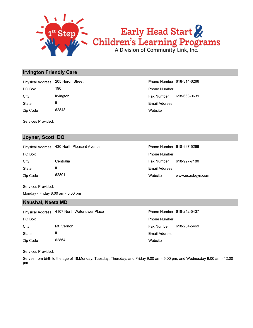

# Early Head Start<br>Children's Learning Programs

### **Irvington Friendly Care**

Zip Code 62848 State IL City Irvington Irvington Fax Number 618-663-0639 PO Box 190 190 **Phone Number** Physical Address 205 Huron Street **Phone Number 618-314-6266** 

**Website** Email Address

Services Provided:

### **Joyner, Scott DO**

Physical Address 430 North Pleasent Avenue **Phone Number 618-997-5266** 

Zip Code 62801 State IL PO Box **Phone Number** Po Box **Phone Number** Po Box **Phone Number** 

Website www.usaobgyn.com Email Address City Centralia Fax Number 618-997-7180

Services Provided:

Monday - Friday 8:00 am - 5:00 pm

### **Kaushal, Neeta MD**

|          | Physical Address 4107 North Watertower Place | Phone Number 618-242-5437 |              |
|----------|----------------------------------------------|---------------------------|--------------|
| PO Box   |                                              | <b>Phone Number</b>       |              |
| City     | Mt. Vernon                                   | Fax Number                | 618-204-5469 |
| State    | IL                                           | <b>Email Address</b>      |              |
| Zip Code | 62864                                        | Website                   |              |

Services Provided:

Serves from birth to the age of 18.Monday, Tuesday, Thursday, and Friday 9:00 am - 5:00 pm, and Wednesday 9:00 am - 12:00 pm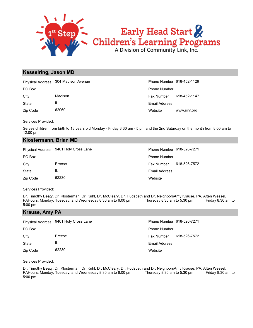

# Early Head Start & Children's Learning Programs

### **Kesselring, Jason MD**

|              | Physical Address 304 Madison Avenue | Phone Number 618-452-1129 |              |
|--------------|-------------------------------------|---------------------------|--------------|
| PO Box       |                                     | <b>Phone Number</b>       |              |
| City         | Madison                             | Fax Number                | 618-452-1147 |
| <b>State</b> |                                     | Email Address             |              |
| Zip Code     | 62060                               | Website                   | www.sihf.org |

Services Provided:

Serves children from birth to 18 years old.Monday - Friday 8:30 am - 5 pm and the 2nd Saturday on the month from 8:00 am to 12:00 pm

### **Klostermann, Brian MD**

|          | Physical Address 9401 Holy Cross Lane | Phone Number 618-526-7271 |              |
|----------|---------------------------------------|---------------------------|--------------|
| PO Box   |                                       | <b>Phone Number</b>       |              |
| City     | <b>Breese</b>                         | Fax Number                | 618-526-7572 |
| State    | IL                                    | <b>Email Address</b>      |              |
| Zip Code | 62230                                 | Website                   |              |

Services Provided:

Dr. Timothy Beaty, Dr. Klosterman, Dr. Kuhl, Dr. McCleary, Dr. Hudspeth and Dr. NeighborsAmy Krause, PA, Aften Wessel, PAHours: Monday, Tuesday, and Wednesday 8:30 am to 6:00 pm<br>PAHours: Monday, Tuesday, and Wednesday 8:30 PAHours: Monday, Tuesday, and Wednesday 8:30 am to 6:00 pm Thursday 8:30 am to 5:30 pm Friday 8:30 am to 5:00 pm

### **Krause, Amy PA**

|          | Physical Address 9401 Holy Cross Lane | Phone Number 618-526-7271 |              |
|----------|---------------------------------------|---------------------------|--------------|
| PO Box   |                                       | <b>Phone Number</b>       |              |
| City     | <b>Breese</b>                         | <b>Fax Number</b>         | 618-526-7572 |
| State    | IL                                    | Email Address             |              |
| Zip Code | 62230                                 | Website                   |              |

Services Provided:

Dr. Timothy Beaty, Dr. Klosterman, Dr. Kuhl, Dr. McCleary, Dr. Hudspeth and Dr. NeighborsAmy Krause, PA, Aften Wessel, PAHours: Monday, Tuesday, and Wednesday 8:30 am to 6:00 pm Thursday 8:30 am to 5:30 pm Friday 8:30 am to 5:00 pm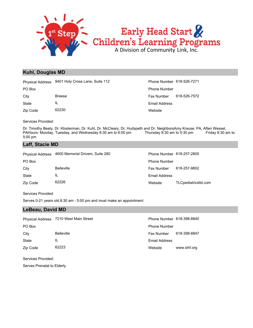

### **Kuhl, Douglas MD**

|          | Physical Address 9401 Holy Cross Lane, Suite 112 |
|----------|--------------------------------------------------|
| PO Box   |                                                  |
| City     | <b>Breese</b>                                    |
| State    | IL                                               |
| Zip Code | 62230                                            |

**Website** Email Address Fax Number 618-526-7572 Phone Number Phone Number 618-526-7271

Services Provided:

Dr. Timothy Beaty, Dr. Klosterman, Dr. Kuhl, Dr. McCleary, Dr. Hudspeth and Dr. NeighborsAmy Krause, PA, Aften Wessel, PAHours: Monday, Tuesday, and Wednesday 8:30 am to 6:00 pm Thursday 8:30 am to 5:30 pm Friday 8:30 am to 5:00 pm

### **Laff, Stacie MD**

| <b>Physical Address</b> | 4600 Memorial Drivem, Suite 280 | Phone Number 618-257-2800 |                      |
|-------------------------|---------------------------------|---------------------------|----------------------|
| PO Box                  |                                 | <b>Phone Number</b>       |                      |
| City                    | <b>Belleville</b>               | <b>Fax Number</b>         | 618-257-9802         |
| <b>State</b>            | IL                              | Email Address             |                      |
| Zip Code                | 62226                           | Website                   | TLCpediatricsItd.com |

Services Provided:

Serves 0-21 years old.8:30 am - 5:00 pm and must make an appointment

### **LeBeau, David MD**

|              | Physical Address 7210 West Main Street | Phone Number 618-398-8840 |              |
|--------------|----------------------------------------|---------------------------|--------------|
| PO Box       |                                        | <b>Phone Number</b>       |              |
| City         | <b>Belleville</b>                      | <b>Fax Number</b>         | 618-398-8847 |
| <b>State</b> | ΙL                                     | Email Address             |              |
| Zip Code     | 62223                                  | Website                   | www.sihf.org |

Services Provided:

Serves Prenatal to Elderly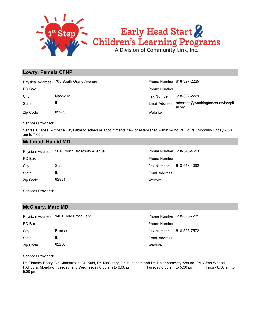

### **Lowry, Pamela CFNP**

|          | Physical Address 705 South Grand Avenue | Phone Number 618-327-2225 |                                           |
|----------|-----------------------------------------|---------------------------|-------------------------------------------|
| PO Box   |                                         | <b>Phone Number</b>       |                                           |
| City     | Nashville                               | Fax Number                | 618-327-2229                              |
| State    | IL                                      | Email Address             | mbarnett@washingtoncountyhospit<br>al.org |
| Zip Code | 62263                                   | Website                   |                                           |

Services Provided:

Serves all ages. Almost always able to schedule appointments new or established within 24 hours.Hours: Monday- Friday 7:30 am to 7:00 pm

### **Mahmud, Hamid MD**

|          | Physical Address 1610 North Broadway Avenue | Phone Number 618-548-4613 |              |
|----------|---------------------------------------------|---------------------------|--------------|
| PO Box   |                                             | <b>Phone Number</b>       |              |
| City     | Salem                                       | <b>Fax Number</b>         | 618-548-4092 |
| State    | IL                                          | <b>Email Address</b>      |              |
| Zip Code | 62881                                       | Website                   |              |
|          |                                             |                           |              |

Services Provided:

### **McCleary, Marc MD**

|          | Physical Address 9401 Holy Cross Lane | Phone Number 618-526-7271 |              |
|----------|---------------------------------------|---------------------------|--------------|
| PO Box   |                                       | <b>Phone Number</b>       |              |
| City     | <b>Breese</b>                         | Fax Number                | 618-526-7572 |
| State    | IL                                    | Email Address             |              |
| Zip Code | 62230                                 | Website                   |              |

Services Provided:

Dr. Timothy Beaty, Dr. Klosterman, Dr. Kuhl, Dr. McCleary, Dr. Hudspeth and Dr. NeighborsAmy Krause, PA, Aften Wessel, PAHours: Monday, Tuesday, and Wednesday 8:30 am to 6:00 pm Thursday 8:30 am to 5:30 pm Friday 8:30 am to 5:00 pm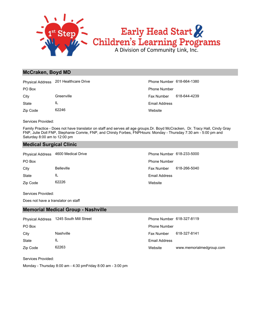

### **McCraken, Boyd MD**

|          | Physical Address 201 Healthcare Drive | Phone Number 618-664-1380 |              |
|----------|---------------------------------------|---------------------------|--------------|
| PO Box   |                                       | <b>Phone Number</b>       |              |
| City     | Greenville                            | <b>Fax Number</b>         | 618-644-4239 |
| State    | IL                                    | Email Address             |              |
| Zip Code | 62246                                 | Website                   |              |

Services Provided:

Family Practice - Does not have translator on staff and serves all age groups.Dr. Boyd McCracken, Dr. Tracy Hall, Cindy Gray FNP, Julie Doll FNP, Stephanie Comrie, FNP, and Chirsty Forbes, FNPHours: Monday - Thursday 7:30 am - 5:00 pm and Saturday 8:00 am to 12:00 pm

### **Medical Surgical Clinic**

|          | Physical Address 4600 Medical Drive | Phone Number 618-233-5000 |              |
|----------|-------------------------------------|---------------------------|--------------|
| PO Box   |                                     | <b>Phone Number</b>       |              |
| City     | <b>Belleville</b>                   | Fax Number                | 618-266-5040 |
| State    | IL                                  | Email Address             |              |
| Zip Code | 62226                               | Website                   |              |

Services Provided:

Does not have a translator on staff

### **Memorial Medical Group - Nashville**

| <b>Physical Address</b> | 1245 South Mill Street | Phone Number 618-327-8119 |                          |
|-------------------------|------------------------|---------------------------|--------------------------|
| PO Box                  |                        | <b>Phone Number</b>       |                          |
| City                    | Nashville              | Fax Number                | 618-327-8141             |
| State                   | IL                     | Email Address             |                          |
| Zip Code                | 62263                  | Website                   | www.memorialmedgroup.com |

Services Provided:

Monday - Thursday 8:00 am - 4:30 pmFriday 8:00 am - 3:00 pm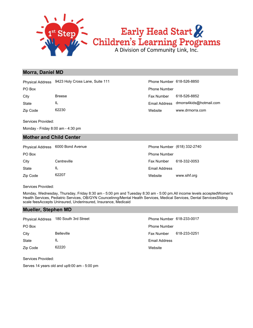

### **Morra, Daniel MD**

|          | Physical Address 9423 Holy Cross Lane, Suite 111 | Phone Number 618-526-8850 |                                       |
|----------|--------------------------------------------------|---------------------------|---------------------------------------|
| PO Box   |                                                  | <b>Phone Number</b>       |                                       |
| Citv     | <b>Breese</b>                                    | Fax Number                | 618-526-8852                          |
| State    | IL                                               |                           | Email Address dmorra4kids@hotmail.com |
| Zip Code | 62230                                            | Website                   | www.drmorra.com                       |

Services Provided:

Monday - Friday 8:00 am - 4:30 pm

### **Mother and Child Center**

| <b>Physical Address</b> | 6000 Bond Avenue |                     | Phone Number (618) 332-2740 |
|-------------------------|------------------|---------------------|-----------------------------|
| PO Box                  |                  | <b>Phone Number</b> |                             |
| City                    | Centreville      | <b>Fax Number</b>   | 618-332-0053                |
| State                   | IL               | Email Address       |                             |
| Zip Code                | 62207            | Website             | www.sihf.org                |

Services Provided:

Monday, Wednesday, Thursday, Friday 8:30 am - 5:00 pm and Tuesday 8:30 am - 5:00 pm.All income levels acceptedWomen's Health Services, Pediatric Services, OB/GYN Councelinng/Mental Health Services, Medical Services, Dental ServicesSliding scale feesAccepts Uninsured, Underinsured, Insurance, Medicaid

### **Mueller, Stephen MD**

| <b>Physical Address</b> | 180 South 3rd Street | Phone Number 618-233-0017 |              |
|-------------------------|----------------------|---------------------------|--------------|
| PO Box                  |                      | <b>Phone Number</b>       |              |
| City                    | <b>Belleville</b>    | <b>Fax Number</b>         | 618-233-0251 |
| <b>State</b>            | IL                   | <b>Email Address</b>      |              |
| Zip Code                | 62220                | Website                   |              |

Services Provided:

Serves 14 years old and up9:00 am - 5:00 pm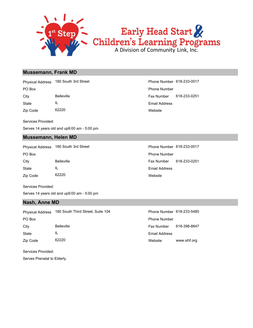

### Early Head Start Children's Learning Programs

### **Mussemann, Frank MD**

Physical Address 180 South 3rd Street Phone Number 618-233-0017

Zip Code 62220 State IL

Services Provided:

Serves 14 years old and up9:00 am - 5:00 pm

### **Mussemann, Helen MD**

PO Box **Provides** Phone Number Physical Address 180 South 3rd Street Phone Number 618-233-0017

| EU DUX   |                   |
|----------|-------------------|
| City     | <b>Belleville</b> |
| State    | Ш.                |
| Zip Code | 62220             |

Services Provided:

Serves 14 years old and up9:00 am - 5:00 pm

### **Nash, Anne MD**

Physical Address 180 South Third Street; Suite 104 Phone Number 618-233-5480

Zip Code 62220 State IL

Services Provided:

Serves Prenatal to Elderly.

**Website** Email Address City Belleville Fax Number 618-233-0251 PO Box Phone Number

> Website Email Address Fax Number 618-233-0251

Website www.sihf.org Email Address City Belleville **Fax Number 618-398-8847** PO Box Phone Number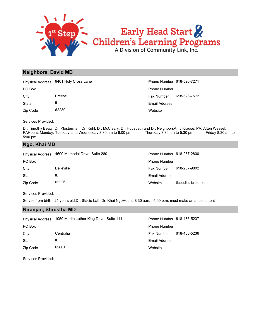

### **Neighbors, David MD**

|              | Physical Address 9401 Holy Cross Lane | Phone Number 618-526-7271 |              |
|--------------|---------------------------------------|---------------------------|--------------|
| PO Box       |                                       | <b>Phone Number</b>       |              |
| City         | <b>Breese</b>                         | Fax Number                | 618-526-7572 |
| <b>State</b> | IL                                    | Email Address             |              |
| Zip Code     | 62230                                 | Website                   |              |

Services Provided:

Dr. Timothy Beaty, Dr. Klosterman, Dr. Kuhl, Dr. McCleary, Dr. Hudspeth and Dr. NeighborsAmy Krause, PA, Aften Wessel, PAHours: Monday, Tuesday, and Wednesday 8:30 am to 6:00 pm Thursday 8:30 am to 5:30 pm Friday 8:30 am to 5:00 pm

### **Ngo, Khai MD**

| <b>Physical Address</b> | 4600 Memorial Drive, Suite 280 | Phone Number 618-257-2800 |                      |
|-------------------------|--------------------------------|---------------------------|----------------------|
| PO Box                  |                                | <b>Phone Number</b>       |                      |
| City                    | <b>Belleville</b>              | Fax Number                | 618-257-9802         |
| <b>State</b>            | IL                             | Email Address             |                      |
| Zip Code                | 62226                          | Website                   | tlcpediatricsitd.com |

Services Provided:

Serves from birth - 21 years old.Dr. Stacie Laff, Dr. Khai NgoHours: 8:30 a.m. - 5:00 p.m. must make an appointment

### **Niranjan, Shrestha MD**

| <b>Physical Address</b> | 1050 Martin Luther King Drive, Suite 111 | Phone Number 618-436-5237 |              |
|-------------------------|------------------------------------------|---------------------------|--------------|
| PO Box                  |                                          | <b>Phone Number</b>       |              |
| City                    | Centralia                                | <b>Fax Number</b>         | 618-436-5236 |
| State                   | IL                                       | Email Address             |              |
| Zip Code                | 62801                                    | Website                   |              |

Services Provided: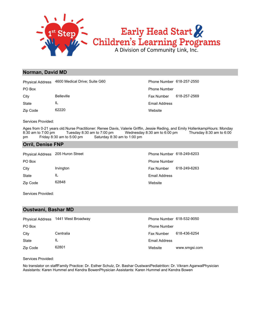

#### **Norman, David MD**

|              | Physical Address 4600 Medical Drive; Suite G60 | <b>Phone Number</b> |
|--------------|------------------------------------------------|---------------------|
| PO Box       |                                                | <b>Phone Number</b> |
| City         | <b>Belleville</b>                              | <b>Fax Number</b>   |
| <b>State</b> | Ш.                                             | Email Address       |
| Zip Code     | 62220                                          | Website             |

psite il Address Number 618-257-2569 ne Number 618-257-2550

Services Provided:

Ages from 0-21 years old.Nurse Practitioner: Renee Davis, Valerie Griffin, Jessie Reding, and Emily HollenkampHours: Monday 8:30 am to 7:00 pm Tuesday 8:30 am to 7:00 pm Wednesday 8:30 am to 6:00 pm Thursday 8:30 am to 6:00 pm Friday 8:30 am to 5:00 pm Saturday 8:30 am to 1:00 pm

#### **Orril, Denise FNP**

| Physical Address 205 Huron Street |           | Phone Number 618-249-6203 |              |
|-----------------------------------|-----------|---------------------------|--------------|
| PO Box                            |           | <b>Phone Number</b>       |              |
| City                              | Irvington | Fax Number                | 618-249-6263 |
| State                             | IL        | <b>Email Address</b>      |              |
| Zip Code                          | 62848     | Website                   |              |

Services Provided:

#### **Oustwani, Bashar MD**

|          | Physical Address 1441 West Broadway | Phone Number 618-532-9050 |               |
|----------|-------------------------------------|---------------------------|---------------|
| PO Box   |                                     | <b>Phone Number</b>       |               |
| City     | Centralia                           | <b>Fax Number</b>         | 618-436-6254  |
| State    | IL                                  | Email Address             |               |
| Zip Code | 62801                               | Website                   | www.smgsi.com |

Services Provided:

No translator on staffFamily Practice: Dr. Esther Schulz, Dr. Bashar OustwaniPediatrition: Dr. Vikram AgarwalPhysician Assistants: Karen Hummel and Kendra BowenPhysician Assistants: Karen Hummel and Kendra Bowen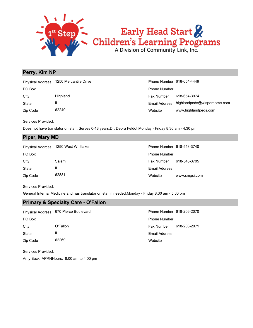

#### **Perry, Kim NP**

| <b>Physical Address</b> | 1250 Mercantile Drive | Phone Number 618-654-4449 |                             |
|-------------------------|-----------------------|---------------------------|-----------------------------|
| PO Box                  |                       | <b>Phone Number</b>       |                             |
| City                    | Highland              | Fax Number                | 618-654-3974                |
| State                   | IL                    | Email Address             | highlandpeds@wisperhome.com |
| Zip Code                | 62249                 | Website                   | www.highlandpeds.com        |

Services Provided:

Does not have translator on staff. Serves 0-18 years.Dr. Debra FeldottMonday - Friday 8:30 am - 4:30 pm

#### **Piper, Mary MD**

| <b>Physical Address</b> | 1250 West Whittaker | Phone Number 618-548-3740 |               |
|-------------------------|---------------------|---------------------------|---------------|
| PO Box                  |                     | <b>Phone Number</b>       |               |
| City                    | Salem               | Fax Number                | 618-548-3705  |
| State                   | ΙL                  | Email Address             |               |
| Zip Code                | 62881               | Website                   | www.smgsi.com |

Services Provided:

General Internal Medicine and has translator on staff if needed.Monday - Friday 8:30 am - 5:00 pm

#### **Primary & Specialty Care - O'Fallon**

|          | Physical Address 670 Pierce Boulevard | Phone Number 618-206-2070 |              |
|----------|---------------------------------------|---------------------------|--------------|
| PO Box   |                                       | <b>Phone Number</b>       |              |
| City     | O'Fallon                              | Fax Number                | 618-206-2071 |
| State    | IL                                    | Email Address             |              |
| Zip Code | 62269                                 | Website                   |              |

Services Provided:

Amy Buck, APRNHours: 8:00 am to 4:00 pm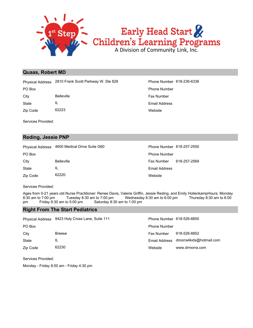

#### **Quaas, Robert MD**

Physical Address 2810 Frank Scott Parkway W. Ste 828 Phone Number 618-236-6336

State IL City Belleville **Belleville** Fax Number

Zip Code 62223

Services Provided:

#### **Reding, Jessie PNP**

Physical Address 4600 Medical Drive Suite G60 Phone Number 618-257-2550

Email Address Zip Code 62220 State IL City Belleville Fax Number 618-257-2569 PO Box **Phone Number** Po Box **Phone Number** Po Box **Phone Number** Po Box **Phone Number** 

Services Provided:

Ages from 0-21 years old.Nurse Practitioner: Renee Davis, Valerie Griffin, Jessie Reding, and Emily HollenkampHours: Monday 8:30 am to 7:00 pm Tuesday 8:30 am to 7:00 pm Wednesday 8:30 am to 6:00 pm Thursday 8:30 am to 6:00 pm Friday 8:30 am to 5:00 pm Saturday 8:30 am to 1:00 pm

#### **Right From The Start Pediatrics**

|              | Physical Address 9423 Holy Cross Lane, Suite 111 | Phone Number 618-526-8850 |                         |
|--------------|--------------------------------------------------|---------------------------|-------------------------|
| PO Box       |                                                  | <b>Phone Number</b>       |                         |
| City         | <b>Breese</b>                                    | <b>Fax Number</b>         | 618-526-8852            |
| <b>State</b> | ΙL                                               | Email Address             | dmorra4kids@hotmail.com |
| Zip Code     | 62230                                            | Website                   | www.drmorra.com         |

Services Provided:

Monday - Friday 8:00 am - Friday 4:30 pm

**Website** Email Address PO Box Phone Number

**Website**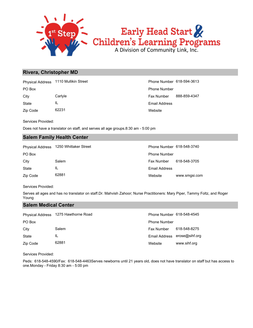

#### **Rivera, Christopher MD**

Physical Address 1110 Mullikin Street Phone Number 618-594-3613

Zip Code 62231 State IL

**Website** Email Address City Carlyle Carlos Carlyle Carlos Carlos Carlos Carlos Fax Number 888-859-4347 PO Box Phone Number

Services Provided:

Does not have a translator on staff, and serves all age groups.8:30 am - 5:00 pm

#### **Salem Family Health Center**

| <b>Physical Address</b> | 1250 Whittaker Street | Phone Number 618-548-3740 |               |
|-------------------------|-----------------------|---------------------------|---------------|
| PO Box                  |                       | <b>Phone Number</b>       |               |
| City                    | Salem                 | Fax Number                | 618-548-3705  |
| <b>State</b>            | IL                    | Email Address             |               |
| Zip Code                | 62881                 | Website                   | www.smgsi.com |

Services Provided:

Serves all ages and has no translator on staff.Dr. Mahvish Zahoor; Nurse Practitioners: Mary Piper, Tammy Foltz, and Roger Young

#### **Salem Medical Center**

| <b>Physical Address</b> | 1275 Hawthorne Road | Phone Number 618-548-4545 |                              |
|-------------------------|---------------------|---------------------------|------------------------------|
| PO Box                  |                     | <b>Phone Number</b>       |                              |
| City                    | Salem               | Fax Number                | 618-548-8275                 |
| State                   | IL                  |                           | Email Address erose@sihf.org |
| Zip Code                | 62881               | Website                   | www.sihf.org                 |

Services Provided:

Peds: 618-548-4590/Fax: 618-548-4463Serves newborns until 21 years old, does not have translator on staff but has access to one.Monday - Friday 8:30 am - 5:00 pm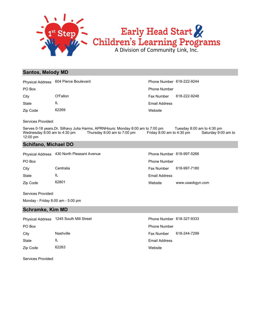

#### **Santos, Melody MD**

**Website** Email Address Zip Code 62269 State IL City **O'Fallon** O'Fallon **Fax Number** 618-222-9248 PO Box Phone Number Physical Address 604 Pierce Boulevard **Phone Number 618-222-9244** 

Services Provided:

Serves 0-18 years.Dr. Silhavy Julia Harms, APRNHours: Monday 8:00 am to 7:00 pm Tuesday 8:00 am to 4:30 pm Wednesday 8:00 am to 4:30 pm Thursday 8:00 am to 7:00 pm Friday 8:00 am to 4:30 pm Saturday 9:00 am to 12:00 pm

#### **Schifano, Michael DO**

|          | Physical Address 430 North Pleasant Avenue | Phone Number 618-997-5266 |                  |
|----------|--------------------------------------------|---------------------------|------------------|
| PO Box   |                                            | <b>Phone Number</b>       |                  |
| Citv     | Centralia                                  | Fax Number                | 618-997-7180     |
| State    | IL                                         | Email Address             |                  |
| Zip Code | 62801                                      | Website                   | www.usaobgyn.com |

Services Provided:

Monday - Friday 8:00 am - 5:00 pm

#### **Schramke, Kim MD**

|          | Physical Address 1245 South Mill Street | Phone Number 618-327-9333 |              |
|----------|-----------------------------------------|---------------------------|--------------|
| PO Box   |                                         | <b>Phone Number</b>       |              |
| City     | Nashville                               | Fax Number                | 618-244-7299 |
| State    | IL                                      | Email Address             |              |
| Zip Code | 62263                                   | Website                   |              |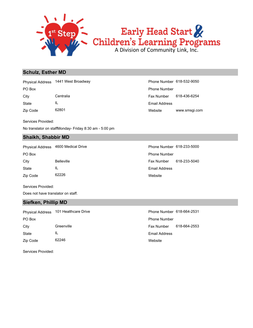

# Early Head Start Children's Learning Programs

#### **Schulz, Esther MD**

Physical Address 1441 West Broadway **Phone Number 618-532-9050** 

State IL

Zip Code 62801

Services Provided:

No translator on staffMonday- Friday 8:30 am - 5:00 pm

#### **Shaikh, Shabbir MD**

Physical Address 4600 Medical Drive **Phone Number 618-233-5000** 

| PO Box   |                   |
|----------|-------------------|
| City     | <b>Belleville</b> |
| State    | Ш.                |
| Zip Code | 62226             |

Website www.smsgi.com Email Address City Centralia Fax Number 618-436-6254 PO Box Phone Number

> **Website** Email Address Fax Number 618-233-5040 Phone Number

Services Provided:

Does not have translator on staff.

#### **Siefken, Phillip MD**

PO Box Phone Number Physical Address 101 Healthcare Drive **Phone Number 618-664-2531** 

Zip Code 62246 State IL City Greenville Greenville Fax Number 618-664-2553

**Website** Email Address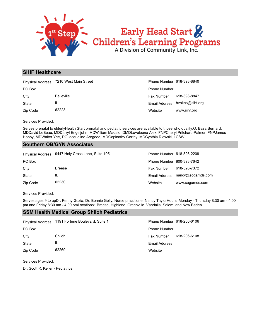

#### **SIHF Healthcare**

|          | Physical Address 7210 West Main Street | Phone Number 618-398-8840 |                               |
|----------|----------------------------------------|---------------------------|-------------------------------|
| PO Box   |                                        | <b>Phone Number</b>       |                               |
| City     | <b>Belleville</b>                      | Fax Number                | 618-398-8847                  |
| State    | IL                                     |                           | Email Address bvokes@sihf.org |
| Zip Code | 62223                                  | Website                   | www.sihf.org                  |

Services Provided:

Serves prenatal to elderlyHealth Start prenatal and pediatric services are available to those who qualify.O. Basa Bernard, MDDavid LeBeau, MDDarryl Engeljohn, MDWilliam Madaio, DMDLoveleena Alex, FNPCheryl Pritchard-Palmer, FNPJames Hobby, MDWalter Yee, DOJacqueline Aregood, MDGopinathy Gorthy, MDCynthia Riewski, LCSW

#### **Southern OB/GYN Associates**

|          | Physical Address 9447 Holy Cross Lane, Suite 105 | Phone Number 618-526-2209 |                   |
|----------|--------------------------------------------------|---------------------------|-------------------|
| PO Box   |                                                  | Phone Number 800-393-7642 |                   |
| City     | <b>Breese</b>                                    | Fax Number                | 618-526-7372      |
| State    |                                                  | Email Address             | nancy@sogamds.com |
| Zip Code | 62230                                            | Website                   | www.sogamds.com   |

Services Provided:

Serves ages 9 to upDr. Penny Gozia, Dr. Bonnie Gelly, Nurse practitioner Nancy TaylorHours: Monday - Thursday 8:30 am - 4:00 pm and Friday 8:30 am - 4:00 pmLocations: Breese, Highland, Greenville. Vandalia, Salem, and New Baden

#### **SSM Health Medical Group Shiloh Pediatrics**

|          | Physical Address 1191 Fortune Boulevard; Suite 1 | Phone Number 618-206-6106 |              |
|----------|--------------------------------------------------|---------------------------|--------------|
| PO Box   |                                                  | <b>Phone Number</b>       |              |
| City     | Shiloh                                           | <b>Fax Number</b>         | 618-206-6108 |
| State    | IL                                               | Email Address             |              |
| Zip Code | 62269                                            | Website                   |              |

Services Provided:

Dr. Scott R. Keller - Pediatrics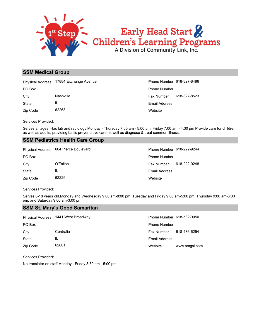

#### **SSM Medical Group**

|          | Physical Address 17884 Exchange Avenue | Phone Number 618-327-8486 |              |
|----------|----------------------------------------|---------------------------|--------------|
| PO Box   |                                        | <b>Phone Number</b>       |              |
| City     | Nashville                              | <b>Fax Number</b>         | 618-327-8523 |
| State    | IL                                     | Email Address             |              |
| Zip Code | 62263                                  | Website                   |              |

Services Provided:

Serves all ages. Has lab and radiology.Monday - Thursday 7:00 am - 5:00 pm, Friday 7:00 am - 4:30 pm Provide care for children as well as adults, providing basic preventative care as well as diagnose & treat common illness.

#### **SSM Pediatrics Health Care Group**

|          | Physical Address 604 Pierce Boulevard | Phone Number 618-222-9244 |              |
|----------|---------------------------------------|---------------------------|--------------|
| PO Box   |                                       | <b>Phone Number</b>       |              |
| City     | O'Fallon                              | Fax Number                | 618-222-9248 |
| State    | IL                                    | Email Address             |              |
| Zip Code | 62229                                 | Website                   |              |

Services Provided:

Serves 0-18 years old.Monday and Wednesday 9:00 am-8:00 pm, Tuesday and Friday 9:00 am-5:00 pm, Thursday 9:00 am-6:00 pm, and Saturday 9:00 am-3:00 pm

#### **SSM St. Mary's Good Samaritan**

| <b>Physical Address</b> | 1441 West Broadway | Phone Number 618-532-9050 |               |
|-------------------------|--------------------|---------------------------|---------------|
| PO Box                  |                    | <b>Phone Number</b>       |               |
| City                    | Centralia          | Fax Number                | 618-436-6254  |
| State                   | IL                 | <b>Email Address</b>      |               |
| Zip Code                | 62801              | Website                   | www.smgsi.com |

Services Provided:

No translator on staff.Monday - Friday 8:30 am - 5:00 pm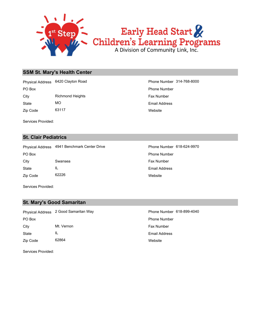

#### **SSM St. Mary's Health Center**

City **Richmond Heights** Fax Number PO Box Phone Number Physical Address 6420 Clayton Road Phone Number 314-768-8000

Zip Code 63117 State MO

Services Provided:

#### **St. Clair Pediatrics**

Physical Address 4941 Benchmark Center Drive **Phone Number 618-624-9970** 

Zip Code 62226 State IL City Swansea **Fax Number** City PO Box **Phone Number** Po Box **Phone Number** Phone Number

**Website** Email Address

Website Email Address

Services Provided:

#### **St. Mary's Good Samaritan**

Zip Code 62864 State IL City Mt. Vernon **Fax Number** Fax Number PO Box Phone Number Physical Address 2 Good Samaritan Way **Phone Number 618-899-4040** 

**Website** Email Address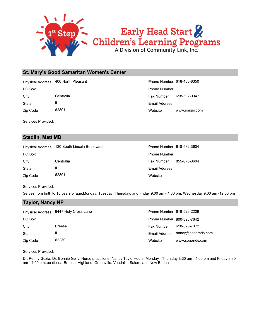

#### **St. Mary's Good Samaritan Women's Center**

Physical Address 400 North Pleasant Phone Number 618-436-8350

State IL

Zip Code 62801

Services Provided:

#### **Stedlin, Matt MD**

State IL City Centralia Fax Number 855-676-3604 PO Box **Phone Number** Po Box **Phone Number** Po Box **Phone Number** Po Box **Phone Number** Physical Address 130 South Lincoln Boulevard Phone Number 618-532-3604

Website www.smgsi.com Email Address City Centralia Centralia Centralia Centralia Centralia Centralia Centralia Centralia Centralia Centralia Centralia PO Box Phone Number

> **Website** Email Address

Services Provided:

Serves from birth to 18 years of age.Monday, Tuesday, Thursday, and Friday 9:00 am - 4:30 pm, Wednesday 9:00 am -12:00 pm

#### **Taylor, Nancy NP**

Zip Code 62801

|          | Physical Address 9447 Holy Cross Lane | Phone Number 618-526-2209 |                                 |
|----------|---------------------------------------|---------------------------|---------------------------------|
| PO Box   |                                       | Phone Number 800-393-7642 |                                 |
| City     | <b>Breese</b>                         | <b>Fax Number</b>         | 618-526-7372                    |
| State    | IL                                    |                           | Email Address nancy@sogamds.com |
| Zip Code | 62230                                 | Website                   | www.sogands.com                 |

Services Provided:

Dr. Penny Gozia, Dr. Bonnie Gelly, Nurse practitioner Nancy TaylorHours: Monday - Thursday 8:30 am - 4:00 pm and Friday 8:30 am - 4:00 pmLocations: Breese, Highland, Greenville. Vandalia, Salem, and New Baden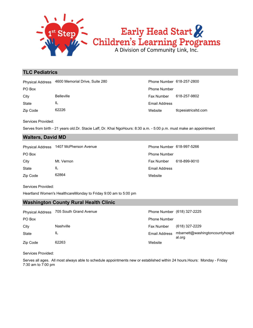

#### **TLC Pediatrics**

|          | Physical Address 4600 Memorial Drive, Suite 280 | Phone Number 618-257-2800 |                  |
|----------|-------------------------------------------------|---------------------------|------------------|
| PO Box   |                                                 | <b>Phone Number</b>       |                  |
| City     | <b>Belleville</b>                               | <b>Fax Number</b>         | 618-257-9802     |
| State    | IL                                              | Email Address             |                  |
| Zip Code | 62226                                           | Website                   | ticpesiatricsitd |

| Website                   | ticpesiatricsitd.com |
|---------------------------|----------------------|
| Email Address             |                      |
| Fax Number                | 618-257-9802         |
| <b>Phone Number</b>       |                      |
| Phone Number 618-257-2800 |                      |

Services Provided:

Serves from birth - 21 years old.Dr. Stacie Laff, Dr. Khai NgoHours: 8:30 a.m. - 5:00 p.m. must make an appointment

#### **Walters, David MD**

|          | Physical Address 1407 McPherson Avenue | Phone Number 618-997-5266 |              |
|----------|----------------------------------------|---------------------------|--------------|
| PO Box   |                                        | <b>Phone Number</b>       |              |
| City     | Mt. Vernon                             | Fax Number                | 618-899-9010 |
| State    | IL                                     | Email Address             |              |
| Zip Code | 62864                                  | Website                   |              |

Services Provided:

Heartland Women's HealthcareMonday to Friday 9:00 am to 5:00 pm

#### **Washington County Rural Health Clinic**

|          | Physical Address 705 South Grand Avenue |                     | Phone Number (618) 327-2225               |
|----------|-----------------------------------------|---------------------|-------------------------------------------|
| PO Box   |                                         | <b>Phone Number</b> |                                           |
| City     | Nashville                               | <b>Fax Number</b>   | (618) 327-2229                            |
| State    | IL                                      | Email Address       | mbarnett@washingtoncountyhospit<br>al.org |
| Zip Code | 62263                                   | Website             |                                           |

Services Provided:

Serves all ages. All most always able to schedule appointments new or established within 24 hours.Hours: Monday - Friday 7:30 am to 7:00 pm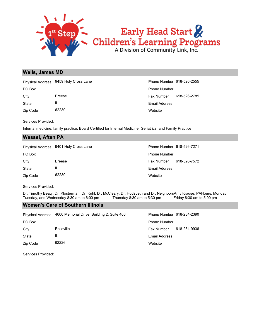

#### **Wells, James MD**

Zip Code 62230 State IL City Breese Breese Fax Number 618-526-2781 PO Box Phone Number Physical Address 9459 Holy Cross Lane **Phone Number 618-526-2555** 

**Website** Email Address

Services Provided:

Internal medicine, family practice; Board Certified for Internal Medicine, Geriatrics, and Family Practice

#### **Wessel, Aften PA**

|          | Physical Address 9401 Holy Cross Lane | Phone Number 618-526-7271 |              |
|----------|---------------------------------------|---------------------------|--------------|
| PO Box   |                                       | <b>Phone Number</b>       |              |
| City     | <b>Breese</b>                         | Fax Number                | 618-526-7572 |
| State    | IL                                    | Email Address             |              |
| Zip Code | 62230                                 | Website                   |              |

Services Provided:

Dr. Timothy Beaty, Dr. Klosterman, Dr. Kuhl, Dr. McCleary, Dr. Hudspeth and Dr. NeighborsAmy Krause, PAHours: Monday, Tuesday, and Wednesday 8:30 am to 6:00 pm<br>Thursday, and Wednesday 8:30 am to 6:00 pm Thursday 8:30 am to Tuesday, and Wednesday 8:30 am to 6:00 pm Thursday 8:30 am to 5:30 pm Friday 8:30 am to 5:00 pm

#### **Women's Care of Southern Illinois**

| <b>Physical Address</b> | 4600 Memorial Drive, Building 2, Suite 400 | Phone Number 618-234-2390 |              |
|-------------------------|--------------------------------------------|---------------------------|--------------|
| PO Box                  |                                            | <b>Phone Number</b>       |              |
| City                    | <b>Belleville</b>                          | <b>Fax Number</b>         | 618-234-9936 |
| State                   | IL                                         | <b>Email Address</b>      |              |
| Zip Code                | 62226                                      | Website                   |              |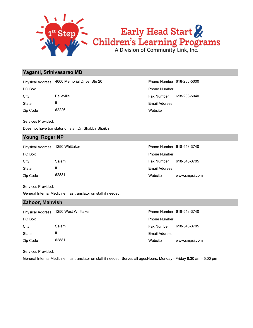

#### **Yaganti, Srinivasarao MD**

Physical Address 4600 Memorial Drive, Ste 20 Phone Number 618-233-5000

State IL

Zip Code 62226

Services Provided:

Does not have translator on staff.Dr. Shabbir Shaikh

#### **Young, Roger NP**

| PO Box   |       | <b>Phone Number</b> |
|----------|-------|---------------------|
| City     | Salem | <b>Fax Number</b>   |
| State    | IL    | Email Address       |
| Zip Code | 62881 | Website             |

**Website** Email Address City Belleville **Fax Number 618-233-5040** PO Box Phone Number

| Physical Address | 1250 Whittaker | Phone Number 618-548-3740 |               |
|------------------|----------------|---------------------------|---------------|
| PO Box           |                | <b>Phone Number</b>       |               |
| Citv             | Salem          | <b>Fax Number</b>         | 618-548-3705  |
| State            | IL             | <b>Email Address</b>      |               |
| Zip Code         | 62881          | Website                   | www.smgsi.com |

Services Provided:

General Internal Medicine, has translator on staff if needed.

#### **Zahoor, Mahvish**

| <b>Physical Address</b> | 1250 West Whittaker | Phone Number 618-548-3740 |               |
|-------------------------|---------------------|---------------------------|---------------|
| PO Box                  |                     | <b>Phone Number</b>       |               |
| City                    | Salem               | <b>Fax Number</b>         | 618-548-3705  |
| State                   | IL                  | <b>Email Address</b>      |               |
| Zip Code                | 62881               | Website                   | www.smgsi.com |

Services Provided:

General Internal Medicine, has translator on staff if needed. Serves all agesHours: Monday - Friday 8:30 am - 5:00 pm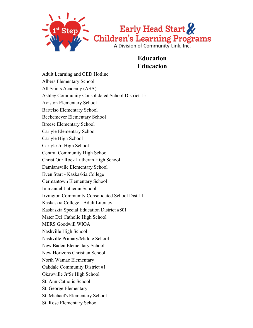

## **Education Educacion**

Adult Learning and GED Hotline Albers Elementary School All Saints Academy (ASA) Ashley Community Consolidated School District 15 Aviston Elementary School Bartelso Elementary School Beckemeyer Elementary School Breese Elementary School Carlyle Elementary School Carlyle High School Carlyle Jr. High School Central Community High School Christ Our Rock Lutheran High School Damiansville Elementary School Even Start - Kaskaskia College Germantown Elementary School Immanuel Lutheran School Irvington Community Consolidated School Dist 11 Kaskaskia College - Adult Literacy Kaskaskia Special Education District #801 Mater Dei Catholic High School MERS Goodwill WIOA Nashville High School Nashville Primary/Middle School New Baden Elementary School New Horizons Christian School North Wamac Elementary Oakdale Community District #1 Okawville Jr/Sr High School St. Ann Catholic School St. George Elementary St. Michael's Elementary School St. Rose Elementary School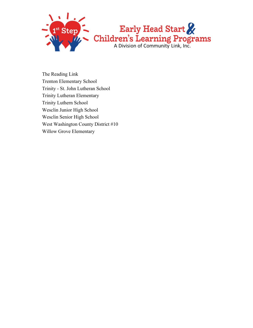

The Reading Link Trenton Elementary School Trinity - St. John Lutheran School Trinity Lutheran Elementary Trinity Luthern School Wesclin Junior High School Wesclin Senior High School West Washington County District #10 Willow Grove Elementary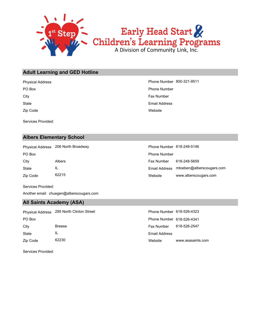

#### **Adult Learning and GED Hotline**

Zip Code **State** City **Fax Number** City **Fax Number** City **Fax Number** City **Fax Number** PO Box Phone Number

Services Provided:

#### **Albers Elementary School**

City Albers Fax Number 618-248-5659 PO Box **Phone Number** Policy **Phone Number** Phone Number **Phone Number** Phone Number Physical Address 206 North Broadway

Zip Code 62215 State IL

**Website** Email Address Physical Address **Phone Number 800-321-9511** 

| Phone Number 618-248-5146 |                           |
|---------------------------|---------------------------|
| Phone Number              |                           |
| Fax Number                | 618-248-5659              |
| Email Address             | mtoeben@alberscougars.com |
| Website                   | www.alberscougars.com     |

Services Provided:

Another email: chuegen@alberscougars.com

#### **All Saints Academy (ASA)**

|          | Physical Address 295 North Clinton Street | Phone Number 618-526-4323 |                   |
|----------|-------------------------------------------|---------------------------|-------------------|
| PO Box   |                                           | Phone Number 618-526-4341 |                   |
| City     | <b>Breese</b>                             | <b>Fax Number</b>         | 618-526-2547      |
| State    | IL                                        | Email Address             |                   |
| Zip Code | 62230                                     | Website                   | www.asasaints.com |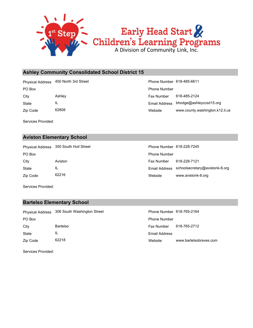

#### **Ashley Community Consolidated School District 15**

Physical Address 450 North 3rd Street Phone Number 618-485-6611

Zip Code 62808 State IL

Website www.county.washington.k12.il.us Email Address bhodge@ashleyccsd15.org City Ashley Fax Number 618-485-2124 PO Box Phone Number

Services Provided:

#### **Aviston Elementary School**

Zip Code 62216 State IL City Aviston Fax Number 618-228-7121 PO Box **Phone Number** Policy **Phone Number** Phone Number **Phone Number** Phone Number Physical Address 350 South Hull Street

| Phone Number 618-228-7245 |                                              |
|---------------------------|----------------------------------------------|
| Phone Number              |                                              |
| Fax Number                | 618-228-7121                                 |
|                           | Email Address schoolsecretary@avistonk-8.org |
| Website                   | www.avistonk-8.org                           |

Services Provided:

#### **Bartelso Elementary School**

|          | Physical Address 306 South Washington Street | Phone Number 618-765-2164 |                        |
|----------|----------------------------------------------|---------------------------|------------------------|
| PO Box   |                                              | <b>Phone Number</b>       |                        |
| City     | <b>Bartelso</b>                              | Fax Number                | 618-765-2712           |
| State    | IL                                           | Email Address             |                        |
| Zip Code | 62218                                        | Website                   | www.bartelsobraves.com |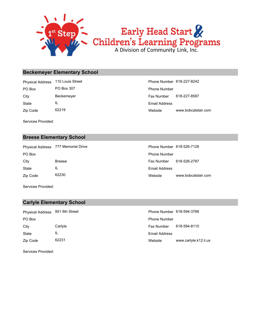

#### **Beckemeyer Elementary School**

Zip Code 62219 State IL City Beckemeyer Beckemeyer **Fax Number 618-227-8587** PO Box PO Box 307 PO Box 307 Phone Number Physical Address 110 Louis Street **Phone Number 618-227-8242** 

Website www.bobcatslair.com Email Address

Services Provided:

#### **Breese Elementary School**

Zip Code 62230 State IL City Breese Fax Number 618-526-2787 PO Box **Phone Number** Po Box **Phone Number** Po Box **Phone Number** Physical Address 777 Memorial Drive **Phone Number 618-526-7128** 

Website www.bobcatslair.com Email Address

Services Provided:

#### **Carlyle Elementary School**

| Physical Address 951 6th Street |         | Phone Number 618-594-3766 |                       |
|---------------------------------|---------|---------------------------|-----------------------|
| PO Box                          |         | <b>Phone Number</b>       |                       |
| City                            | Carlyle | Fax Number                | 618-594-8110          |
| State                           | IL      | <b>Email Address</b>      |                       |
| Zip Code                        | 62231   | Website                   | www.carlyle.k12.il.us |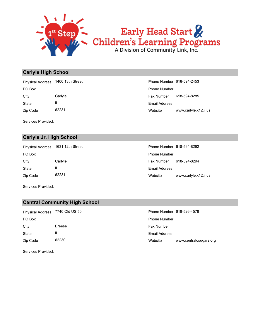

#### **Carlyle High School**

Zip Code 62231 State IL City Carlyle Fax Number 618-594-8285 PO Box Phone Number Physical Address 1400 13th Street Phone Number 618-594-2453

Website www.carlyle.k12.il.us Email Address

Services Provided:

#### **Carlyle Jr. High School**

Zip Code 62231 State IL City Carlyle Fax Number 618-594-8294 PO Box **Phone Number** Po Box **Phone Number** Phone Number

Website www.carlyle.k12.il.us Email Address Physical Address 1631 12th Street Phone Number 618-594-8292

Services Provided:

#### **Central Community High School**

Zip Code 62230 State IL City Breese **Fax Number Breese** Fax Number PO Box Phone Number

Website www.centralcougars.org Email Address Physical Address 7740 Old US 50 Phone Number 618-526-4578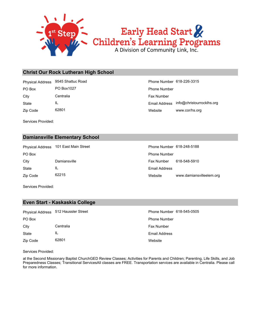

#### **Christ Our Rock Lutheran High School**

City Centralia Centralia Centralia Centralia Centralia Centralia Centralia Centralia Centralia Centralia Centralia PO Box PO Box1027 Phone Number Physical Address 9545 Shattuc Road **Phone Number 618-226-3315** 

Zip Code 62801 State IL

Website www.cor/hs.org Email Address info@christourrocklhs.org

Services Provided:

#### **Damiansville Elementary School**

Zip Code 62215 State IL City Damiansville Fax Number 618-548-5910 PO Box **Phone Number** Policy **Phone Number** Phone Number **Phone Number** Phone Number Physical Address 101 East Main Street

| Phone Number 618-248-5188 |                          |
|---------------------------|--------------------------|
| Phone Number              |                          |
| Fax Number 618-548-5910   |                          |
| Email Address             |                          |
| Website                   | www.damiansvilleelem.org |

Services Provided:

#### **Even Start - Kaskaskia College**

|          | Physical Address 512 Haussler Stree |
|----------|-------------------------------------|
| PO Box   |                                     |
| City     | Centralia                           |
| State    | Ш.                                  |
| Zip Code | 62801                               |

**Website** Email Address Fax Number Phone Number et et address 512 Haussler Street Phone Number 618-545-0505

Services Provided:

at the Second Missionary Baptist ChurchGED Review Classes; Activities for Parents and Children; Parenting, Life Skills, and Job Preparedness Classes; Transitional ServicesAll classes are FREE. Transportation services are available in Centralia. Please call for more information.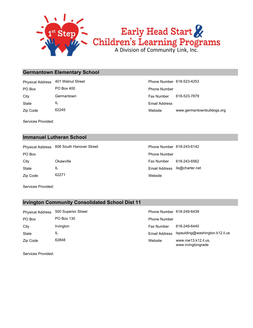

#### **Germantown Elementary School**

Zip Code 62245 State IL City **Germantown** Germantown **Fax Number** 618-523-7879 PO Box PO Box 400 PO Box 200 Phone Number Physical Address 401 Walnut Street **Phone Number 618-523-4253** 

Website www.germantownbulldogs.org Email Address

Services Provided:

#### **Immanuel Lutheran School**

Physical Address 606 South Hanover Street Phone Number 618-243-6142

Zip Code 62271 State IL City Okawville Fax Number 618-243-6562 PO Box **Phone Number** Po Box **Phone Number** Po Box **Phone Number** 

**Website** Email Address ils@charter.net

Services Provided:

#### **Irvington Community Consolidated School Dist 11**

| <b>Physical Address</b> | 500 Superior Street | Phone Number 618-249-6439  |              |
|-------------------------|---------------------|----------------------------|--------------|
| PO Box                  | PO Box 130          | <b>Phone Number</b>        |              |
| City                    | <i>Irvington</i>    | <b>Fax Number</b>          | 618-249-6440 |
| State                   | ΙL                  | Email Address Ispaulding@w |              |
| Zip Code                | 62848               | Website                    | www.roe13.k1 |

| Phone Number 618-249-6439 |                                               |
|---------------------------|-----------------------------------------------|
| Phone Number              |                                               |
| Fax Number 618-249-6440   |                                               |
|                           | Email Address Ispaulding@washington.k12.il.us |
| Website                   | www.roe13.k12.il.us.<br>www.irvingtongrade    |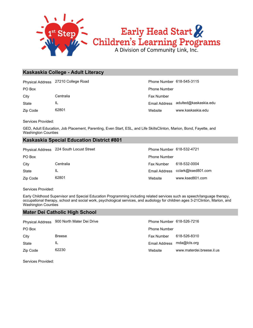

#### **Kaskaskia College - Adult Literacy**

Physical Address 27210 College Road **Phone Number 618-545-3115** 

Zip Code 62801 State IL City Centralia Centralia Centralia Centralia Centralia Centralia Centralia Centralia Centralia Centralia Centralia

Website www.kaskaskia.edu Email Address adulted@kaskaskia.edu PO Box Phone Number

Services Provided:

GED, Adult Education, Job Placement, Parenting, Even Start, ESL, and Life SkillsClinton, Marion, Bond, Fayette, and Washington Counties

#### **Kaskaskia Special Education District #801**

|          | Physical Address 224 South Locust Street | Phone Number 618-532-4721 |                                  |
|----------|------------------------------------------|---------------------------|----------------------------------|
| PO Box   |                                          | <b>Phone Number</b>       |                                  |
| City     | Centralia                                | Fax Number                | 618-532-0004                     |
| State    | IL                                       |                           | Email Address cclark@ksed801.com |
| Zip Code | 62801                                    | Website                   | www.ksed801.com                  |

Services Provided:

Early Childhood Supervisor and Special Education Programming including related services such as speech/language therapy, occupational therapy, school and social work, psychological services, and audiology for children ages 3-21Clinton, Marion, and Washington Counties

#### **Mater Dei Catholic High School**

|          | Physical Address 900 North Mater Dei Drive | Phone Number 618-526-7216  |                           |
|----------|--------------------------------------------|----------------------------|---------------------------|
| PO Box   |                                            | <b>Phone Number</b>        |                           |
| City     | <b>Breese</b>                              | <b>Fax Number</b>          | 618-526-8310              |
| State    | IL                                         | Email Address mda@lcls.org |                           |
| Zip Code | 62230                                      | Website                    | www.materdei.breese.il.us |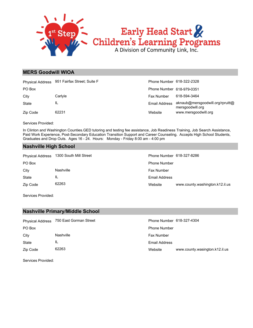

#### **MERS Goodwill WIOA**

|          | Physical Address 951 Fairfax Street; Suite F | Phone Number 618-322-2328 |                                                      |
|----------|----------------------------------------------|---------------------------|------------------------------------------------------|
| PO Box   |                                              | Phone Number 618-979-0351 |                                                      |
| City     | Carlyle                                      | Fax Number                | 618-594-3464                                         |
| State    | IL                                           | Email Address             | aknaub@mersgoodwill.org/rpruitt@<br>mersgoodwill.org |
| Zip Code | 62231                                        | Website                   | www.mersgoodwill.org                                 |

Services Provided:

In Clinton and Washington Counties.GED tutoring and testing fee assistance, Job Readiness Training, Job Search Assistance, Paid Work Experience, Post-Secondary Education Transition Support and Career Counseling. Accepts High School Students, Graduates and Drop Outs. Ages 16 - 24. Hours: Monday - Friday 8:00 am - 4:00 pm

#### **Nashville High School**

State IL City **Nashville Nashville Nashville Fax Number Fax Number** PO Box **Phone Number** Po Box **Phone Number** Po Box **Phone Number** Physical Address 1300 South Mill Street Phone Number 618-327-8286

Website www.county.washington.k12.il.us Email Address

Services Provided:

Zip Code 62263

#### **Nashville Primary/Middle School**

|              | Physical Address 750 East Gorman Street | Phone Number 618-327-4304 |                                |
|--------------|-----------------------------------------|---------------------------|--------------------------------|
| PO Box       |                                         | <b>Phone Number</b>       |                                |
| City         | Nashville                               | <b>Fax Number</b>         |                                |
| <b>State</b> | IL                                      | Email Address             |                                |
| Zip Code     | 62263                                   | Website                   | www.county.wasington.k12.il.us |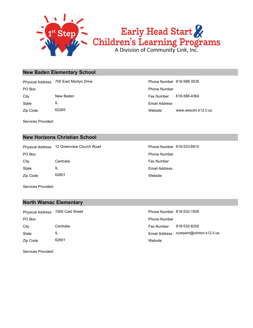

#### **New Baden Elementary School**

PO Box Phone Number Physical Address 700 East Marilyn Drive **Phone Number 618-588-3535** 

State IL

Zip Code 62265

Services Provided:

Website www.wesclin.k12.il.us Email Address City **New Baden** New Baden **New Baden Fax Number** 618-588-4364

#### **New Horizons Christian School**

Zip Code 62801 State IL City Centralia Centralia Centralia Research City Research Centralia PO Box **Phone Number** Po Box **Phone Number** Phone Number Physical Address 12 Greenview Church Road Phone Number 618-533-6910

**Website** Email Address

Services Provided:

#### **North Wamac Elementary**

Zip Code 62801 State IL City Centralia Centralia Centralia Centralia Centralia Centralia Centralia Centralia Centralia Centralia Centralia PO Box Phone Number Physical Address 1500 Cast Street **Phone Number 618-532-1826** 

**Website** Email Address ccarpent@clinton.k12.il.us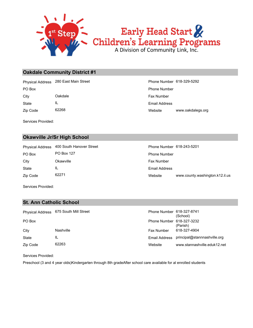

#### **Oakdale Community District #1**

Zip Code 62268 State IL City **Oakdale** Casset Oakdale **Fax Number Fax Number Fax Number** PO Box Phone Number Physical Address 280 East Main Street **Phone Number 618-329-5292** 

Website www.oakdalegs.org Email Address

Services Provided:

#### **Okawville Jr/Sr High School**

Zip Code 62271 State IL City Chawville City Chawville City Chamber City Chamber PO Box PO Box 127 PO Post 127 Phone Number Physical Address 400 South Hanover Street Phone Number 618-243-5201

Website www.county.washington.k12.il.us Email Address

Services Provided:

#### **St. Ann Catholic School**

| <b>Physical Address</b> | 675 South Mill Street | Phone Number 618-327-8741 | (School)                     |
|-------------------------|-----------------------|---------------------------|------------------------------|
| PO Box                  |                       | Phone Number 618-327-3232 | (Parish)                     |
| City                    | Nashville             | Fax Number                | 618-327-4904                 |
| <b>State</b>            | IL                    | Email Address             | principal@stannnashville.org |
| Zip Code                | 62263                 | Website                   | www.stannashville.eduk12.net |

Services Provided:

Preschool (3 and 4 year olds)Kindergarten through 8th gradeAfter school care available for al enrolled students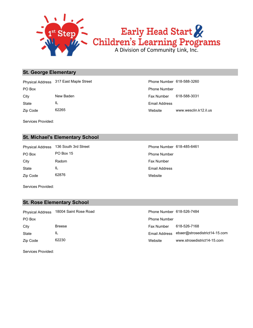

#### **St. George Elementary**

Zip Code 62265 State IL City New Baden Fax Number 618-588-3031 PO Box Phone Number Physical Address 317 East Maple Street Phone Number 618-588-3260

Website www.wesclin.k12.il.us Email Address

Services Provided:

#### **St. Michael's Elementary School**

Zip Code 62876 State IL City Radom Radom **Fax Number** PO Box PO Box 15 PO Box 15 Phone Number Physical Address 136 South 3rd Street Phone Number 618-485-6461

**Website** Email Address

Services Provided:

#### **St. Rose Elementary School**

| <b>Physical Address</b> | 18004 Saint Rose Road | Phone Number 618-526-7484 |                               |
|-------------------------|-----------------------|---------------------------|-------------------------------|
| PO Box                  |                       | <b>Phone Number</b>       |                               |
| City                    | <b>Breese</b>         | Fax Number                | 618-526-7168                  |
| State                   | IL                    | Email Address             | ebaer@strosedistrict14-15.com |
| Zip Code                | 62230                 | Website                   | www.strosedistrict14-15.com   |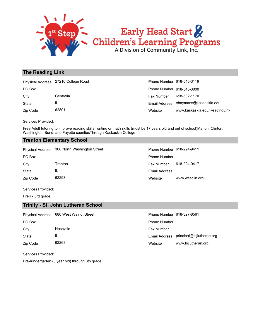

#### **The Reading Link**

|          | Physical Address 27210 College Road | Phone Number 618-545-3119 |                                      |
|----------|-------------------------------------|---------------------------|--------------------------------------|
| PO Box   |                                     | Phone Number 618-545-3000 |                                      |
| City     | Centralia                           | Fax Number                | 618-532-1170                         |
| State    | IL                                  |                           | Email Address ehaymans@kaskaskia.edu |
| Zip Code | 62801                               | Website                   | www.kaskaskia.edu/ReadingLink        |

Services Provided:

Free Adult tutoring to improve reading skills, writing or math skills (must be 17 years old and out of school)Marion, Clinton, Washington, Bond, and Fayette countiesThrough Kaskaskia College

#### **Trenton Elementary School**

|          | Physical Address 308 North Washington Street | Phone Number 618-224-9411 |                 |
|----------|----------------------------------------------|---------------------------|-----------------|
| PO Box   |                                              | <b>Phone Number</b>       |                 |
| City     | Trenton                                      | <b>Fax Number</b>         | 618-224-9417    |
| State    | IL                                           | Email Address             |                 |
| Zip Code | 62293                                        | Website                   | www.wesclin.org |

Services Provided:

PreK - 3rd grade

#### **Trinity - St. John Lutheran School**

|          | Physical Address 680 West Walnut Street | Phone Number 618-327-8561 |                           |
|----------|-----------------------------------------|---------------------------|---------------------------|
| PO Box   |                                         | <b>Phone Number</b>       |                           |
| City     | Nashville                               | Fax Number                |                           |
| State    | IL                                      | Email Address             | principal@tsilutheran.org |
| Zip Code | 62263                                   | Website                   | www.tsjlutheran.org       |

Services Provided:

Pre-Kindergarten (3 year old) through 8th grade.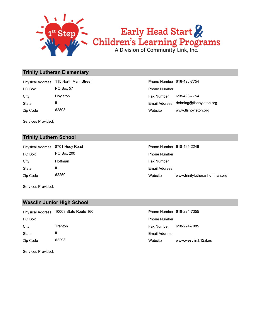

#### **Trinity Lutheran Elementary**

Zip Code 62803 State IL City Hoyleton Fax Number 618-493-7754 PO Box **PO Box 57** Phone Number Physical Address 115 North Main Street

| Phone Number 618-493-7754 |                         |
|---------------------------|-------------------------|
| Phone Number              |                         |
| Fax Number                | 618-493-7754            |
| <b>Email Address</b>      | dehning@tlshoyleton.org |
| Website                   | www.tlshoyleton.org     |

Services Provided:

#### **Trinity Luthern School**

|              | Physical Address 8701 Huey Road | Phone Number 618-495-2246 |                 |  |
|--------------|---------------------------------|---------------------------|-----------------|--|
| PO Box       | PO Box 200                      | <b>Phone Number</b>       |                 |  |
| City         | Hoffman                         | <b>Fax Number</b>         |                 |  |
| <b>State</b> | IL                              | Email Address             |                 |  |
| Zip Code     | 62250                           | Website                   | www.trinityluth |  |

| Phone Number 618-495-2246 |                                |
|---------------------------|--------------------------------|
| <b>Phone Number</b>       |                                |
| Fax Number                |                                |
| Email Address             |                                |
| Website                   | www.trinitylutheranhoffman.org |
|                           |                                |

Services Provided:

#### **Wesclin Junior High School**

| <b>Physical Address</b> | 10003 State Route 160 | Phone Number 618-224-7355 |                       |
|-------------------------|-----------------------|---------------------------|-----------------------|
| PO Box                  |                       | <b>Phone Number</b>       |                       |
| City                    | Trenton               | <b>Fax Number</b>         | 618-224-7085          |
| State                   | IL                    | Email Address             |                       |
| Zip Code                | 62293                 | Website                   | www.wesclin.k12.il.us |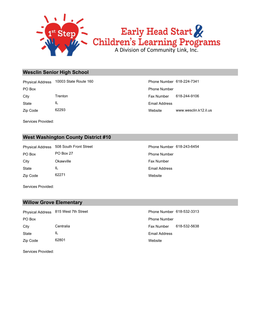

#### **Wesclin Senior High School**

Zip Code 62293 State IL City Trenton Fax Number 618-244-9106 PO Box Phone Number Physical Address 10003 State Route 160 Phone Number 618-224-7341

Website www.wesclin.k12.il.us Email Address

Services Provided:

#### **West Washington County District #10**

Zip Code 62271 State IL City Chawville City Chawville City Chamber City Chamber PO Box 27 PO Box 27 Phone Number Physical Address 508 South Front Street Phone Number 618-243-6454

**Website** Email Address

Services Provided:

#### **Willow Grove Elementary**

Zip Code 62801 State IL City Centralia Centralia Centralia Centralia Centralia Centralia Centralia Centralia Centralia Centralia Centralia PO Box Phone Number Physical Address 815 West 7th Street Phone Number 618-532-3313

**Website** Email Address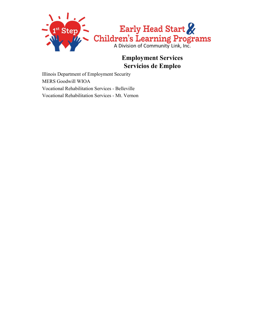

# **Employment Services Servicios de Empleo**

Illinois Department of Employment Security MERS Goodwill WIOA Vocational Rehabilitation Services - Belleville Vocational Rehabilitation Services - Mt. Vernon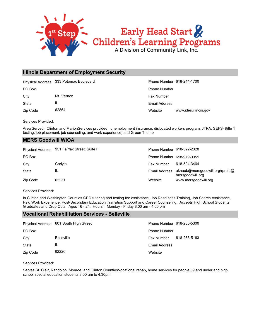

#### **Illinois Department of Employment Security**

|          | Physical Address 333 Potomac Boulevard | Phone Number 618-244-1700 |                       |
|----------|----------------------------------------|---------------------------|-----------------------|
| PO Box   |                                        | <b>Phone Number</b>       |                       |
| City     | Mt. Vernon                             | <b>Fax Number</b>         |                       |
| State    | IL                                     | Email Address             |                       |
| Zip Code | 62864                                  | Website                   | www.ides.illinois.gov |

Services Provided:

Area Served: Clinton and MarionServices provided: unemployment insurance, dislocated workers program, JTPA, SEFS- (title 1 testing, job placement, job counseling, and work experience) and Green Thumb

#### **MERS Goodwill WIOA**

|              | Physical Address 951 Fairfax Street; Suite F | Phone Number 618-322-2328 |                                                      |
|--------------|----------------------------------------------|---------------------------|------------------------------------------------------|
| PO Box       |                                              | Phone Number 618-979-0351 |                                                      |
| City         | Carlyle                                      | Fax Number                | 618-594-3464                                         |
| <b>State</b> | IL                                           | Email Address             | aknaub@mersgoodwill.org/rpruitt@<br>mersgoodwill.org |
| Zip Code     | 62231                                        | Website                   | www.mersgoodwill.org                                 |

Services Provided:

In Clinton and Washington Counties.GED tutoring and testing fee assistance, Job Readiness Training, Job Search Assistance, Paid Work Experience, Post-Secondary Education Transition Support and Career Counseling. Accepts High School Students, Graduates and Drop Outs. Ages 16 - 24. Hours: Monday - Friday 8:00 am - 4:00 pm

#### **Vocational Rehabilitation Services - Belleville**

|          | Physical Address 601 South High Street | Phone Number 618-235-5300 |              |
|----------|----------------------------------------|---------------------------|--------------|
| PO Box   |                                        | <b>Phone Number</b>       |              |
| City     | <b>Belleville</b>                      | Fax Number                | 618-235-5163 |
| State    | IL                                     | <b>Email Address</b>      |              |
| Zip Code | 62220                                  | Website                   |              |

Services Provided:

Serves St. Clair, Randolph, Monroe, and Clinton CountiesVocational rehab, home services for people 59 and under and high school special education students.8:00 am to 4:30pm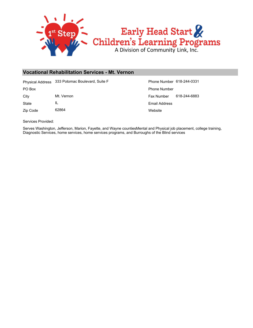

#### **Vocational Rehabilitation Services - Mt. Vernon**

Physical Address 333 Potomac Boulevard, Suite F Phone Number 618-244-0331

Zip Code 62864 State IL

**Website** Email Address City Mt. Vernon Mt. Vernon Fax Number 618-244-6883 PO Box Phone Number

Services Provided:

Serves Washington, Jefferson, Marion, Fayette, and Wayne countiesMental and Physical job placement, college training, Diagnostic Services, home services, home services programs, and Burroughs of the Blind services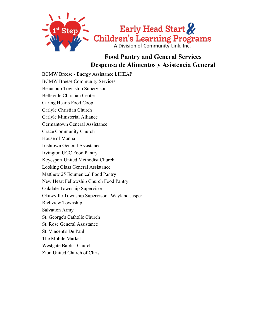

### **Food Pantry and General Services Despensa de Alimentos y Asistencia General**

BCMW Breese - Energy Assistance LIHEAP BCMW Breese Community Services Beaucoup Township Supervisor Belleville Christian Center Caring Hearts Food Coop Carlyle Christian Church Carlyle Ministerial Alliance Germantown General Assistance Grace Community Church House of Manna Irishtown General Assistance Irvington UCC Food Pantry Keyesport United Methodist Church Looking Glass General Assistance Matthew 25 Ecumenical Food Pantry New Heart Fellowship Church Food Pantry Oakdale Township Supervisor Okawville Township Supervisor - Wayland Jasper Richview Township Salvation Army St. George's Catholic Church St. Rose General Assistance St. Vincent's De Paul The Mobile Market Westgate Baptist Church

Zion United Church of Christ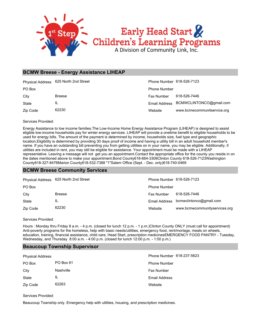

#### **BCMW Breese - Energy Assistance LIHEAP**

|          | Physical Address 625 North 2nd Street | Phone Number 618-526-7123 |                             |
|----------|---------------------------------------|---------------------------|-----------------------------|
| PO Box   |                                       | <b>Phone Number</b>       |                             |
| City     | <b>Breese</b>                         | <b>Fax Number</b>         | 618-526-7446                |
| State    | IL                                    | Email Address             | BCMWCLINTONCO@gmail.com     |
| Zip Code | 62230                                 | Website                   | www.bcmwcommunitservice.org |

Services Provided:

Energy Assistance to low income families.The Low-Income Home Energy Assistance Program (LIHEAP) is designed to assist eligible low-income households pay for winter energy services. LIHEAP will provide a onetime benefit to eligible households to be used for energy bills. The amount of the payment is determined by income, households size, fuel type and geographic location.Eligibility is determined by providing 30 days proof of income and having a utility bill in an adult household member's name. If you have an outstanding bill preventing you from getting utilities on in your name, you may be eligible. Additionally, if utilities are included in rent, you may still be eligible for assistance. Your appointment must be made with a LIHEAP representative. Leaving a message will not get you an appointment.Contact the appropriate office for the county you reside in on the dates mentioned above to make your appointment.Bond County618-664-3309Clinton County 618-526-7123Washington County618-327-8476Marion County618-532-7388 "1"Salem Office (Sept. - Dec. only)618-740-0469

#### **BCMW Breese Community Services**

|          | Physical Address 625 North 2nd Street | Phone Number 618-526-7123 |                                       |
|----------|---------------------------------------|---------------------------|---------------------------------------|
| PO Box   |                                       | <b>Phone Number</b>       |                                       |
| City     | <b>Breese</b>                         | Fax Number                | 618-526-7446                          |
| State    | IL                                    |                           | Email Address bcmwclintonco@gmail.com |
| Zip Code | 62230                                 | Website                   | www.bcmwcommunityservices.org         |

Services Provided:

Hours : Monday thru Friday 8 a.m. - 4 p.m. (closed for lunch 12 p.m. - 1 p.m.)Clinton County ONLY (must call for appointment) Anti-poverty programs for the homeless, help with basic needs/utilities, emergency food, rent/mortage, meals on wheels, education, training, financial assistance, child care, Head Start, prescription medicinesEMERGENCY FOOD PANTRY - Tuesday, Wednesday, and Thursday 8:00 a.m. - 4:00 p.m. (closed for lunch 12:00 p.m. - 1:00 p.m.)

#### **Beaucoup Township Supervisor**

| <b>Physical Address</b> |           | Phone Number 618-237-5623 |
|-------------------------|-----------|---------------------------|
| PO Box                  | PO Box 61 | <b>Phone Number</b>       |
| City                    | Nashville | <b>Fax Number</b>         |
| State                   | IL        | Email Address             |
| Zip Code                | 62263     | Website                   |

Services Provided:

Beaucoup Township only. Emergency help with utilities, housing, and prescription medicines.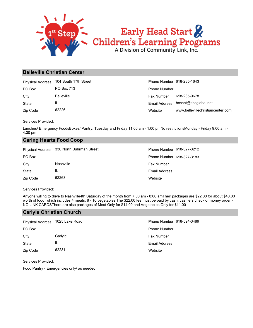

# Early Head Start &<br>Children's Learning Programs

#### **Belleville Christian Center**

| <b>Physical Address</b> | 104 South 17th Street | Phone Number 618-235-1643 |                                    |
|-------------------------|-----------------------|---------------------------|------------------------------------|
| PO Box                  | PO Box 713            | <b>Phone Number</b>       |                                    |
| City                    | <b>Belleville</b>     | Fax Number                | 618-235-9678                       |
| State                   | IL                    |                           | Email Address bccnet@sbcglobal.net |
| Zip Code                | 62226                 | Website                   | www.bellevillechristiancenter.com  |

Services Provided:

Lunches/ Emergency FoodsBoxes/ Pantry: Tuesday and Friday 11:00 am - 1:00 pmNo restrictionsMonday - Friday 9:00 am - 4:30 pm

#### **Caring Hearts Food Coop**

|          | Physical Address 330 North Buhrman Street | Phone Number 618-327-3212 |
|----------|-------------------------------------------|---------------------------|
| PO Box   |                                           | Phone Number 618-327-3183 |
| City     | Nashville                                 | <b>Fax Number</b>         |
| State    | IL                                        | Email Address             |
| Zip Code | 62263                                     | Website                   |

Services Provided:

Anyone willing to drive to Nashville4th Saturday of the month from 7:00 am - 8:00 amTheir packages are \$22.00 for about \$40.00 worth of food, which includes 4 meats, 8 - 10 vegetables.The \$22.00 fee must be paid by cash, cashiers check or money order - NO LINK CARDSThere are also packages of Meat Only for \$14.00 and Vegetables Only for \$11.00

#### **Carlyle Christian Church**

| Physical Address 1025 Lake Road |         | Phone Number 618-594-3489 |
|---------------------------------|---------|---------------------------|
| PO Box                          |         | <b>Phone Number</b>       |
| City                            | Carlyle | <b>Fax Number</b>         |
| State                           | IL      | Email Address             |
| Zip Code                        | 62231   | Website                   |

Services Provided:

Food Pantry - Emergencies only/ as needed.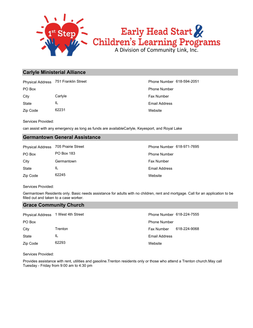

#### **Carlyle Ministerial Alliance**

Physical Address 751 Franklin Street **Phone Number 618-594-2051** Phone Number 618-594-2051

Zip Code 62231 State IL City Carlyle Carlos Carlyle Carlos Carlos Carlos Carlos Carlos Carlos Carlos Carlos Carlos Carlos Carlos Carlos Carlos Carlos Carlos Carlos Carlos Carlos Carlos Carlos Carlos Carlos Carlos Carlos Carlos Carlos Carlos Carlo

**Website** Email Address PO Box Phone Number

Services Provided:

can assist with any emergency as long as funds are availableCarlyle, Keyesport, and Royal Lake

#### **Germantown General Assistance**

| <b>Physical Address</b> | 705 Prairie Stree |
|-------------------------|-------------------|
| PO Box                  | <b>PO Box 183</b> |
| City                    | Germantown        |
| State                   | Ш.                |
| Zip Code                | 62245             |

**Website** Email Address Fax Number Phone Number Phone Number 618-971-7695

Services Provided:

Germantown Residents only. Basic needs assistance for adults with no children, rent and mortgage. Call for an application to be filled out and taken to a case worker.

#### **Grace Community Church**

| Physical Address 1 West 4th Street |         | Phone Number 618-224-7555 |              |
|------------------------------------|---------|---------------------------|--------------|
| PO Box                             |         | <b>Phone Number</b>       |              |
| City                               | Trenton | <b>Fax Number</b>         | 618-224-9068 |
| State                              | IL      | <b>Email Address</b>      |              |
| Zip Code                           | 62293   | Website                   |              |

Services Provided:

Provides assistance with rent, utilities and gasoline.Trenton residents only or those who attend a Trenton church.May call Tuesday - Friday from 9:00 am to 4:30 pm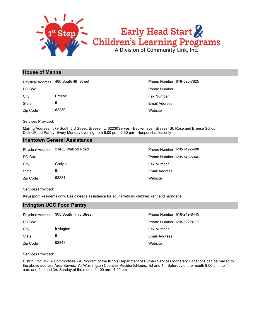

# **House of Manna**

Zip Code 62230 State IL City Breese **Fax Number Breese** Fax Number PO Box Phone Number Physical Address 480 South 4th Street Phone Number 618-526-7825

**Website** Email Address

Services Provided:

Mailing Address: 879 South 3rd Street, Breese, IL 62230Serves - Beckemeyer, Breese, St. Rose and Breese School DistrictFood Pantry: Every Monday evening from 6:00 pm - 6:30 pm - Nonperishables only

# **Irishtown General Assistance**

|          | Physical Address 21433 Walcott Road | Phone Number 618-749-5688 |
|----------|-------------------------------------|---------------------------|
| PO Box   |                                     | Phone Number 618-749-5946 |
| City     | Carlyle                             | <b>Fax Number</b>         |
| State    | IL                                  | Email Address             |
| Zip Code | 62231                               | Website                   |

Services Provided:

Keyesport Residents only. Basic needs assistance for adults with no children, rent and mortgage.

# **Irvington UCC Food Pantry**

|          | Physical Address 303 South Third Street | Phone Number 618-249-8445 |
|----------|-----------------------------------------|---------------------------|
| PO Box   |                                         | Phone Number 618-322-8177 |
| City     | <b>Irivington</b>                       | <b>Fax Number</b>         |
| State    | ΙL                                      | Email Address             |
| Zip Code | 62848                                   | Website                   |

### Services Provided:

Distributing USDA Commodities - A Program of the Illinois Department of Human Services Monetary Donations can be mailed to the above address.Area Serves: All Washington Counties ResidentsHours: 1st and 4th Saturday of the month 9:00 a.m. to 11 a.m. and 2nd and 3rd Sunday of the month 11:00 am - 1:00 pm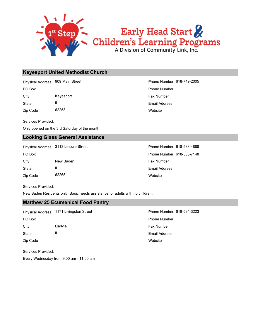

# **Keyesport United Methodist Church**

Physical Address 909 Main Street **Phone Number 618-749-2005** 

Zip Code 62253 State IL City **Keyesport Keyesport Fax Number** Fax Number

Services Provided:

Only opened on the 3rd Saturday of the month.

# **Looking Glass General Assistance**

Physical Address 3113 Leisure Street Phone Number 618-588-4888

Zip Code 62265 State IL City New Baden **New Baden Fax Number** 

**Website** Email Address PO Box Phone Number

**Website** Email Address PO Box Phone Number 618-588-7148

Services Provided:

New Baden Residents only. Basic needs assistance for adults with no children.

# **Matthew 25 Ecumenical Food Pantry**

State IL City Carlyle Carlos Carlyle Carlos Carlos Carlos Carlos Carlos Carlos Carlos Carlos Carlos Carlos Carlos Carlos Carlos Carlos Carlos Carlos Carlos Carlos Carlos Carlos Carlos Carlos Carlos Carlos Carlos Carlos Carlos Carlo PO Box Phone Number Physical Address 1171 Livingston Street **Phone Number 618-594-3223** 

**Website** Email Address

Services Provided:

Zip Code

Every Wednesday from 9:00 am - 11:00 am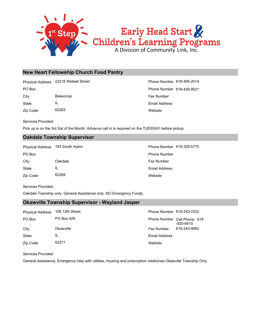

# **New Heart Fellowship Church Food Pantry**

Physical Address 22216 Wetsell Street Phone Number 618-485-2014

State IL City Beaucoup **Beaucoup Fax Number** 

Zip Code 62263

**Website** Email Address PO Box Phone Number 618-429-9021

Services Provided:

Pick up is on the 3rd Sat of the Month. Advance call in is required on the TUESDAY before pickup.

# **Oakdale Township Supervisor**

PO Box **Phone Number** Po Box **Phone Number** Po Box **Phone Number** Physical Address 183 South Ayers **Phone Number 618-329-5770** 

Zip Code 62268 State IL City **Oakdale** Casset Oakdale **Fax Number** City

**Website** Email Address

Services Provided:

Oakdale Township only. General Assistance only. NO Emergency Funds.

# **Okawville Township Supervisor - Wayland Jasper**

| <b>Physical Address</b> | 108 12th Street | Phone Number 618-243-2222 |                                           |
|-------------------------|-----------------|---------------------------|-------------------------------------------|
| PO Box                  | PO Box 429      |                           | Phone Number Cell Phone: 618<br>-920-6410 |
| City                    | Okawville       | <b>Fax Number</b>         | 618-243-9992                              |
| State                   | IL              | <b>Email Address</b>      |                                           |
| Zip Code                | 62271           | Website                   |                                           |

Services Provided:

General Assistance, Emergency help with utilities, housing and prescription medicines.Okawville Township Only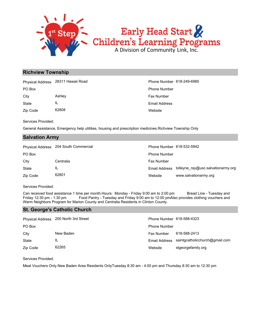

# Early Head Start &<br>Children's Learning Programs

# **Richview Township**

Physical Address 28311 Hawaii Road **Phone Number 618-249-6985** Phone Number 618-249-6985

Zip Code 62808 State IL City **Ashley Ashley Ashley Ashley Ashley Ashley Ashley Ashley Ashley Ashley Ashley Ashley Ashley Ashley Ashley** 

**Website** Email Address PO Box Phone Number

Services Provided:

General Assistance, Emergency help utilities, housing and prescription medicines.Richview Township Only

# **Salvation Army**

|          | Physical Address 204 South Commercial | Phone Number 618-532-5942 |                                                  |
|----------|---------------------------------------|---------------------------|--------------------------------------------------|
| PO Box   |                                       | <b>Phone Number</b>       |                                                  |
| City     | Centralia                             | <b>Fax Number</b>         |                                                  |
| State    | IL                                    |                           | Email Address tolleyne_ray@usc.salvationarmy.org |
| Zip Code | 62801                                 | Website                   | www.salvationarmy.org                            |

Services Provided:

Can received food assistance 1 time per month.Hours: Monday - Friday 9:00 am to 2:00 pm Bread Line - Tuesday and Friday 12:30 pm - 1:30 pm Food Pantry - Tuesday and Friday 9:00 am to 12:00 pmAlso provides clothing vouchers and Warm Neighbors Program for Marion County and Centralia Residents in Clinton County.

# **St. George's Catholic Church**

|          | Physical Address 200 North 3rd Street | Phone Number 618-588-4323 |                                |
|----------|---------------------------------------|---------------------------|--------------------------------|
| PO Box   |                                       | <b>Phone Number</b>       |                                |
| City     | New Baden                             | Fax Number                | 618-588-2413                   |
| State    | IL                                    | Email Address             | saintgcatholicchurch@gmail.com |
| Zip Code | 62265                                 | Website                   | stgeorgefamily.org             |

Services Provided:

Meat Vouchers Only.New Baden Area Residents OnlyTuesday 8:30 am - 4:00 pm and Thursday 8:30 am to 12:30 pm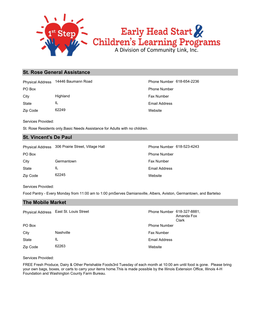

# **St. Rose General Assistance**

PO Box Phone Number Physical Address 14446 Baumann Road Phone Number 618-654-2236

Zip Code 62249 State IL City **Highland Highland Fax Number Fax Number** 

**Website** Email Address

Services Provided:

St. Rose Residents only.Basic Needs Assistance for Adults with no children.

# **St. Vincent's De Paul**

Physical Address 306 Prairie Street, Village Hall Phone Number 618-523-4243

| PO Box   |            |
|----------|------------|
| City     | Germantown |
| State    | Ш.         |
| Zip Code | 62245      |

**Website** Email Address Fax Number Phone Number

Services Provided:

Food Pantry - Every Monday from 11:00 am to 1:00 pmServes Damiansville, Albers, Aviston, Germantown, and Bartelso

# **The Mobile Market**

|          | Physical Address East St. Louis Street | Phone Number 618-327-8881, | Amanda Fox<br>Clark |
|----------|----------------------------------------|----------------------------|---------------------|
| PO Box   |                                        | <b>Phone Number</b>        |                     |
| City     | Nashville                              | <b>Fax Number</b>          |                     |
| State    | IL                                     | <b>Email Address</b>       |                     |
| Zip Code | 62263                                  | Website                    |                     |

Services Provided:

FREE Fresh Produce, Dairy & Other Perishable Foods3rd Tuesday of each month at 10:00 am until food is gone. Please bring your own bags, boxes, or carts to carry your items home.This is made possible by the Illinois Extension Office, Illinois 4-H Foundation and Washington County Farm Bureau.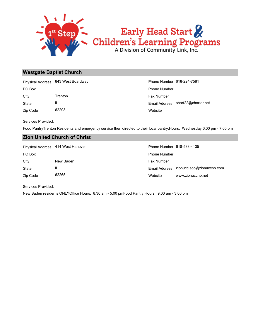

# **Westgate Baptist Church**

|          | Physical Address 843 West Boardway | Phone Number 618-224-7581 |                                   |
|----------|------------------------------------|---------------------------|-----------------------------------|
| PO Box   |                                    | <b>Phone Number</b>       |                                   |
| City     | Trenton                            | <b>Fax Number</b>         |                                   |
| State    | IL                                 |                           | Email Address shart22@charter.net |
| Zip Code | 62293                              | Website                   |                                   |

Services Provided:

Food PantryTrenton Residents and emergency service then directed to their local pantry.Hours: Wednesday 6:00 pm - 7:00 pm

# **Zion United Church of Christ**

State IL City New Baden **New Baden Fax Number** PO Box **Phone Number** Po Box **Phone Number** Po Box **Phone Number** Physical Address 414 West Hanover Phone Number 618-588-4135

# Website www.zionuccnb.net Email Address zionucc.sec@zionuccnb.com

Services Provided:

Zip Code 62265

New Baden residents ONLYOffice Hours: 8:30 am - 5:00 pmFood Pantry Hours: 9:00 am - 3:00 pm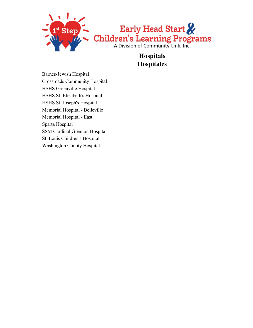

**Hospitals Hospitales**

Barnes-Jewish Hospital Crossroads Community Hospital HSHS Greenville Hospital HSHS St. Elizabeth's Hospital HSHS St. Joseph's Hospital Memorial Hospital - Belleville Memorial Hospital - East Sparta Hospital SSM Cardinal Glennon Hospital St. Louis Children's Hospital Washington County Hospital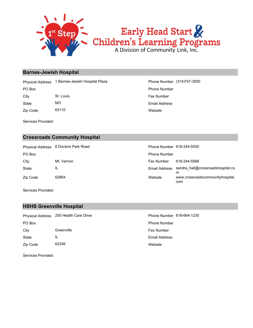

# **Barnes-Jewish Hospital**

Physical Address 1 Barnes-Jewish Hospital Plaza Phone Number (314)747-3000

Zip Code 63110 State MO City St. Louis St. Louis Fax Number

**Website** Email Address PO Box Phone Number

Services Provided:

# **Crossroads Community Hospital**

State IL City Mt. Vernon Fax Number 618-244-5566 PO Box **Phone Number** Po Box **Phone Number** Po Box **Phone Number** Po Box **Phone Number** Physical Address 8 Doctors Park Road Phone Number 618-244-5500

Website www.crossroadscommunityhospital. com Email Address sandra\_hall@crossroadshospital.co m

Services Provided:

Zip Code 62864

# **HSHS Greenville Hospital**

|              | Physical Address 200 Health Care Drive | Phone Number 618-664-1230 |
|--------------|----------------------------------------|---------------------------|
| PO Box       |                                        | <b>Phone Number</b>       |
| City         | Greenville                             | <b>Fax Number</b>         |
| <b>State</b> | IL                                     | Email Address             |
| Zip Code     | 62246                                  | Website                   |

Services Provided: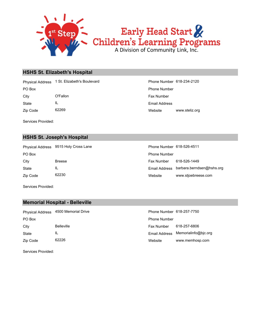

# **HSHS St. Elizabeth's Hospital**

PO Box Phone Number Physical Address 1 St. Elizabeth's Boulevard Phone Number 618-234-2120

Zip Code 62269 State IL City **O'Fallon** City **City** O'Fallon **Fax Number** 

Services Provided:

**HSHS St. Joseph's Hospital**

Zip Code 62230 State IL City Breese Fax Number 618-526-1449 PO Box **Phone Number** Policy **Phone Number** Phone Number **Phone Number** Phone Number Physical Address 9515 Holy Cross Lane

Website www.steliz.org Email Address

| Phone Number 618-526-4511 |                           |
|---------------------------|---------------------------|
| Phone Number              |                           |
| Fax Number                | 618-526-1449              |
| Email Address             | barbara.berndsen@hshs.org |
| Website                   | www.stjoebreese.com       |

Services Provided:

# **Memorial Hospital - Belleville**

| <b>Physical Address</b> | 4500 Memorial Drive | Phone Number 618-257-7750 |                                    |
|-------------------------|---------------------|---------------------------|------------------------------------|
| PO Box                  |                     | <b>Phone Number</b>       |                                    |
| City                    | <b>Belleville</b>   | Fax Number                | 618-257-6806                       |
| State                   | IL                  |                           | Email Address Memorialinfo@bjc.org |
| Zip Code                | 62226               | Website                   | www.memhosp.com                    |

Services Provided: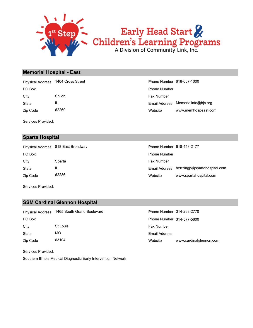

# Early Head Start & Children's Learning Programs

# **Memorial Hospital - East**

Zip Code 62269 State IL City **Shiloh Shiloh Fax Number Fax Number Fax Number Fax Number** PO Box **Phone Number** Policy **Phone Number** Phone Number **Phone Number** Phone Number Physical Address 1404 Cross Street

Services Provided:

# **Sparta Hospital**

Zip Code 62286 State IL City **Sparta** Sparta Sparta Sparta Sparta Sparta Superintensity Sparta Superintensity Sparta Superintensity Sparta Superintensity Sparta Superintensity Sparta Superintensity Sparta Superintensity Sparta Superintensity Spar PO Box **Phone Number** Policy **Phone Number** Phone Number **Phone Number** Phone Number Physical Address 818 East Broadway Physical Address 818-443-2177

| Phone Number 618-607-1000 |                      |
|---------------------------|----------------------|
| Phone Number              |                      |
| Fax Number                |                      |
| Email Address             | Memorialinfo@bic.org |
| Website                   | www.memhospeast.com  |

| Phone Number 618-443-2177 |                                            |
|---------------------------|--------------------------------------------|
| Phone Number              |                                            |
| Fax Number                |                                            |
|                           | Email Address hertzingp@spartahospital.com |
| Website                   | www.spartahospital.com                     |

Services Provided:

# **SSM Cardinal Glennon Hospital**

| <b>Physical Address</b> | 1465 South Grand Bouleva |
|-------------------------|--------------------------|
| PO Box                  |                          |
| City                    | St.Louis                 |
| State                   | МO                       |
| Zip Code                | 63104                    |

Website www.cardinalglennon.com Email Address Fax Number Phone Number 314-577-5600 ard **Phone Number 314-268-2770** 

Services Provided:

Southern Illinois Medical Diagnostic Early Intervention Network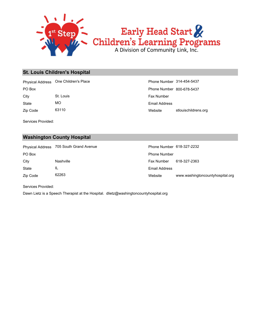

# **St. Louis Children's Hospital**

PO Box **Phone Number 800-678-5437** Physical Address One Children's Place **Phone Number 314-454-5437** 

Zip Code 63110 State MO

Website stlouischildrens.org Email Address City St. Louis St. Louis Fax Number

Services Provided:

# **Washington County Hospital**

Zip Code 62263 State IL City Nashville Fax Number 618-327-2363 PO Box **Phone Number** Policy **Phone Number** Phone Number **Phone Number** Phone Number Physical Address 705 South Grand Avenue

| Phone Number 618-327-2232 |                                  |
|---------------------------|----------------------------------|
| Phone Number              |                                  |
| Fax Number 618-327-2363   |                                  |
| Email Address             |                                  |
| Website                   | www.washingtoncountyhospital.org |

Services Provided:

Dawn Lietz is a Speech Therapist at the Hospital. dlietz@washingtoncountyhospital.org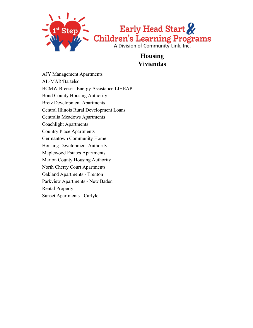

**Housing Viviendas**

AJY Management Apartments AL-MAR/Bartelso BCMW Breese - Energy Assistance LIHEAP Bond County Housing Authority Bretz Development Apartments Central Illinois Rural Development Loans Centralia Meadows Apartments Coachlight Apartments Country Place Apartments Germantown Community Home Housing Development Authority Maplewood Estates Apartments Marion County Housing Authority North Cherry Court Apartments Oakland Apartments - Trenton Parkview Apartments - New Baden Rental Property Sunset Apartments - Carlyle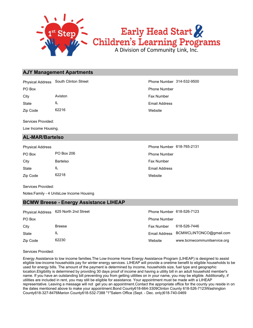

# **AJY Management Apartments**

Physical Address South Clinton Street **Phone Number 314-532-9500** 

Zip Code 62216 State IL City **Aviston Aviston Aviston Aviston Fax Number** 

Services Provided:

Low Income Housing.

# **AL-MAR/Bartelso**

| <b>Physical Address</b> |            |
|-------------------------|------------|
| PO Box                  | PO Box 206 |
| City                    | Bartelso   |
| State                   | Ш.         |
| Zip Code                | 62218      |

**Website** Email Address PO Box Phone Number

> **Website** Email Address Fax Number Phone Number Phone Number 618-765-2131

Services Provided:

Notes:Family - 4 UnitsLow Income Housing

# **BCMW Breese - Energy Assistance LIHEAP**

|          | Physical Address 625 North 2nd Street | Phone Number 618-526-7123 |                                       |
|----------|---------------------------------------|---------------------------|---------------------------------------|
| PO Box   |                                       | <b>Phone Number</b>       |                                       |
| City     | <b>Breese</b>                         | Fax Number                | 618-526-7446                          |
| State    | IL                                    |                           | Email Address BCMWCLINTONCO@gmail.com |
| Zip Code | 62230                                 | Website                   | www.bcmwcommunitservice.org           |

Services Provided:

Energy Assistance to low income families.The Low-Income Home Energy Assistance Program (LIHEAP) is designed to assist eligible low-income households pay for winter energy services. LIHEAP will provide a onetime benefit to eligible households to be used for energy bills. The amount of the payment is determined by income, households size, fuel type and geographic location.Eligibility is determined by providing 30 days proof of income and having a utility bill in an adult household member's name. If you have an outstanding bill preventing you from getting utilities on in your name, you may be eligible. Additionally, if utilities are included in rent, you may still be eligible for assistance. Your appointment must be made with a LIHEAP representative. Leaving a message will not get you an appointment.Contact the appropriate office for the county you reside in on the dates mentioned above to make your appointment.Bond County618-664-3309Clinton County 618-526-7123Washington County618-327-8476Marion County618-532-7388 "1"Salem Office (Sept. - Dec. only)618-740-0469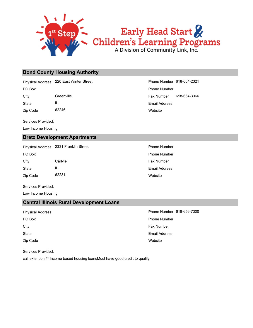

# **Bond County Housing Authority**

Physical Address 220 East Winter Street **Phone Number 618-664-2321** 

State IL

Zip Code 62246

Services Provided:

Low Income Housing

# **Bretz Development Apartments**

Physical Address 2331 Franklin Street Phone Number

Zip Code 62231 State IL City Carlyle **Carly Carly Carly Carly Carly Carly Carly Carly Carly Carly Carly Carly Carly Carly Carly Carly Carly Carly Carly Carly Carly Carly Carly Carly Carly Carly Carly Carly Carly Carly Carly Carly Carly Carly Carl** 

Services Provided:

Low Income Housing

# **Central Illinois Rural Development Loans**

Zip Code **State** City **Fax Number** City **Fax Number** City **Fax Number** PO Box **Phone Number** Po Box **Phone Number** Po Box **Phone Number** 

Services Provided:

call extention #4Income based housing loansMust have good credit to qualify

**Website** Email Address City Greenville Fax Number 618-664-3366 PO Box Phone Number

**Website** Email Address PO Box **Phone Number** Po Box **Phone Number** Phone Number

**Website** Email Address Physical Address **Phone Number 618-656-7300**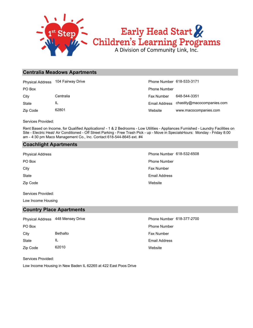

# **Centralia Meadows Apartments**

|          | Physical Address 104 Fairway Drive | Phone Number 618-533-3171 |                                          |
|----------|------------------------------------|---------------------------|------------------------------------------|
| PO Box   |                                    | <b>Phone Number</b>       |                                          |
| City     | Centralia                          | <b>Fax Number</b>         | 648-544-3351                             |
| State    | IL                                 |                           | Email Address chastity@macocompanies.com |
| Zip Code | 62801                              | Website                   | www.macocompanies.com                    |

Services Provided:

Rent Based on Income, for Qualified Applications! - 1 & 2 Bedrooms - Low Utilities - Appliances Furnished - Laundry Facilities on Site - Electric Heat/ Air Conditioned - Off Street Parking - Free Trash Pick - up - Move in SpecialsHours: Monday - Friday 8:00 am - 4:30 pm Maco Management Co., Inc. Contact 618-544-8645 ext. #4

# **Coachlight Apartments**

Zip Code State City **Fax Number** City PO Box Phone Number Physical Address **Physical Address** Phone Number 618-532-6508

**Website** Email Address

Services Provided:

Low Income Housing

# **Country Place Apartments**

|          | Physical Address 448 Mensey Drive | Phone Number 618-377-2700 |
|----------|-----------------------------------|---------------------------|
| PO Box   |                                   | <b>Phone Number</b>       |
| City     | Bethalto                          | <b>Fax Number</b>         |
| State    | IL                                | <b>Email Address</b>      |
| Zip Code | 62010                             | Website                   |

Services Provided:

Low Income Housing in New Baden IL 62265 at 422 East Poos Drive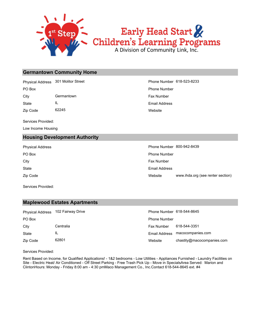

# **Germantown Community Home**

Physical Address 301 Molitor Street Phone Number 618-523-8233

State IL City Germantown Germantown **Fax Number** City

Zip Code 62245

Services Provided:

Low Income Housing

# **Housing Development Authority**

Zip Code **State** City **Fax Number** City PO Box **Phone Number** Po Box **Phone Number** Po Box **Phone Number** Po Box **Phone Number** Physical Address **Phone Number 800-942-8439** 

Services Provided:

# **Maplewood Estates Apartments**

|          | Physical Address 102 Fairway Drive | Phone Number 618-544-8645 |              |
|----------|------------------------------------|---------------------------|--------------|
| PO Box   |                                    | <b>Phone Number</b>       |              |
| City     | Centralia                          | Fax Number                | 618-544-3351 |
| State    | IL                                 | Email Address             | macocompani  |
| Zip Code | 62801                              | Website                   | chastity@mac |

# ve and Address 102 Fairway Drive Phone Number 618-544-8645

Website www.ihda.org (see renter section)

| Phone Number |                                 |
|--------------|---------------------------------|
| Fax Number - | 618-544-3351                    |
|              | Email Address macocompanies.com |
| Website      | chastity@macocompanies.com      |

Services Provided:

Rent Based on Income, for Qualified Applications! - 1&2 bedrooms - Low Utilities - Appliances Furnished - Laundry Facilities on Site - Electric Heat/ Air Conditioned - Off Street Parking - Free Trash Pick Up - Move in SpecialsArea Served: Marion and ClintonHours: Monday - Friday 8:00 am - 4:30 pmMaco Management Co., Inc.Contact 618-544-8645 ext. #4

**Website** Email Address PO Box Phone Number

Email Address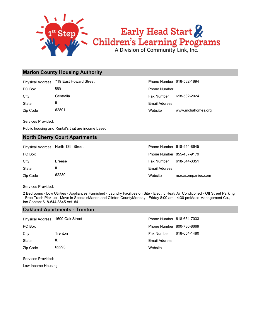

# **Marion County Housing Authority**

Physical Address 719 East Howard Street Phone Number 618-532-1894

State IL PO Box 689 689 **Phone Number** Phone Number

Zip Code 62801

Website www.mchahomes.org Email Address City Centralia Centralia Centralia Centralia Centralia Centralia Centralia Centralia Centralia Centralia Centralia

Services Provided:

Public housing and Rental's that are income based.

# **North Cherry Court Apartments**

| Physical Address North 13th Street |               | Phone Number 618-544-8645 |                   |
|------------------------------------|---------------|---------------------------|-------------------|
| PO Box                             |               | Phone Number 855-437-9179 |                   |
| City                               | <b>Breese</b> | Fax Number                | 618-544-3351      |
| State                              | IL            | Email Address             |                   |
| Zip Code                           | 62230         | Website                   | macocompanies.com |

Services Provided:

2 Bedrooms - Low Utilities - Appliances Furnished - Laundry Facilities on Site - Electric Heat/ Air Conditioned - Off Street Parking - Free Trash Pick-up - Move in SpecialsMarion and Clinton CountyMonday - Friday 8:00 am - 4:30 pmMaco Management Co., Inc.Contact 618-544-8645 ext. #4

# **Oakland Apartments - Trenton**

| Physical Address 1600 Oak Street |         | Phone Number 618-654-7033 |              |
|----------------------------------|---------|---------------------------|--------------|
| PO Box                           |         | Phone Number 800-736-8669 |              |
| City                             | Trenton | <b>Fax Number</b>         | 618-654-1480 |
| <b>State</b>                     | IL      | Email Address             |              |
| Zip Code                         | 62293   | Website                   |              |

Services Provided:

Low Income Housing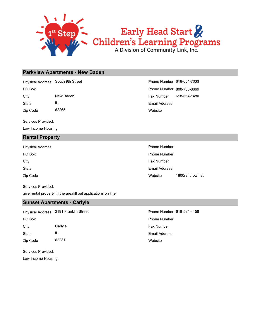

## **Parkview Apartments - New Baden**

Physical Address South 9th Street **Phone Number 618-654-7033** 

State IL

Zip Code 62265

Services Provided:

Low Income Housing

# **Rental Property**

| Physical Address | <b>Phone Number</b> |                 |  |
|------------------|---------------------|-----------------|--|
| PO Box           | <b>Phone Number</b> |                 |  |
| City             | <b>Fax Number</b>   |                 |  |
| <b>State</b>     | Email Address       |                 |  |
| Zip Code         | Website             | 1800rentnow.net |  |

Services Provided:

give rental property in the areafill out applications on line

# **Sunset Apartments - Carlyle**

**Website** Email Address Zip Code 62231 State IL City Carlyle Carlos Carlyle Carlos Carlos Carlos Carlos Carlos Carlos Carlos Carlos Carlos Carlos Carlos Carlos Carlos Carlos Carlos Carlos Carlos Carlos Carlos Carlos Carlos Carlos Carlos Carlos Carlos Carlos Carlos Carlo PO Box Phone Number Physical Address 2191 Franklin Street **Phone Number 618-594-4158** 

Services Provided:

Low Income Housing.

Website Email Address City **New Baden** New Baden **New Baden Fax Number** 618-654-1480 PO Box **PO Box** Phone Number 800-736-8669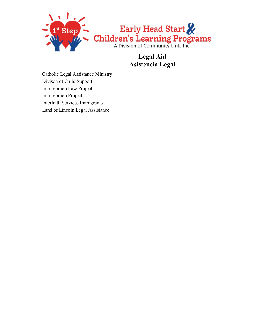

# **Legal Aid Asistencia Legal**

Catholic Legal Assistance Ministry Divison of Child Support Immigration Law Project Immigration Project Interfaith Services Immigrants Land of Lincoln Legal Assistance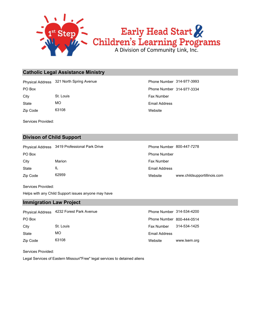

# **Catholic Legal Assistance Ministry**

Physical Address 321 North Spring Avenue **Phone Number 314-977-3993** 

State MO City St. Louis St. Louis St. Louis St. Louis St. Louis St. Louis St. Louis St. Louis St. Louis St. Louis St. Louis St. Louis St. Louis St. Louis St. Louis St. Louis St. Louis St. Louis St. Louis St. Louis St. Louis St. Lou

Zip Code 63108

Services Provided:

# **Divison of Child Support**

Physical Address 3419 Professional Park Drive **Phone Number 800-447-7278** 

State IL City Marion Marion **Fax Number** Fax Number PO Box **Phone Number** Po Box **Phone Number** Phone Number

Zip Code 62959

Services Provided:

Helps with any Child Support issues anyone may have

# **Immigration Law Project**

|          | Physical Address 4232 Forest Park Avenue | Phone Number 314-534-4200 |              |
|----------|------------------------------------------|---------------------------|--------------|
| PO Box   |                                          | Phone Number 800-444-0514 |              |
| City     | St. Louis                                | Fax Number                | 314-534-1425 |
| State    | MO.                                      | <b>Email Address</b>      |              |
| Zip Code | 63108                                    | Website                   | www.lsem.org |

Services Provided:

Legal Services of Eastern Missouri"Free" legal services to detained aliens

**Website** Email Address PO Box **Phone Number 314-977-3334** 

> Website www.childsupportillinois.com Email Address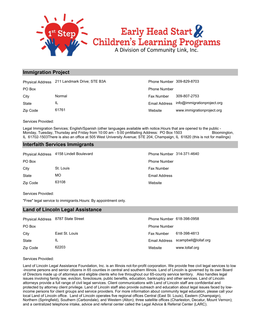

# **Immigration Project**

| <b>Physical Address</b> | 211 Landmark Drive; STE B3A | Phone Number 309-829-8703 |                             |
|-------------------------|-----------------------------|---------------------------|-----------------------------|
| PO Box                  |                             | <b>Phone Number</b>       |                             |
| City                    | Normal                      | <b>Fax Number</b>         | 309-807-2753                |
| State                   | IL                          | Email Address             | info@immigrationproject.org |
| Zip Code                | 61761                       | Website                   | www.immigrationproject.org  |

Services Provided:

Legal Immigration Services; English/Spanish (other languages available with notice.Hours that are opened to the public - Monday, Tuesday, Thursday and Friday from 10:00 am - 5:00 pmMailing Address: PO Box 1503 Bloomington, IL 61702-1503There is also an office at 505 West University Avenue; STE 204, Champaign, IL 61820 (this is not for mailings)

# **Interfaith Services Immigrants**

|          | Physical Address 4158 Lindell Boulevard | Phone Number 314-371-4640 |
|----------|-----------------------------------------|---------------------------|
| PO Box   |                                         | <b>Phone Number</b>       |
| City     | St. Louis                               | <b>Fax Number</b>         |
| State    | MO                                      | Email Address             |
| Zip Code | 63108                                   | Website                   |

Services Provided:

"Free" legal service to immigrants.Hours: By appointment only.

# **Land of Lincoln Legal Assistance**

| Physical Address 8787 State Street |                | Phone Number 618-398-0958 |                                    |
|------------------------------------|----------------|---------------------------|------------------------------------|
| PO Box                             |                | <b>Phone Number</b>       |                                    |
| City                               | East St. Louis | <b>Fax Number</b>         | 618-398-4813                       |
| State                              | IL             |                           | Email Address scampbell@lollaf.org |
| Zip Code                           | 62203          | Website                   | www.lollaf.org                     |

Services Provided:

Land of Lincoln Legal Assistance Foundation, Inc. is an Illinois not-for-profit corporation. We provide free civil legal services to low -income persons and senior citizens in 65 counties in central and southern Illinois. Land of Lincoln is governed by its own Board of Directors made up of attorneys and eligible clients who live throughout our 65-county service territory. Also handles legal issues involving family law, eviction, foreclosure, public benefits, education, bankruptcy and other services. Land of Lincoln attorneys provide a full range of civil legal services. Client communications with Land of Lincoln staff are confidential and protected by attorney client privilege. Land of Lincoln staff also provide outreach and education about legal issues faced by lowincome persons for client groups and service providers. For more information about community legal education, please call your local Land of Lincoln office. Land of Lincoln operates five regional offices Central (East St. Louis), Eastern (Champaign), Northern (Springfield), Southern (Carbondale), and Western (Alton); three satellite offices (Charleston, Decatur, Mount Vernon); and a centralized telephone intake, advice and referral center called the Legal Advice & Referral Center (LARC).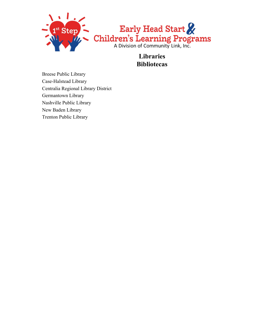

**Libraries Bibliotecas**

Breese Public Library Case-Halstead Library Centralia Regional Library District Germantown Library Nashville Public Library New Baden Library Trenton Public Library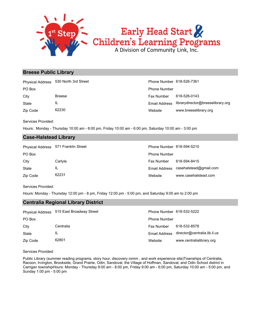

# Early Head Start & Children's Learning Programs

# **Breese Public Library**

Physical Address 530 North 3rd Street Phone Number 618-526-7361

Zip Code 62230 State IL

Website www.breeselibrary.org Email Address librarydirector@breeselibrary.org City Breese Breese Fax Number 618-526-0143 PO Box Phone Number

Services Provided:

Hours: Monday - Thursday 10:00 am - 8:00 pm, Friday 10:00 am - 6:00 pm, Saturday 10:00 am - 3:00 pm

# **Case-Halstead Library**

|          | Physical Address 571 Franklin Street | Phone Number 618-594-5210 |                        |
|----------|--------------------------------------|---------------------------|------------------------|
| PO Box   |                                      | <b>Phone Number</b>       |                        |
| City     | Carlyle                              | Fax Number                | 618-594-8415           |
| State    | IL                                   | Email Address             | casehalstead@gmail.com |
| Zip Code | 62231                                | Website                   | www.casehalstead.com   |

Services Provided:

Hours: Monday - Thursday 12:00 pm - 8 pm, Friday 12:00 pm - 5:00 pm, and Saturday 9:00 am to 2:00 pm

# **Centralia Regional Library District**

| <b>Physical Address</b> | 515 East Broadway Street | Phone Number 618-532-5222 |                              |
|-------------------------|--------------------------|---------------------------|------------------------------|
| PO Box                  |                          | <b>Phone Number</b>       |                              |
| City                    | Centralia                | Fax Number                | 618-532-8578                 |
| State                   | IL                       | Email Address             | director@centralia.lib.il.us |
| Zip Code                | 62801                    | Website                   | www.centralialibrary.org     |

Services Provided:

Public Library (summer reading programs, story hour, discovery romm , and work experience site)Townships of Centralia, Racoon, Irvington, Brookside, Grand Prairie, Odin, Sandoval, the Village of Hoffman, Sandoval, and Odin School district in Carrigan townshipHours: Monday - Thursday 9:00 am - 8:00 pm, Friday 9:00 am - 6:00 pm, Saturday 10:00 am - 5:00 pm, and Sunday 1:00 pm - 5:00 pm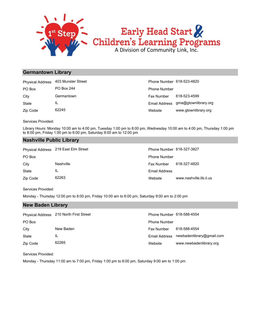

# Early Head Start & Children's Learning Programs

# **Germantown Library**

| <b>Physical Address</b> | 403 Munster Street | Phone Number 618-523-4820 |                                    |
|-------------------------|--------------------|---------------------------|------------------------------------|
| PO Box                  | PO Box 244         | <b>Phone Number</b>       |                                    |
| City                    | Germantown         | Fax Number                | 618-523-4599                       |
| State                   |                    |                           | Email Address gma@gtownlibrary.org |
| Zip Code                | 62245              | Website                   | www.gtownlibrary.org               |

Services Provided:

Library Hours: Monday 10:00 am to 4:00 pm, Tuesday 1:00 pm to 8:00 pm, Wednesday 10:00 am to 4:00 pm, Thursday 1:00 pm to 8:00 pm, Friday 1:00 pm to 6:00 pm, Saturday 9:00 am to 12:00 pm

# **Nashville Public Library**

|          | Physical Address 219 East Elm Street | Phone Number 618-327-3827 |                         |
|----------|--------------------------------------|---------------------------|-------------------------|
| PO Box   |                                      | <b>Phone Number</b>       |                         |
| City     | <b>Nashville</b>                     | <b>Fax Number</b>         | 618-327-4820            |
| State    | IL                                   | Email Address             |                         |
| Zip Code | 62263                                | Website                   | www.nashville.lib.il.us |

Services Provided:

**New Baden Library**

Monday - Thursday 12:00 pm to 8:00 pm, Friday 10:00 am to 6:00 pm, Saturday 9:00 am to 2:00 pm

|          | $\cdots$ $\cdots$ $\cdots$ $\cdots$ $\cdots$ |                           |                           |  |
|----------|----------------------------------------------|---------------------------|---------------------------|--|
|          | Physical Address 210 North First Street      | Phone Number 618-588-4554 |                           |  |
| PO Box   |                                              | <b>Phone Number</b>       |                           |  |
| City     | New Baden                                    | Fax Number                | 618-588-4554              |  |
| State    |                                              | <b>Email Address</b>      | newbadenlibrary@gmail.com |  |
| Zip Code | 62265                                        | Website                   | www.newbadenlibrary.org   |  |

Services Provided:

Monday - Thursday 11:00 am to 7:00 pm, Friday 1:00 pm to 6:00 pm, Saturday 9:00 am to 1:00 pm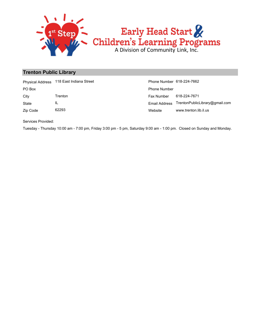

# **Trenton Public Library**

|          | Physical Address 118 East Indiana Street | Phone Number 618-224-7662 |                                              |
|----------|------------------------------------------|---------------------------|----------------------------------------------|
| PO Box   |                                          | <b>Phone Number</b>       |                                              |
| City     | Trenton                                  | Fax Number                | 618-224-7671                                 |
| State    | IL                                       |                           | Email Address TrentonPublicLibrary@gmail.com |
| Zip Code | 62293                                    | Website                   | www.trenton.lib.il.us                        |

Services Provided:

Tuesday - Thursday 10:00 am - 7:00 pm, Friday 3:00 pm - 5 pm, Saturday 9:00 am - 1:00 pm. Closed on Sunday and Monday.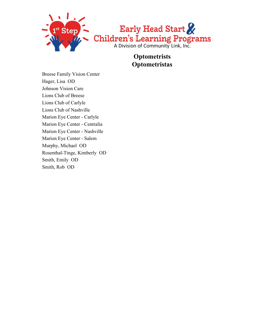

**Optometrists Optometristas**

Breese Family Vision Center Hager, Lisa OD Johnson Vision Care Lions Club of Breese Lions Club of Carlyle Lions Club of Nashville Marion Eye Center - Carlyle Marion Eye Center - Centralia Marion Eye Center - Nashville Marion Eye Center - Salem Murphy, Michael OD Rosenthal-Tinge, Kimberly OD Smith, Emily OD Smith, Rob OD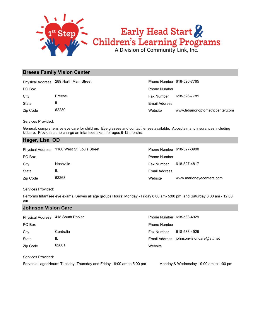

# **Breese Family Vision Center**

|          | Physical Address 289 North Main Street | Phone Number 618-526-7765 |                                 |
|----------|----------------------------------------|---------------------------|---------------------------------|
| PO Box   |                                        | <b>Phone Number</b>       |                                 |
| City     | <b>Breese</b>                          | Fax Number                | 618-526-7781                    |
| State    | IL                                     | Email Address             |                                 |
| Zip Code | 62230                                  | Website                   | www.lebanonoptometriccenter.com |

Services Provided:

General, comprehensive eye care for children. Eye glasses and contact lenses available. Accepts many insurances including kidcare. Provides at no charge an infantsee exam for ages 6-12 months.

# **Hager, Lisa OD**

| <b>Physical Address</b> | 1180 West St. Louis Street | Phone Number 618-327-3900 |                          |
|-------------------------|----------------------------|---------------------------|--------------------------|
| PO Box                  |                            | <b>Phone Number</b>       |                          |
| City                    | Nashville                  | Fax Number                | 618-327-4817             |
| State                   | IL                         | Email Address             |                          |
| Zip Code                | 62263                      | Website                   | www.marioneyecenters.com |

### Services Provided:

Performs Infantsee eye exams. Serves all age groups.Hours: Monday - Friday 8:00 am- 5:00 pm, and Saturday 8:00 am - 12:00 pm

## **Johnson Vision Care**

| Physical Address 418 South Poplar |           | Phone Number 618-533-4929 |                                         |
|-----------------------------------|-----------|---------------------------|-----------------------------------------|
| PO Box                            |           | <b>Phone Number</b>       |                                         |
| City                              | Centralia | Fax Number                | 618-533-4929                            |
| <b>State</b>                      | IL        |                           | Email Address johnsonvisioncare@att.net |
| Zip Code                          | 62801     | Website                   |                                         |

Services Provided:

Serves all agesHours: Tuesday, Thursday and Friday - 9:00 am to 5:00 pm Monday & Wednesday - 9:00 am to 1:00 pm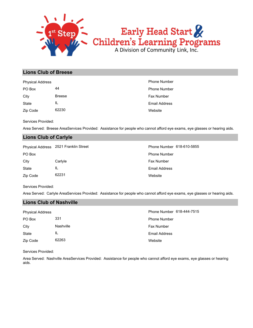

# **Lions Club of Breese**

| <b>Physical Address</b> |               | <b>Phone Number</b>  |
|-------------------------|---------------|----------------------|
| PO Box                  | 44            | <b>Phone Number</b>  |
| City                    | <b>Breese</b> | Fax Number           |
| State                   | IL            | <b>Email Address</b> |
| Zip Code                | 62230         | Website              |

Services Provided:

Area Served: Breese AreaServices Provided: Assistance for people who cannot afford eye exams, eye glasses or hearing aids.

# **Lions Club of Carlyle**

|          | Physical Address 2521 Franklin Street | Phone Number 618-610-5855 |
|----------|---------------------------------------|---------------------------|
| PO Box   |                                       | <b>Phone Number</b>       |
| City     | Carlyle                               | <b>Fax Number</b>         |
| State    | IL                                    | Email Address             |
| Zip Code | 62231                                 | Website                   |

Services Provided:

Area Served: Carlyle AreaServices Provided: Assistance for people who cannot afford eye exams, eye glasses or hearing aids.

# **Lions Club of Nashville**

| <b>Physical Address</b> |                  | Phone Number 618-444-7515 |
|-------------------------|------------------|---------------------------|
| PO Box                  | 331              | <b>Phone Number</b>       |
| City                    | <b>Nashville</b> | <b>Fax Number</b>         |
| State                   | IL               | Email Address             |
| Zip Code                | 62263            | Website                   |

Services Provided:

Area Served: Nashville AreaServices Provided: Assistance for people who cannot afford eye exams, eye glasses or hearing aids.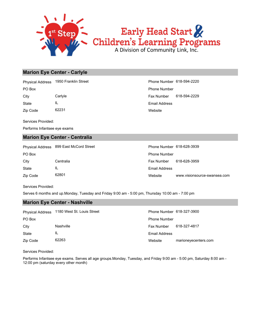

# **Marion Eye Center - Carlyle**

Physical Address 1950 Franklin Street Phone Number 618-594-2220

Zip Code 62231 State IL

**Website** Email Address City Carlyle Fax Number 618-594-2229 PO Box Phone Number

Services Provided:

Performs Infantsee eye exams

# **Marion Eye Center - Centralia**

Zip Code 62801 State IL City Centralia Fax Number 618-628-3959 PO Box **Phone Number** Po Box **Phone Number** Phone Number Physical Address 899 East McCord Street Phone Number 618-628-3939

Website www.visionsource-swansea.com Email Address

Services Provided:

Serves 6 months and up.Monday, Tuesday and Friday 9:00 am - 5:00 pm, Thursday 10:00 am - 7:00 pm

# **Marion Eye Center - Nashville**

|          | Physical Address 1180 West St. Louis Street | Phone Number 618-327-3900 |                      |
|----------|---------------------------------------------|---------------------------|----------------------|
| PO Box   |                                             | <b>Phone Number</b>       |                      |
| City     | Nashville                                   | <b>Fax Number</b>         | 618-327-4817         |
| State    | IL                                          | <b>Email Address</b>      |                      |
| Zip Code | 62263                                       | Website                   | marioneyecenters.com |

Services Provided:

Performs Infantsee eye exams. Serves all age groups.Monday, Tuesday, and Friday 9:00 am - 5:00 pm, Saturday 8:00 am - 12:00 pm (saturday every other month)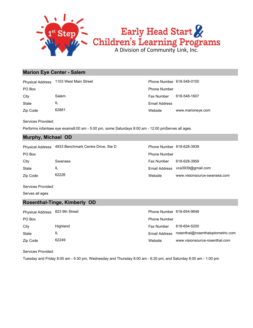

# **Marion Eye Center - Salem**

|              | Physical Address 1103 West Main Street | Phone Number 618-548-0100 |                   |
|--------------|----------------------------------------|---------------------------|-------------------|
| PO Box       |                                        | <b>Phone Number</b>       |                   |
| City         | Salem                                  | <b>Fax Number</b>         | 618-548-1607      |
| <b>State</b> | IL                                     | Email Address             |                   |
| Zip Code     | 62881                                  | Website                   | www.marioneye.com |

Services Provided:

Performs infantsee eye exams8:00 am - 5:00 pm, some Saturdays 8:00 am - 12:00 pmServes all ages.

# **Murphy, Michael OD**

|  | <b>Physical Address</b> | 4933 Benchmark Centre Drive, Ste D |
|--|-------------------------|------------------------------------|
|--|-------------------------|------------------------------------|

| PO Box   |         | <b>Phone Number</b> |                                 |
|----------|---------|---------------------|---------------------------------|
| City     | Swansea | Fax Number          | 618-628-3959                    |
| State    | IL      |                     | Email Address vca3939@gmail.com |
| Zip Code | 62226   | Website             | www.visionsource-swansea.com    |

Phone Number 618-628-3939

Services Provided:

Serves all ages

# **Rosenthal-Tinge, Kimberly OD**

| Physical Address 823 9th Street |          | Phone Number 618-654-9848 |                                                 |
|---------------------------------|----------|---------------------------|-------------------------------------------------|
| PO Box                          |          | <b>Phone Number</b>       |                                                 |
| City                            | Highland | Fax Number                | 618-654-5200                                    |
| State                           | IL       |                           | Email Address rosenthal@rosenthaloptometric.com |
| Zip Code                        | 62249    | Website                   | www.visionsource-rosenthal.com                  |

Services Provided:

Tuesday and Friday 8:00 am - 5:30 pm, Wednesday and Thursday 8:00 am - 6:30 pm, and Saturday 8:00 am - 1:00 pm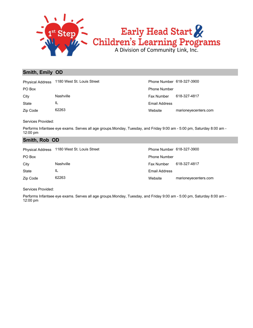

# **Smith, Emily OD**

|              | Physical Address 1180 West St. Louis Street | Phone Number 618-327-3900 |                      |
|--------------|---------------------------------------------|---------------------------|----------------------|
| PO Box       |                                             | <b>Phone Number</b>       |                      |
| City         | Nashville                                   | Fax Number                | 618-327-4817         |
| <b>State</b> | ΙL                                          | Email Address             |                      |
| Zip Code     | 62263                                       | Website                   | marioneyecenters.com |

Services Provided:

Performs Infantsee eye exams. Serves all age groups.Monday, Tuesday, and Friday 9:00 am - 5:00 pm, Saturday 8:00 am - 12:00 pm

# **Smith, Rob OD**

|          | Physical Address 1180 West St. Louis Street | Phone Number 618-327-3900 |                      |
|----------|---------------------------------------------|---------------------------|----------------------|
| PO Box   |                                             | <b>Phone Number</b>       |                      |
| City     | Nashville                                   | Fax Number                | 618-327-4817         |
| State    | IL                                          | Email Address             |                      |
| Zip Code | 62263                                       | Website                   | marioneyecenters.com |

Services Provided:

Performs Infantsee eye exams. Serves all age groups.Monday, Tuesday, and Friday 9:00 am - 5:00 pm, Saturday 8:00 am - 12:00 pm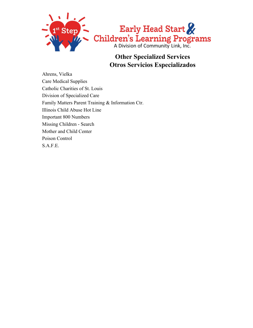

# **Other Specialized Services Otros Servicios Especializados**

Ahrens, Vielka Care Medical Supplies Catholic Charities of St. Louis Division of Specialized Care Family Matters Parent Training & Information Ctr. Illinois Child Abuse Hot Line Important 800 Numbers Missing Children - Search Mother and Child Center Poison Control S.A.F.E.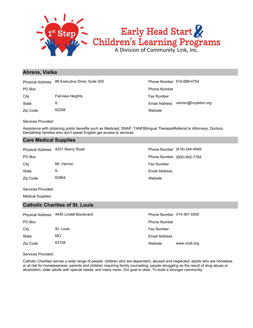

# **Ahrens, Vielka**

Physical Address #8 Executive Drive; Suite 200 Phone Number 618-688-4754

State IL City **Fairview Heights** Fax Number

Zip Code 62208

**Website** Email Address vahren@hoyleton.org PO Box Phone Number

Services Provided:

Assistance with obtaining public benefits such as Medicaid, SNAP, TANFBilingual TherapistReferral to Attorneys, Doctors, DentalHelp families who don't speak English get access to services

# **Care Medical Supplies**

| 4201 Ilberry Road<br><b>Physical Address</b> |  |
|----------------------------------------------|--|
|----------------------------------------------|--|

Zip Code 62864 State IL City Mt. Vernon **Fax Number City** Mt. Vernon **Fax Number** 

**Website** Email Address PO Box **PO Box** Phone Number (800) 642-7784 Phone Number (618) 244-4949

Services Provided:

Medical Supplies

# **Catholic Charities of St. Louis**

|          | Physical Address 4445 Lindell Boulevard | Phone Number 314-367-5500 |               |
|----------|-----------------------------------------|---------------------------|---------------|
| PO Box   |                                         | <b>Phone Number</b>       |               |
| City     | St. Louis                               | <b>Fax Number</b>         |               |
| State    | МO                                      | <b>Email Address</b>      |               |
| Zip Code | 63108                                   | Website                   | www.ccstl.org |

Services Provided:

Catholic Charities serves a wide range of people: children who are dependent, abused and neglected; adults who are homeless or at risk for homelessness; parents and children requiring family counseling; people struggling as the result of drug abuse or alcoholism; older adults with special needs; and many more. Our goal is clear. To build a stronger community.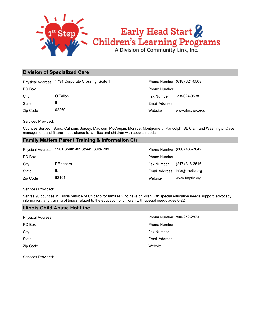

# **Division of Specialized Care**

|              | Physical Address 1734 Corporate Crossing; Suite 1 | Phone Number (618) 624-0508 |                 |
|--------------|---------------------------------------------------|-----------------------------|-----------------|
| PO Box       |                                                   | <b>Phone Number</b>         |                 |
| City         | O'Fallon                                          | <b>Fax Number</b>           | 618-624-0538    |
| <b>State</b> | IL                                                | Email Address               |                 |
| Zip Code     | 62269                                             | Website                     | www.dsccwic.edu |

Services Provided:

Counties Served: Bond, Calhoun, Jersey, Madison, McCoupin, Monroe, Montgomery, Randolph, St. Clair, and WashingtonCase management and financial assistance to families and children with special needs

# **Family Matters Parent Training & Information Ctr.**

| <b>Physical Address</b> | 1901 South 4th Street: Suite 209 | Phone Number (866) 436-7842 |                  |
|-------------------------|----------------------------------|-----------------------------|------------------|
| PO Box                  |                                  | <b>Phone Number</b>         |                  |
| City                    | Effingham                        | <b>Fax Number</b>           | $(217)$ 318-3516 |
| State                   | IL                               | <b>Email Address</b>        | info@fmptic.org  |
| Zip Code                | 62401                            | Website                     | www.fmptic.org   |

Services Provided:

Serves 98 counties in Illinois outside of Chicago for families who have children with special education needs support, advocacy, information, and training of topics related to the education of children with special needs ages 0-22.

# **Illinois Child Abuse Hot Line**

| <b>Physical Address</b> | Phone Number 800-252-2873 |  |
|-------------------------|---------------------------|--|
| PO Box                  | <b>Phone Number</b>       |  |
| City                    | Fax Number                |  |
| State                   | <b>Email Address</b>      |  |
| Zip Code                | Website                   |  |
|                         |                           |  |

Services Provided: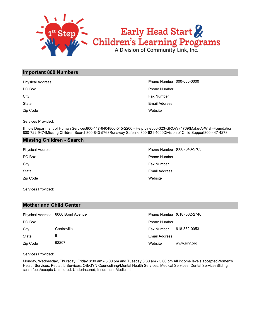

# **Important 800 Numbers**

| <b>Physical Address</b> | Phone Number 000-000-0000 |
|-------------------------|---------------------------|
| PO Box                  | <b>Phone Number</b>       |
| City                    | <b>Fax Number</b>         |
| State                   | Email Address             |
| Zip Code                | Website                   |

Services Provided:

Illinois Department of Human Services800-447-6404800-545-2200 - Help Line800-323-GROW (4769)Make-A-Wish-Foundation 800-722-9474Missing Children Search800-843-5763Runaway Safeline 800-621-4000Division of Child Support800-447-4278

# **Missing Children - Search**

| <b>Physical Address</b> | Phone Number (800) 843-5763 |
|-------------------------|-----------------------------|
| PO Box                  | <b>Phone Number</b>         |
| City                    | Fax Number                  |
| State                   | Email Address               |
| Zip Code                | Website                     |
|                         |                             |

Services Provided:

# **Mother and Child Center**

|          | Physical Address 6000 Bond Avenue |                      | Phone Number (618) 332-2740 |
|----------|-----------------------------------|----------------------|-----------------------------|
| PO Box   |                                   | <b>Phone Number</b>  |                             |
| City     | Centreville                       | Fax Number           | 618-332-0053                |
| State    | IL                                | <b>Email Address</b> |                             |
| Zip Code | 62207                             | Website              | www.sihf.org                |

Services Provided:

Monday, Wednesday, Thursday, Friday 8:30 am - 5:00 pm and Tuesday 8:30 am - 5:00 pm.All income levels acceptedWomen's Health Services, Pediatric Services, OB/GYN Councelinng/Mental Health Services, Medical Services, Dental ServicesSliding scale feesAccepts Uninsured, Underinsured, Insurance, Medicaid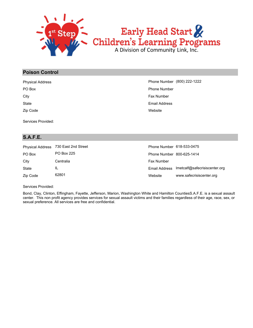

# **Poison Control**

| <b>Physical Address</b> | Phone Number (800) 222-1222 |
|-------------------------|-----------------------------|
| PO Box                  | <b>Phone Number</b>         |
| City                    | Fax Number                  |
| State                   | Email Address               |
| Zip Code                | Website                     |

Services Provided:

# **S.A.F.E.**

| <b>Physical Address</b> | 730 East 2nd Street | Phone Number 618-533-0475 |                               |
|-------------------------|---------------------|---------------------------|-------------------------------|
| PO Box                  | PO Box 225          | Phone Number 800-625-1414 |                               |
| City                    | Centralia           | Fax Number                |                               |
| State                   | IL                  | Email Address             | Imetcalf@safecrisiscenter.org |
| Zip Code                | 62801               | Website                   | www.safecrisiscenter.org      |

Services Provided:

Bond, Clay, Clinton, Effingham, Fayette, Jefferson, Marion, Washington White and Hamilton CountiesS.A.F.E. is a sexual assault center. This non profit agency provides services for sexual assault victims and their families regardless of their age, race, sex, or sexual preference. All services are free and confidential.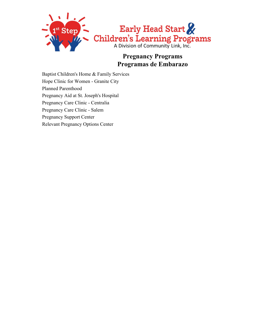

# **Pregnancy Programs Programas de Embarazo**

Baptist Children's Home & Family Services Hope Clinic for Women - Granite City Planned Parenthood Pregnancy Aid at St. Joseph's Hospital Pregnancy Care Clinic - Centralia Pregnancy Care Clinic - Salem Pregnancy Support Center Relevant Pregnancy Options Center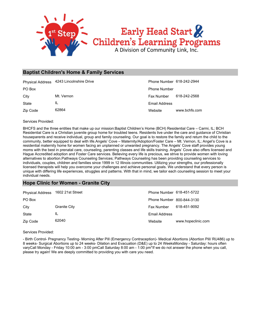

#### **Baptist Children's Home & Family Services**

|          | Physical Address 4243 Lincolnshire Drive | Phone Number 618-242-2944 |               |
|----------|------------------------------------------|---------------------------|---------------|
| PO Box   |                                          | <b>Phone Number</b>       |               |
| City     | Mt. Vernon                               | <b>Fax Number</b>         | 618-242-2568  |
| State    | IL                                       | Email Address             |               |
| Zip Code | 62864                                    | Website                   | www.bchfs.com |

Services Provided:

BHCFS and the three entities that make up our mission:Baptist Children's Home (BCH) Residential Care – Carmi, IL; BCH Residential Care is a Christian juvenile group home for troubled teens. Residents live under the care and guidance of Christian houseparents and receive individual, group and family counseling. Our goal is to restore the family and return the child to the community, better equipped to deal with life.Angels' Cove – Maternity/Adoption/Foster Care – Mt. Vernon, IL; Angel's Cove is a residential maternity home for women facing an unplanned or unwanted pregnancy. The Angels' Cove staff provides young moms with the best in prenatal care, counseling, parenting classes and life skills training. Angels' Cove also offers licensed and Hague Accredited adoption and Foster Care services. Believing every life is precious, we strive to provide women with loving alternatives to abortion.Pathways Counseling Services; Pathways Counseling has been providing counseling services to individuals, couples, children and families since 1999 in 12 Illinois communities. Utilizing your strengths, our professionally licensed therapists will help you overcome your challenges and achieve personal goals. We understand that every person is unique with differing life experiences, struggles and patterns. With that in mind, we tailor each counseling session to meet your individual needs.

#### **Hope Clinic for Women - Granite City**

| <b>Physical Address</b> | 1602 21st Street | Phone Number 618-451-5722 |                    |
|-------------------------|------------------|---------------------------|--------------------|
| PO Box                  |                  | Phone Number 800-844-3130 |                    |
| City                    | Granite City     | Fax Number                | 618-451-9092       |
| State                   | IL               | Email Address             |                    |
| Zip Code                | 62040            | Website                   | www.hopeclinic.com |

Services Provided:

- Birth Control- Pregnancy Testing- Morning After Pill (Emergency Contraception)- Medical Abortions (Abortion Pill/ RU486) up to 8 weeks- Surgical Abortions up to 24 weeks- Dilation and Evacuation (D&E) up to 24 WeeksMonday - Saturday: hours often varyCall Monday - Friday 10:00 am - 3:00 pmCall Saturday 8:00 am - 1:00 pm\*If we do not answer the phone when you call, please try again! We are deeply committed to providing you with care you need.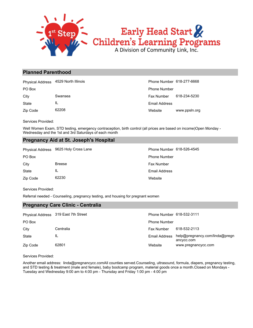

#### **Planned Parenthood**

|          | Physical Address 4529 North Illinois | Phone Number 618-277-6668 |               |
|----------|--------------------------------------|---------------------------|---------------|
| PO Box   |                                      | <b>Phone Number</b>       |               |
| City     | Swansea                              | <b>Fax Number</b>         | 618-234-5230  |
| State    | IL                                   | Email Address             |               |
| Zip Code | 62208                                | Website                   | www.ppsln.org |

Services Provided:

Well Women Exam, STD testing, emergency contraception, birth control (all prices are based on income)Open Monday - Wednesday and the 1st and 3rd Saturdays of each month

#### **Pregnancy Aid at St. Joseph's Hospital**

|          | Physical Address 9625 Holy Cross Lane | Phone Number 618-526-4545 |
|----------|---------------------------------------|---------------------------|
| PO Box   |                                       | <b>Phone Number</b>       |
| City     | <b>Breese</b>                         | <b>Fax Number</b>         |
| State    | IL                                    | Email Address             |
| Zip Code | 62230                                 | Website                   |

Services Provided:

Referral needed - Counseling, pregnancy testing, and housing for pregnant women

#### **Pregnancy Care Clinic - Centralia**

|          | Physical Address 319 East 7th Street | Phone Number 618-532-3111 |                                              |
|----------|--------------------------------------|---------------------------|----------------------------------------------|
| PO Box   |                                      | <b>Phone Number</b>       |                                              |
| City     | Centralia                            | Fax Number                | 618-532-2113                                 |
| State    | IL                                   | Email Address             | help@pregnancy.com/linda@pregn<br>ancycc.com |
| Zip Code | 62801                                | Website                   | www.pregnancycc.com                          |

Services Provided:

Another email address: linda@pregnancycc.comAll counties served.Counseling, ultrasound, formula, diapers, pregnancy testing, and STD testing & treatment (male and female), baby bootcamp program, material goods once a month.Closed on Mondays - Tuesday and Wednesday 9:00 am to 4:00 pm - Thursday and Friday 1:00 pm - 4:00 pm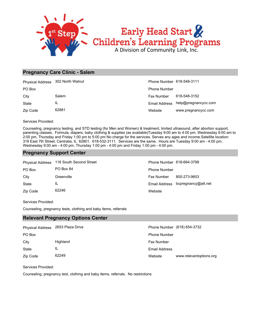

#### **Pregnancy Care Clinic - Salem**

| Physical Address 302 North Walnut |       | Phone Number 618-548-3111 |                                    |
|-----------------------------------|-------|---------------------------|------------------------------------|
| PO Box                            |       | <b>Phone Number</b>       |                                    |
| City                              | Salem | Fax Number                | 618-548-3152                       |
| State                             | IL    |                           | Email Address help@pregnancycc.com |
| Zip Code                          | 62881 | Website                   | www.pregnancycc.com                |

Services Provided:

Counseling, pregnancy testing, and STD testing (for Men and Women) & treatment, limited ultrasound, after abortion support, parenting classes. Formula, diapers, baby clothing & supplies (as available)Tuesday 9:00 am to 4:00 pm, Wednesday 9:00 am to 2:00 pm, Thursday and Friday 1:00 pm to 5:00 pm No charge for the services. Serves any ages and income.Satellite location: 319 East 7th Street, Centralia, IL 62801. 618-532-3111. Services are the same. Hours are Tuesday 9:00 am - 4:00 pm, Wednesday 9:00 am - 4:00 pm, Thursday 1:00 pm - 4:00 pm and Friday 1:00 pm - 4:00 pm.

#### **Pregnancy Support Center**

| <b>Physical Address</b> | 116 South Second Street | Phone Number 618-664-3799 |                     |
|-------------------------|-------------------------|---------------------------|---------------------|
| PO Box                  | PO Box 84               | <b>Phone Number</b>       |                     |
| City                    | Greenville              | <b>Fax Number</b>         | 800-273-9653        |
| State                   | IL                      | Email Address             | bcpregnancy@att.net |
| Zip Code                | 62246                   | Website                   |                     |

Services Provided:

Counseling, pregnancy tests, clothing and baby items, referrals

#### **Relevant Pregnancy Options Center**

| <b>Physical Address</b> | 2653 Plaza Drive |                     | Phone Number (618) 654-3732 |
|-------------------------|------------------|---------------------|-----------------------------|
| PO Box                  |                  | <b>Phone Number</b> |                             |
| City                    | Highland         | <b>Fax Number</b>   |                             |
| State                   | IL               | Email Address       |                             |
| Zip Code                | 62249            | Website             | www.relevantoptions.org     |

Services Provided:

Counseling, pregnancy test, clothing and baby items, referrals. No restrictions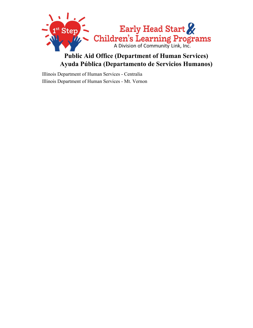

# **Public Aid Office (Department of Human Services) Ayuda Pública (Departamento de Servicios Humanos)**

Illinois Department of Human Services - Centralia Illinois Department of Human Services - Mt. Vernon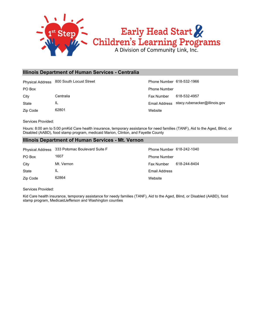

#### **Illinois Department of Human Services - Centralia**

Physical Address 800 South Locust Street **Phone Number 618-532-1966** Phone Number 618-532-1966

State IL

Zip Code 62801

**Website** Email Address stacy.rubenacker@illinois.gov City Centralia Centralia Centralia Centralia Centralia Centralia Centralia Centralia Centralia Centralia Centralia PO Box Phone Number

Services Provided:

Hours: 8:00 am to 5:00 pmKid Care health insurance, temporary assistance for need families (TANF), Aid to the Aged, Blind, or Disabled (AABD), food stamp program, medicaid Marion, Clinton, and Fayette County

#### **Illinois Department of Human Services - Mt. Vernon**

|              | Physical Address 333 Potomac Boulevard Suite F | Phone Number 618-242-1040 |              |
|--------------|------------------------------------------------|---------------------------|--------------|
| PO Box       | 1607                                           | <b>Phone Number</b>       |              |
| City         | Mt. Vernon                                     | Fax Number                | 618-244-8404 |
| <b>State</b> | IL                                             | Email Address             |              |
| Zip Code     | 62864                                          | Website                   |              |

Services Provided:

Kid Care health insurance, temporary assistance for needy families (TANF), Aid to the Aged, Blind, or Disabled (AABD), food stamp program, MedicaidJefferson and Washington counties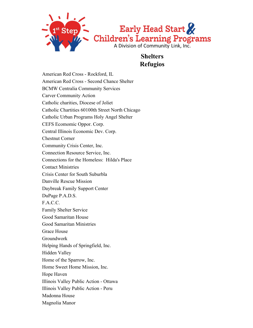

### **Shelters Refugios**

American Red Cross - Rockford, IL American Red Cross - Second Chance Shelter BCMW Centralia Community Services Carver Community Action Catholic charities, Diocese of Joliet Catholic Chartities 60100th Street North Chicago Catholic Urban Programs Holy Angel Shelter CEFS Ecomomic Oppor. Corp. Central Illinois Economic Dev. Corp. Chestnut Corner Community Crisis Center, Inc. Connection Resource Service, Inc. Connections for the Homeless: Hilda's Place Contact Ministries Crisis Center for South Suburbla Danville Rescue Mission Daybreak Family Support Center DuPage P.A.D.S. F.A.C.C. Family Shelter Service Good Samaritan House Good Samaritan Ministries Grace House Groundwork Helping Hands of Springfield, Inc. Hidden Valley Home of the Sparrow, Inc. Home Sweet Home Mission, Inc. Hope Haven Illinois Valley Public Action - Ottawa Illinois Valley Public Action - Peru Madonna House Magnolia Manor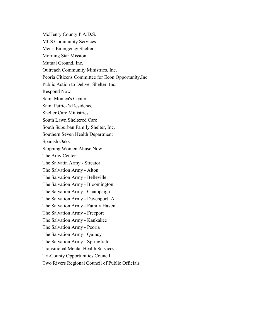McHenry County P.A.D.S.

MCS Community Services

Men's Emergency Shelter

Morning Star Mission

Mutual Ground, Inc.

Outreach Community Ministries, Inc.

Peoria Citizens Committee for Econ.Opportunity,Inc

Public Action to Deliver Shelter, Inc.

Respond Now

Saint Monica's Center

Saint Patrick's Residence

Shelter Care Ministries

South Lawn Sheltered Care

South Suburban Family Shelter, Inc.

Southern Seven Health Department

Spanish Oaks

Stopping Women Abuse Now

The Amy Center

The Salvatin Army - Streator

The Salvation Army - Alton

The Salvation Army - Belleville

The Salvation Army - Bloomington

The Salvation Army - Champaign

The Salvation Army - Davenport IA

The Salvation Army - Family Haven

The Salvation Army - Freeport

The Salvation Army - Kankakee

The Salvation Army - Peoria

The Salvation Army - Quincy

The Salvation Army - Springfield

Transitional Mental Health Services

Tri-County Opportunities Council

Two Rivers Regional Council of Public Officials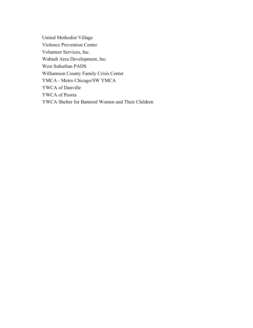United Methodist Village Violence Prevention Center Volunteer Services, Inc. Wabash Area Development, Inc. West Suburban PADS Williamson County Family Crisis Center YMCA - Metro Chicago/SW YMCA YWCA of Danville YWCA of Peoria YWCA Shelter for Battered Women and Their Children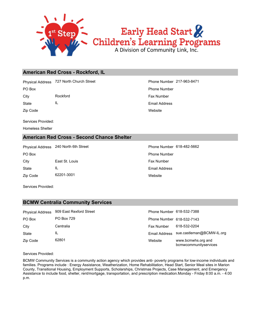

#### **American Red Cross - Rockford, IL**

Physical Address 727 North Church Street **Phone Number 217-963-8471** Phone Number 217-963-8471

City **Rockford Rockford Fax Number Fax Number** 

State IL

Zip Code

Services Provided:

Homeless Shelter

#### **American Red Cross - Second Chance Shelter**

Physical Address 240 North 6th Street Phone Number 618-482-5662

Zip Code 62201-3001 State IL City **East St. Louis** East St. Louis **Fax Number** PO Box **Phone Number** Po Box **Phone Number** Phone Number

# **Website** Email Address PO Box Phone Number

**Website** Email Address

Services Provided:

#### **BCMW Centralia Community Services**

| <b>Physical Address</b> | 909 East Rexford Street | Phone Number 618-532-7388 |                                             |
|-------------------------|-------------------------|---------------------------|---------------------------------------------|
| PO Box                  | <b>PO Box 729</b>       | Phone Number 618-532-7143 |                                             |
| City                    | Centralia               | <b>Fax Number</b>         | 618-532-0204                                |
| State                   | IL                      | Email Address             | sue.castleman@BCMW-IL.org                   |
| Zip Code                | 62801                   | Website                   | www.bcmwhs.org and<br>bcmwcommunityservices |

Services Provided:

BCMW Community Services is a community action agency which provides anti- poverty programs for low-income individuals and families. Programs include : Energy Assistance, Weatherization, Home Rehabilitation, Head Start, Senior Meal sites in Marion County, Transitional Housing, Employment Supports, Scholarships, Christmas Projects, Case Management, and Emergency Assistance to include food, shelter, rent/mortgage, transportation, and prescription medication.Monday - Friday 8:00 a.m. - 4:00 p.m.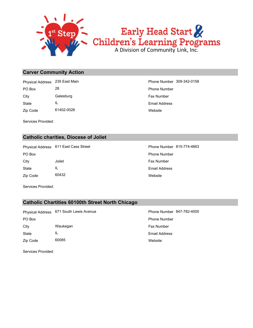

#### **Carver Community Action**

Zip Code 61402-0028 State IL City Galesburg **Galesburg Fax Number** Fax Number PO Box 28 28 Phone Number Physical Address 235 East Main Phone Number 309-342-0158

Services Provided:

#### **Catholic charities, Diocese of Joliet**

Physical Address 611 East Cass Street Phone Number 815-774-4663

Zip Code 60432 State IL City **State Solution Service Service Service Service Service Service Service Service Service Service Service Service Service Service Service Service Service Service Service Service Service Service Service Service Service S** PO Box **Phone Number** Po Box **Phone Number** Phone Number

**Website** Email Address

**Website** Email Address

Services Provided:

#### **Catholic Chartities 60100th Street North Chicago**

Zip Code 60085 State IL City **Waukegan City Waukegan Fax Number** PO Box Phone Number Physical Address 671 South Lewis Avenue **Phone Number 847-782-4000** 

**Website** Email Address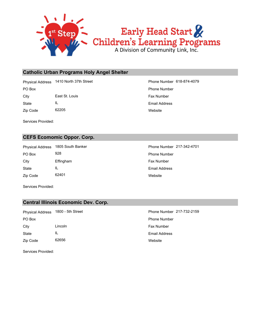

#### **Catholic Urban Programs Holy Angel Shelter**

Physical Address 1410 North 37th Street Phone Number 618-874-4079

State IL City **East St. Louis** East St. Louis **Fax Number** 

Zip Code 62205

Services Provided:

#### **CEFS Ecomomic Oppor. Corp.**

Zip Code 62401 State IL City **Effingham** Effingtham **Fax Number Fax Number** PO Box 928 928 Phone Number Physical Address 1805 South Banker Phone Number 217-342-4701

**Website** Email Address PO Box Phone Number

> **Website** Email Address

Services Provided:

#### **Central Illinois Economic Dev. Corp.**

Zip Code 62656 State IL City Lincoln Fax Number PO Box Phone Number Physical Address 1800 - 5th Street Phone Number 217-732-2159

**Website** Email Address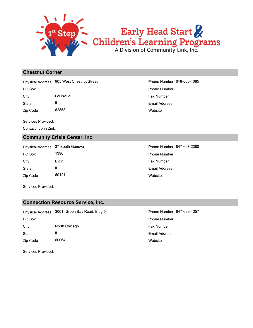

#### **Chestnut Corner**

Physical Address 905 West Chestnut Street Phone Number 618-665-4085

State IL City **Louisville City Easy Number Fax Number** 

Zip Code 62858

Services Provided:

Contact: John Zink

#### **Community Crisis Center, Inc.**

Zip Code 60121 State IL City **Elgin** Elgin **Elgin Fax Number** Fax Number PO Box 1390 **Phone Number** Phone Number

**Website** Email Address PO Box Phone Number

**Website** Email Address Physical Address 37 South Geneva **Phone Number 847-697-2380** 

Services Provided:

#### **Connection Resource Service, Inc.**

Zip Code 60064 State IL City **North Chicago Fax Number Fax Number Fax Number** PO Box Phone Number Physical Address 3001 Green Bay Road; Bldg 5 Phone Number 847-689-4357

**Website** Email Address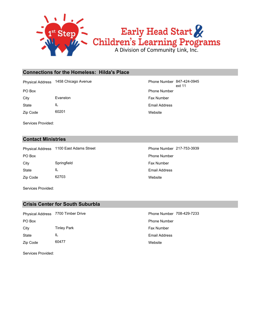

#### **Connections for the Homeless: Hilda's Place**

Physical Address 1458 Chicago Avenue

Zip Code 60201 State IL City Evanston Evanston **Fax Number** 

**Website** Email Address PO Box **Phone Number** Po Box **Phone Number** Po Box **Phone Number** Po Box **Phone Number** Po Box **Phone Number** Phone Number 847-424-0945 ext 11

Services Provided:

#### **Contact Ministries**

Zip Code 62703 State IL City Springfield Springfield Fax Number PO Box **Phone Number** Po Box **Phone Number** Po Box **Phone Number** Physical Address 1100 East Adams Street Phone Number 217-753-3939

Website Email Address

Services Provided:

#### **Crisis Center for South Suburbla**

**Website** Email Address Zip Code 60477 State IL City **Tinley Park Fax Number** Fax Number PO Box Phone Number Physical Address 7700 Timber Drive **Phone Number 708-429-7233**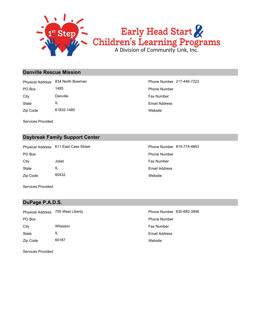

#### **Danville Rescue Mission**

Zip Code 61832-1485 State IL City **Danville Danville Fax Number Fax Number** PO Box 1485 1485 and the state of the Phone Number Physical Address 834 North Bowman Phone Number 217-446-7223

**Website** Email Address

Services Provided:

#### **Daybreak Family Support Center**

City **Solution Joliet City** Joliet **Fax Number** Fax Number PO Box **Phone Number** Po Box **Phone Number** Phone Number Physical Address 611 East Cass Street Phone Number 815-774-4663

Zip Code 60432 State IL

**Website** Email Address

Services Provided:

#### **DuPage P.A.D.S.**

Zip Code 60187 State IL City **Wheaton** Wheaton **Fax Number** Fax Number PO Box Phone Number Physical Address 705 West Liberty **Phone Number 630-682-3846** 

**Website** Email Address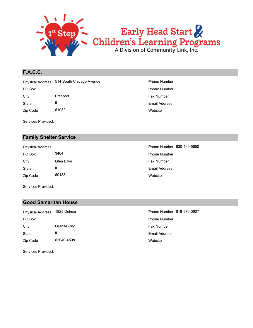

#### **F.A.C.C.**

Zip Code 61032 State IL City **Freeport** Freeport **Fax Number** Fax Number PO Box Phone Number Physical Address 514 South Chicago Avenue **Phone Number** Phone Number

Services Provided:

#### **Family Shelter Service**

Zip Code 60138 State IL City Glen Ellyn Glen City Fax Number PO Box 3404 3404 3404

**Website** Email Address

**Website** Email Address Physical Address **Phone Number 630-469-5650** 

Services Provided:

#### **Good Samaritan House**

Zip Code 62040-4508 State IL City Granite City **Granite City Fax Number** PO Box Phone Number Physical Address 1825 Delmar Phone Number 618-876-0607

**Website** Email Address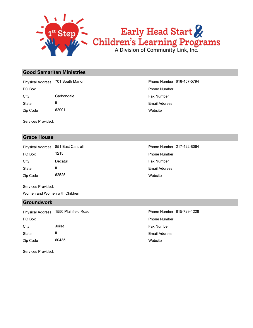

#### **Good Samaritan Ministries**

Zip Code 62901 State IL City Carbondale Carbondale Fax Number PO Box Phone Number Physical Address 701 South Marion **Phone Number 618-457-5794** 

Services Provided:

#### **Grace House**

Zip Code 62525 State IL City **Decatur** Decatur **City Eax Number** PO Box 1215 1215 Phone Number Physical Address 851 East Cantrell **Phone Number 217-422-8064** 

Services Provided:

Women and Women with Children

#### **Groundwork**

PO Box Phone Number Physical Address 1550 Plainfield Road Phone Number 815-729-1228

Zip Code 60435 State IL City **State Joilet According State According State According Tax Number** Fax Number

Services Provided:

**Website** Email Address

Website Email Address

**Website** Email Address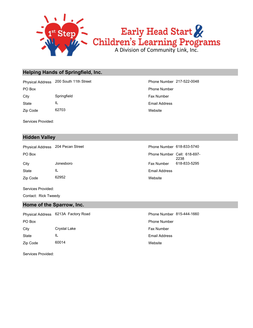

#### **Helping Hands of Springfield, Inc.**

City Springfield Springfield Fax Number PO Box Phone Number Physical Address 200 South 11th Street Phone Number 217-522-0048

Zip Code 62703 State IL

Services Provided:

#### **Hidden Valley**

Physical Address 204 Pecan Street **Phone Number 618-833-5740** 

PO Box

Zip Code 62952 State IL City Jonesboro Fax Number 618-833-5295

Services Provided: Contact: Rick Tweedy

#### **Home of the Sparrow, Inc.**

Zip Code 60014 State IL City Crystal Lake **Fax Number** Fax Number PO Box Phone Number Physical Address 6213A Factory Road Phone Number 815-444-1660

**Website** Email Address

Website Email Address Phone Number Cell: 618-697- 2238

**Website** Email Address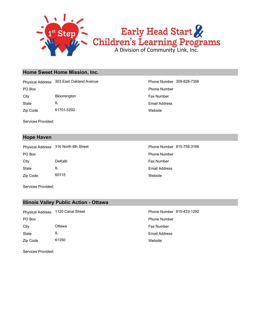

#### **Home Sweet Home Mission, Inc.**

Zip Code 61701-5292 State IL City Bloomington Bloomington **Fax Number** Fax Number PO Box Phone Number Physical Address 303 East Oakland Avenue **Phone Number 309-828-7356** 

Services Provided:

#### **Hope Haven**

Zip Code 60115 State IL City DeKalb **DeKalb Fax Number** PO Box **Phone Number** Po Box **Phone Number** Phone Number Physical Address 316 North 6th Street Phone Number 815-758-3166

**Website** Email Address

**Website** Email Address

Services Provided:

#### **Illinois Valley Public Action - Ottawa**

Zip Code 61350 State IL City Ottawa Fax Number PO Box Phone Number Physical Address 1120 Canal Street **Phone Number 815-433-1292** 

**Website** Email Address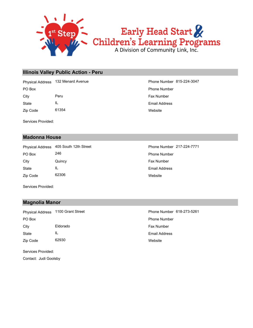

#### **Illinois Valley Public Action - Peru**

Zip Code 61354 State IL City **Peru** Peru **Fax Number Fax Number** PO Box Phone Number Physical Address 132 Menard Avenue **Phone Number 815-224-3047** 

Services Provided:

#### **Madonna House**

Zip Code 62306 State IL City **Quincy Quincy City Fax Number** PO Box 246 246 Phone Number Physical Address 405 South 12th Street Phone Number 217-224-7771

**Website** Email Address

**Website** Email Address

Services Provided:

#### **Magnolia Manor**

State IL City **Eldorado Eldorado Fax Number** PO Box Phone Number Physical Address 1100 Grant Street **Phone Number 618-273-5261** 

Zip Code 62930

Services Provided:

Contact: Judi Goolsby

**Website** Email Address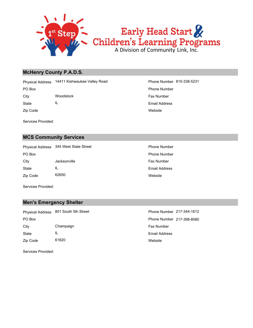

#### **McHenry County P.A.D.S.**

State IL City **Woodstock City Woodstock Fax Number** PO Box Phone Number Physical Address 14411 Kishwaukee Valley Road Phone Number 815-338-5231

Zip Code

Services Provided:

#### **MCS Community Services**

Zip Code 62650 State IL City **Jacksonville** Jacksonville **Fax Number** PO Box **Phone Number** Po Box **Phone Number** Phone Number Physical Address 345 West State Street **Phone Number** Phone Number

**Website** Email Address

Website Email Address

Services Provided:

#### **Men's Emergency Shelter**

Zip Code 61820 State IL City Champaign Champaign Champaign Champaign Champaign Champaign Champaign Champaign Champaign Champaign Champaign Champaign Champaign Champaign Champaign Champaign Champaign Champaign Champaign Champaign Champaign Champai PO Box Phone Number 217-398-8080 Physical Address 801 South 5th Street Phone Number 217-344-1612

**Website** Email Address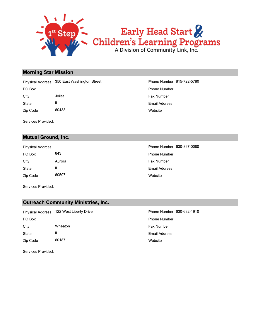

#### **Morning Star Mission**

State IL City **State Joilet According to the City** Fax Number PO Box Phone Number Physical Address 350 East Washington Street Phone Number 815-722-5780

Zip Code 60433

Services Provided:

#### **Mutual Ground, Inc.**

| <b>Physical Address</b> |        |
|-------------------------|--------|
| PO Box                  | 843    |
| City                    | Aurora |
| State                   | Ш.     |
| Zip Code                | 60507  |

**Website** Email Address

Website Email Address Fax Number Phone Number Phone Number 630-897-0080

Services Provided:

#### **Outreach Community Ministries, Inc.**

Zip Code 60187 State IL City **Wheaton** Wheaton **Fax Number** Fax Number PO Box Phone Number Physical Address 122 West Liberty Drive **Phone Number 630-682-1910** Phone Number

**Website** Email Address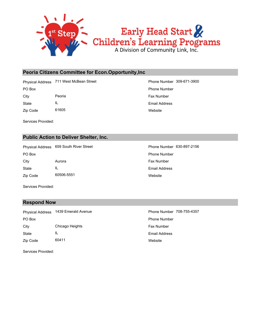

#### **Peoria Citizens Committee for Econ.Opportunity,Inc**

Physical Address 711 West McBean Street Phone Number 309-671-3900

State IL City **Peoria** Peoria **Fax Number Fax Number Fax Number** 

Zip Code 61605

Services Provided:

#### **Public Action to Deliver Shelter, Inc.**

Physical Address 659 South River Street Phone Number 630-897-2156

Zip Code 60506-5551 State IL City **Aurora** Aurora **Fax Number Fax Number** 

**Website** Email Address PO Box Phone Number

**Website** Email Address PO Box **Phone Number** Po Box **Phone Number** Phone Number

Services Provided:

#### **Respond Now**

Zip Code 60411 State IL City Chicago Heights **Fax Number** Fax Number PO Box Phone Number Physical Address 1439 Emerald Avenue Phone Number 708-755-4357

**Website** Email Address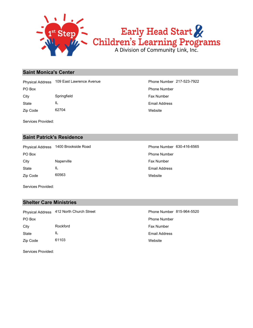

#### **Saint Monica's Center**

PO Box Phone Number Physical Address 109 East Lawrence Avenue **Phone Number 217-523-7922** 

State IL City Springfield Springfield Fax Number

Zip Code 62704

Services Provided:

#### **Saint Patrick's Residence**

Zip Code 60563 State IL City **Naperville Naperville Fax Number Fax Number** PO Box **Phone Number** Po Box **Phone Number** Po Box **Phone Number** Physical Address 1400 Brookside Road Phone Number 630-416-6565

**Website** Email Address

**Website** Email Address

Services Provided:

#### **Shelter Care Ministries**

Zip Code 61103 State IL City **Rockford Rockford Fax Number** PO Box Phone Number Physical Address 412 North Church Street Phone Number 815-964-5520

**Website** Email Address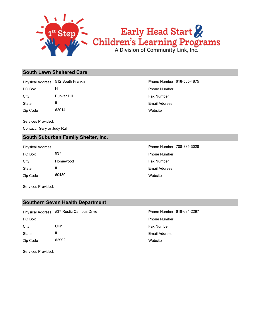

# Early Head Start &<br>Children's Learning Programs

#### **South Lawn Sheltered Care**

Physical Address 512 South Franklin **Phone Number 618-585-4875** 

PO Box H Phone Number

State IL City **Bunker Hill** Bunker Hill **Fax Number Fax Number** 

Zip Code 62014

Services Provided:

Contact: Gary or Judy Rull

#### **South Suburban Family Shelter, Inc.**

| PO Box   | 937     |
|----------|---------|
| City     | Homewoo |
| State    | Ш.      |
| Zip Code | 60430   |

Services Provided:

#### **Southern Seven Health Department**

Zip Code 62992 State IL City Ullin Ullin and City Fax Number PO Box Phone Number Physical Address #37 Rustic Campus Drive **Phone Number 618-634-2297** 

**Website** Email Address

Services Provided:

**Website** Email Address

**Website** Email Address d **Fax Number** Phone Number Physical Address **Phone Number 708-335-3028**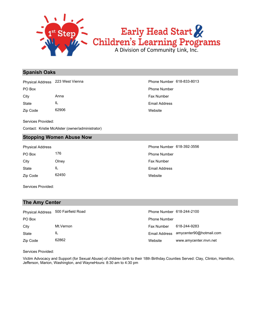

#### **Spanish Oaks**

PO Box Phone Number Physical Address 223 West Vienna **Phone Number 618-833-8013** 

Zip Code 62906 State IL City **Anna** Anna **Fax Number Anna** Fax Number

**Website** Email Address

Services Provided:

Contact: Kristie McAlister (owner/administrator)

#### **Stopping Women Abuse Now**

Physical Address **Phone Number 618-392-3556** 

| PO Box   | 176   |
|----------|-------|
| City     | Olney |
| State    | Ш.    |
| Zip Code | 62450 |

Website Email Address Fax Number Phone Number

Services Provided:

#### **The Amy Center**

|          | Physical Address 500 Fairfield Road | Phone Number 618-244-2100 |                                       |
|----------|-------------------------------------|---------------------------|---------------------------------------|
| PO Box   |                                     | <b>Phone Number</b>       |                                       |
| City     | Mt.Vernon                           | <b>Fax Number</b>         | 618-244-9283                          |
| State    | IL                                  |                           | Email Address amycenter90@hotmail.com |
| Zip Code | 62862                               | Website                   | www.amycenter.mvn.net                 |

Services Provided:

Victim Advocacy and Support (for Sexual Abuse) of children birth to their 18th Birthday.Counties Served: Clay, Clinton, Hamilton, Jefferson, Marion, Washington, and WayneHours: 8:30 am to 4:30 pm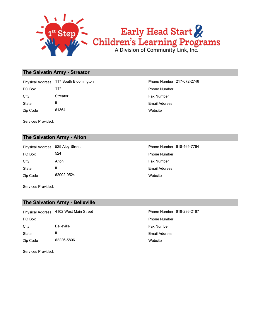

#### **The Salvatin Army - Streator**

Zip Code 61364 State IL City Streator Streator **Fax Number** Fax Number PO Box 117 Phone Number Physical Address 117 South Bloomington **Phone Number 217-672-2746** 

Services Provided:

#### **The Salvation Army - Alton**

Zip Code 62002-0524 State IL City **Alton** Alton **Alton Alton Fax Number** PO Box 524 524 **Phone Number** Physical Address 525 Alby Street Phone Number 618-465-7764

**Website** Email Address

**Website** Email Address

Services Provided:

#### **The Salvation Army - Belleville**

Zip Code 62226-5806 State IL City Belleville **Belleville Fax Number** Fax Number PO Box Phone Number Physical Address 4102 West Main Street **Phone Number 618-236-2167** 

Services Provided:

**Website** Email Address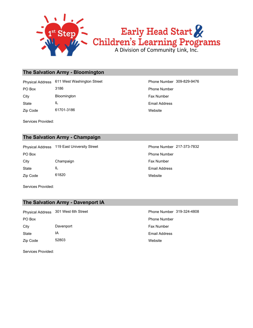

#### **The Salvation Army - Bloomington**

State IL City Bloomington Bloomington **Fax Number** Fax Number PO Box 3186 3186 3186 Physical Address 611 West Washington Street Phone Number 309-829-9476

Zip Code 61701-3186

Services Provided:

**Website** Email Address

#### **The Salvation Army - Champaign**

Zip Code 61820 State IL City Champaign Champaign Fax Number PO Box **Phone Number** Po Box **Phone Number** Phone Number Physical Address 119 East University Street Phone Number 217-373-7832

**Website** Email Address

Services Provided:

#### **The Salvation Army - Davenport IA**

Zip Code 52803 State IA City **Davenport** Daven Daven **Daven Daven Daven Daven Community** City **Fax Number** PO Box Phone Number Physical Address 301 West 6th Street Phone Number 319-324-4808

**Website** Email Address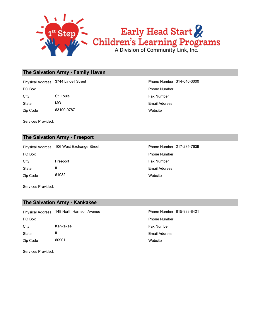

#### **The Salvation Army - Family Haven**

State MO City St. Louis St. Louis Fax Number PO Box Phone Number Physical Address 3744 Lindell Street Phone Number 314-646-3000

Zip Code 63109-0787

Services Provided:

#### **The Salvation Army - Freeport**

Zip Code 61032 State IL City **Freeport** Freeport **Fax Number** Fax Number PO Box **Phone Number** Po Box **Phone Number** Phone Number Physical Address 106 West Exchange Street Phone Number 217-235-7639

**Website** Email Address

**Website** Email Address

Services Provided:

#### **The Salvation Army - Kankakee**

Zip Code 60901 State IL City **Kankakee Fax Number** Fax Number PO Box Phone Number Physical Address 148 North Harrison Avenue **Phone Number 815-933-8421** 

**Website** Email Address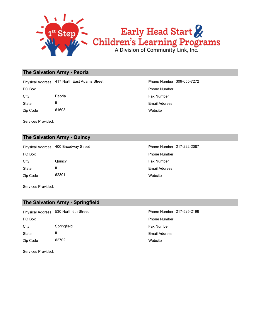

#### **The Salvation Army - Peoria**

City **Peoria** Peoria **Fax Number Fax Number Fax Number** PO Box Phone Number Physical Address 417 North East Adams Street Phone Number 309-655-7272

Zip Code 61603 State IL

Services Provided:

#### **The Salvation Army - Quincy**

Zip Code 62301 State IL City **Quincy Quincy City Fax Number** PO Box **Phone Number** Po Box **Phone Number** Phone Number Physical Address 400 Broadway Street Phone Number 217-222-2087

**Website** Email Address

**Website** Email Address

Services Provided:

#### **The Salvation Army - Springfield**

Zip Code 62702 State IL City Springfield Springfield Springfield Springfield Springfield Spring Springfield Spring Spring Spring Spring Spring Spring Spring Spring Spring Spring Spring Spring Spring Spring Spring Spring Spring Spring Spring Sprin PO Box Phone Number Physical Address 530 North 6th Street Phone Number 217-525-2196

**Website** Email Address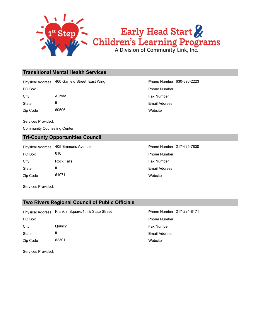

#### **Transitional Mental Health Services**

Physical Address 460 Garfield Street; East Wing Phone Number 630-896-2223

Zip Code 60506 State IL City **Aurora** Aurora **Fax Number Fax Number Fax Number** 

Services Provided:

Community Counseling Center

#### **Tri-County Opportunities Council**

Zip Code 61071 State IL City **Rock Falls** Rock Falls **Fax Number** PO Box 610 610 Physical Address 405 Emmons Avenue **Phone Number 217-625-7830** 

**Website** Email Address PO Box Phone Number

> **Website** Email Address

Services Provided:

#### **Two Rivers Regional Council of Public Officials**

Zip Code 62301 State IL City Quincy Fax Number PO Box Phone Number Physical Address Franklin Square/4th & State Street Phone Number 217-224-8171

**Website** Email Address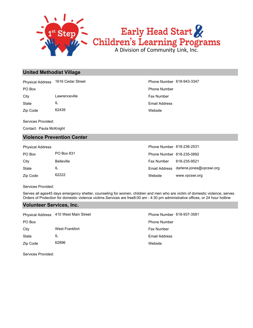

# Early Head Start &<br>Children's Learning Programs

#### **United Methodist Village**

Physical Address 1616 Cedar Street Phone Number 618-943-3347

State IL City **Lawrenceville City Canadian Example 1** City **Fax Number** 

Zip Code 62439

Services Provided:

Contact: Paula McKnight

#### **Violence Prevention Center**

Physical Address

| PO Box   | PO Box 831        | Phone Number 618-235-0892   |              |
|----------|-------------------|-----------------------------|--------------|
| City     | <b>Belleville</b> | <b>Fax Number</b>           | 618-235-9521 |
| State    |                   | Email Address darlene.jones |              |
| Zip Code | 62222             | Website                     | www.vpcswi.o |

**Website** Email Address PO Box Phone Number

| Phone Number 618-236-2531 |                          |
|---------------------------|--------------------------|
| Phone Number 618-235-0892 |                          |
| Fax Number                | 618-235-9521             |
| Email Address             | darlene.jones@vpcswi.org |
| Website                   | www.vpcswi.org           |

Services Provided:

Serves all ages45 days emergency shelter, counseling for women, children and men who are victim of domestic violence, serves Orders of Protection for domestic violence victims.Services are free8:00 am - 4:30 pm administrative offices, or 24 hour hotline

#### **Volunteer Services, Inc.**

|          | Physical Address 410 West Main Street | Phone Number 618-937-3581 |
|----------|---------------------------------------|---------------------------|
| PO Box   |                                       | <b>Phone Number</b>       |
| City     | West Frankfort                        | <b>Fax Number</b>         |
| State    | IL                                    | <b>Email Address</b>      |
| Zip Code | 62896                                 | Website                   |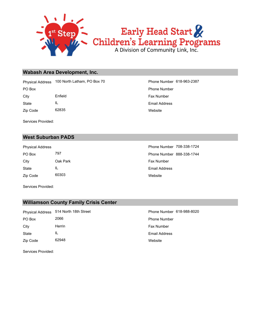

#### **Wabash Area Development, Inc.**

PO Box Phone Number Physical Address 100 North Latham, PO Box 70 Phone Number 618-963-2387

Zip Code 62835 State IL

**Website** Email Address City **Enfield** Enfield **Fax Number** Fax Number

Services Provided:

#### **West Suburban PADS**

Zip Code 60303 State IL City Cak Park **Fax Number** City

**Website** Email Address PO Box 797 797 Phone Number 888-338-1744 Physical Address **Phone Number 708-338-1724** 

Services Provided:

#### **Williamson County Family Crisis Center**

Zip Code 62948 State IL City **Herrin** Herrin **Fax Number** Fax Number PO Box 2066 2066 2008 Phone Number Physical Address 514 North 18th Street Phone Number 618-988-8020

**Website** Email Address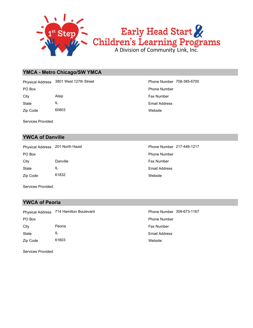

#### **YMCA - Metro Chicago/SW YMCA**

PO Box Phone Number Physical Address 3801 West 127th Street Phone Number 708-385-6700

Zip Code 60803 State IL

Services Provided:

#### **YWCA of Danville**

Zip Code 61832 State IL City **Danville** Danville **Fax Number** PO Box **Phone Number** Po Box **Phone Number** Phone Number

**Website** Email Address City **Alsip** Alsip **Alsip Alsip Alsip Alsip Alsip Alsip Alsip Example Example Example EXAM** 

**Website** Email Address Physical Address 201 North Hazel Phone Number 217-446-1217

Services Provided:

#### **YWCA of Peoria**

Zip Code 61603 State IL City **Peoria** Peoria **Fax Number** Peoria **Fax Number** Peoria **Fax Number** Peoria PO Box Phone Number Physical Address 714 Hamilton Boulevard Phone Number 309-673-1167

**Website** Email Address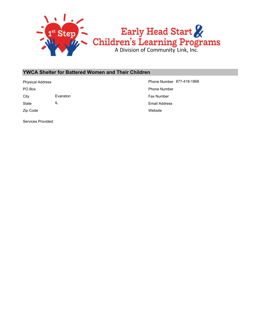

#### **YWCA Shelter for Battered Women and Their Children**

City **Evanston** Evanston **Fax Number Fax Number** 

State IL

Zip Code

Services Provided:

Website Email Address PO Box Phone Number Physical Address **Phone Number 877-418-1868**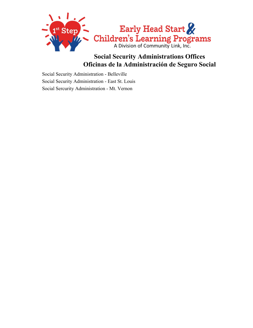

## **Social Security Administrations Offices Oficinas de la Administración de Seguro Social**

Social Security Administration - Belleville Social Security Administration - East St. Louis Social Sercurity Administration - Mt. Vernon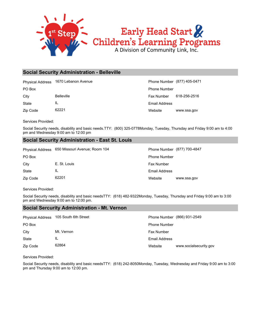

# **Social Security Administration - Belleville**

Physical Address 1670 Lebanon Avenue Phone Number (877) 405-0471

State IL

Zip Code 62221

Website www.ssa.gov Email Address City Belleville **Fax Number 618-256-2516** PO Box Phone Number

Services Provided:

Social Security needs, disability and basic needs.TTY: (800) 325-0778Monday, Tuesday, Thursday and Friday 9:00 am to 4:00 pm and Wednesday 9:00 am to 12:00 pm

### **Social Security Administration - East St. Louis**

|          | Physical Address 650 Missouri Avenue; Room 104 |                     | Phone Number (877) 700-4847 |
|----------|------------------------------------------------|---------------------|-----------------------------|
| PO Box   |                                                | <b>Phone Number</b> |                             |
| City     | E. St. Louis                                   | <b>Fax Number</b>   |                             |
| State    | IL                                             | Email Address       |                             |
| Zip Code | 62201                                          | Website             | www.ssa.gov                 |

Services Provided:

Social Security needs, disability and basic needsTTY: (618) 482-9322Monday, Tuesday, Thursday and Friday 9:00 am to 3:00 pm and Wednesday 9:00 am to 12:00 pm.

# **Social Sercurity Administration - Mt. Vernon**

| <b>Physical Address</b> | 105 South 6th Street |                     | Phone Number (866) 931-2549 |
|-------------------------|----------------------|---------------------|-----------------------------|
| PO Box                  |                      | <b>Phone Number</b> |                             |
| City                    | Mt. Vernon           | <b>Fax Number</b>   |                             |
| State                   | IL                   | Email Address       |                             |
| Zip Code                | 62864                | Website             | www.socialsecurity.gov      |

Services Provided:

Social Security needs, disability and basic needsTTY: (618) 242-8050Monday, Tuesday, Wednesday and Friday 9:00 am to 3:00 pm and Thursday 9:00 am to 12:00 pm.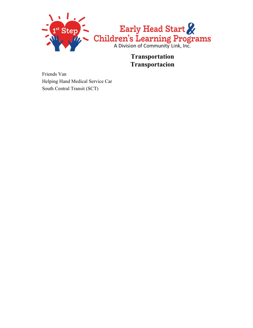

**Transportation Transportacion**

Friends Van Helping Hand Medical Service Car South Central Transit (SCT)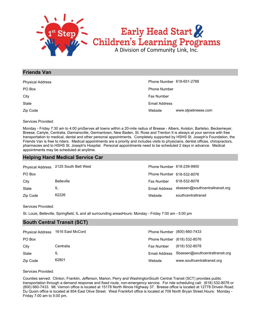

### **Friends Van**

| <b>Physical Address</b> | Phone Number 618-651-2788 |                     |  |
|-------------------------|---------------------------|---------------------|--|
| PO Box                  | <b>Phone Number</b>       |                     |  |
| City                    | Fax Number                |                     |  |
| State                   | Email Address             |                     |  |
| Zip Code                | Website                   | www.stjoebreese.com |  |

Services Provided:

Monday - Friday 7:30 am to 4:00 pmServes all towns within a 20-mile radius of Breese - Albers, Aviston, Bartelso, Beckemeyer, Breese, Carlyle, Centralia, Damiansville, Germantown, New Baden, St. Rose and Trenton It is always at your service with free transportation to medical, dental and other personal appointments. Completely supported by HSHS St. Joseph's Foundation, the Friends Van is free to riders. Medical appointments are a priority and includes visits to physicians, dentist offices, chiropractors, pharmacies and to HSHS St. Joseph's Hospital. Personal appointments need to be scheduled 2 days in advance. Medical appointments may be scheduled at anytime.

# **Helping Hand Medical Service Car**

|          | Physical Address 2125 South Belt West | Phone Number 618-239-9900 |                                               |
|----------|---------------------------------------|---------------------------|-----------------------------------------------|
| PO Box   |                                       | Phone Number 618-532-8076 |                                               |
| City     | <b>Belleville</b>                     | <b>Fax Number</b>         | 618-532-8078                                  |
| State    | IL                                    |                           | Email Address sbassen@southcentraltransit.org |
| Zip Code | 62226                                 | Website                   | southcentraltransit                           |

#### Services Provided:

St. Louis, Belleville, Springfield, IL and all surrounding areasHours: Monday - Friday 7:00 am - 5:00 pm

# **South Central Transit (SCT)**

| <b>Physical Address</b> | 1616 East McCord |                   | Phone Number (800) 660-7433                   |
|-------------------------|------------------|-------------------|-----------------------------------------------|
| PO Box                  |                  |                   | Phone Number (618) 532-8076                   |
| City                    | Centralia        | <b>Fax Number</b> | (618) 532-8078                                |
| State                   | IL               |                   | Email Address Sbassen@southcentraltransit.org |
| Zip Code                | 62801            | Website           | www.southcentraltransit.org                   |

Services Provided:

Counties served: Clinton, Franklin, Jefferson, Marion, Perry and WashingtonSouth Central Transit (SCT) provides public transportation through a demand response and fixed route, non-emergency service. For ride scheduling call: (618) 532-8076 or (800) 660-7433. Mt. Vernon office is located at 15178 North Illinois Highway 37. Breese office is located at 12778 Drivein Road. Du Quoin office is located at 854 East Olive Street. West Frankfort office is located at 709 North Bryan Street.Hours: Monday - Friday 7:00 am to 5:00 pm.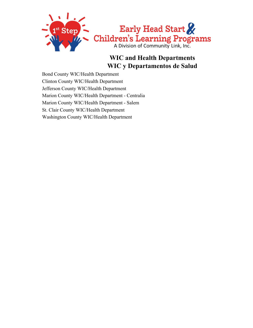

# **WIC and Health Departments WIC y Departamentos de Salud**

Bond County WIC/Health Department Clinton County WIC/Health Department Jefferson County WIC/Health Department Marion County WIC/Health Department - Centralia Marion County WIC/Health Department - Salem St. Clair County WIC/Health Department Washington County WIC/Health Department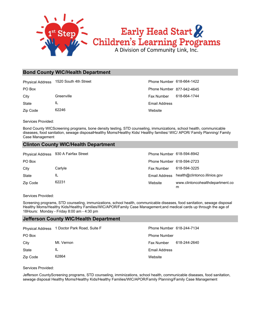

#### **Bond County WIC/Health Department**

|          | Physical Address 1520 South 4th Street | Phone Number 618-664-1422 |              |
|----------|----------------------------------------|---------------------------|--------------|
| PO Box   |                                        | Phone Number 877-942-4645 |              |
| City     | Greenville                             | Fax Number                | 618-664-1744 |
| State    | IL                                     | Email Address             |              |
| Zip Code | 62246                                  | Website                   |              |

Services Provided:

Bond County WICScreening programs, bone density testing, STD counseling, immunizations, school health, communicable diseases, food sanitation, sewage disposalHealthy Moms/Healthy Kids/ Healthy families/ WIC/ APOR/ Family Planning/ Family Case Management

#### **Clinton County WIC/Health Department**

|              | Physical Address 930 A Fairfax Street | Phone Number 618-594-8942 |                                             |
|--------------|---------------------------------------|---------------------------|---------------------------------------------|
| PO Box       |                                       | Phone Number 618-594-2723 |                                             |
| City         | Carlyle                               | Fax Number                | 618-594-3225                                |
| <b>State</b> | IL                                    |                           | Email Address health@clintonco.illinios.gov |
| Zip Code     | 62231                                 | Website                   | www.clintoncohealthdepartment.co<br>m       |

Services Provided:

Screening programs, STD counseling, immunizations, school health, communicable diseases, food sanitation, sewage disposal Healthy Moms/Healthy Kids/Healthy Families/WIC/APOR/Family Case Management;and medical cards up through the age of 18Hours: Monday - Friday 8:00 am - 4:30 pm

#### **Jefferson County WIC/Health Department**

|          | Physical Address 1 Doctor Park Road, Suite F | Phone Number 618-244-7134 |              |
|----------|----------------------------------------------|---------------------------|--------------|
| PO Box   |                                              | <b>Phone Number</b>       |              |
| City     | Mt. Vernon                                   | Fax Number                | 618-244-2640 |
| State    | IL                                           | Email Address             |              |
| Zip Code | 62864                                        | Website                   |              |

Services Provided:

Jefferson CountyScreening programs, STD counseling, imminizations, school health, communicable diseases, food sanitation, sewage disposal Healthy Moms/Healthy Kids/Healthy Families/WIC/APOR/Family Planning/Family Case Management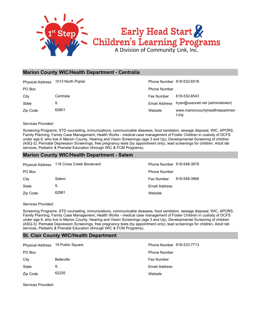

## **Marion County WIC/Health Department - Centralia**

| <b>Physical Address</b> | 1013 North Poplar | Phone Number 618-532-6518 |                                          |
|-------------------------|-------------------|---------------------------|------------------------------------------|
| PO Box                  |                   | <b>Phone Number</b>       |                                          |
| City                    | Centralia         | Fax Number                | 618-532-6543                             |
| State                   | IL                | Email Address             | Iryan@ussonet.net (administrator)        |
| Zip Code                | 62801             | Website                   | www.marioncountyhealthdepartmen<br>t.org |

Services Provided:

Screening Programs, STD counseling, immunizations, communicable diseases, food sanitation, sewage disposal, WIC, APORS, Family Planning, Family Case Management, Health Works - medical case management of Foster Children in custody of DCFS under age 6, who live in Marion County, Hearing and Vision Screenings (age 3 and Up), Developmental Screening of children (ASQ-3), Perinatal Depression Screenings, free pregnancy tests (by appointment only), lead screenings for children, Adult lab services, Pediatric & Prenatal Education (through WIC & FCM Programs).

#### **Marion County WIC/Health Department - Salem**

|          | Physical Address 118 Cross Creek Boulevard | Phone Number 618-548-3878 |              |
|----------|--------------------------------------------|---------------------------|--------------|
| PO Box   |                                            | <b>Phone Number</b>       |              |
| City     | Salem                                      | Fax Number                | 618-548-3866 |
| State    | IL                                         | Email Address             |              |
| Zip Code | 62881                                      | Website                   |              |

Services Provided:

Screening Programs, STD counseling, immunizations, communicable diseases, food sanitation, sewage disposal, WIC, APORS, Family Planning, Family Case Management, Health Works - medical case management of Foster Children in custody of DCFS under age 6, who live in Marion County, Hearing and Vision Screenings (age 3 and Up), Developmental Screening of children (ASQ-3), Perinatal Depression Screenings, free pregnancy tests (by appointment only), lead screenings for children, Adult lab services, Pediatric & Prenatal Education (through WIC & FCM Programs).

# **St. Clair County WIC/Health Department**

| Physical Address 19 Public Square |                   | Phone Number 618-233-7713 |
|-----------------------------------|-------------------|---------------------------|
| PO Box                            |                   | <b>Phone Number</b>       |
| City                              | <b>Belleville</b> | <b>Fax Number</b>         |
| State                             | IL                | Email Address             |
| Zip Code                          | 62220             | Website                   |

Services Provided: